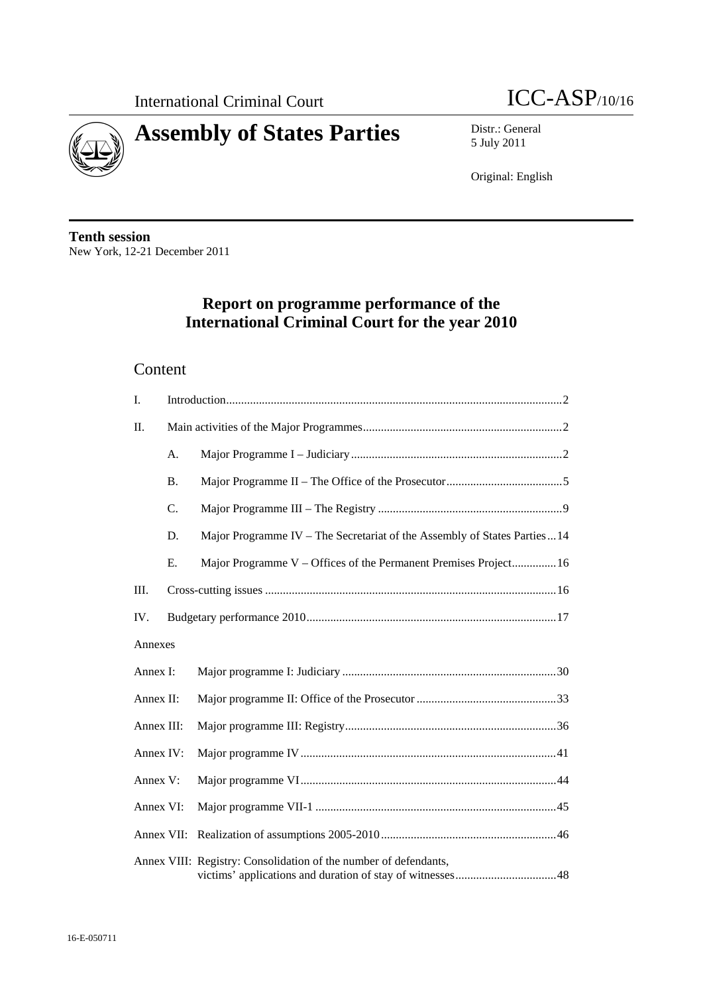



5 July 2011

Original: English

**Tenth session**  New York, 12-21 December 2011

# **Report on programme performance of the International Criminal Court for the year 2010**

### Content

| I.         |           |                                                                            |
|------------|-----------|----------------------------------------------------------------------------|
| Π.         |           |                                                                            |
|            | A.        |                                                                            |
|            | <b>B.</b> |                                                                            |
|            | C.        |                                                                            |
|            | D.        | Major Programme IV - The Secretariat of the Assembly of States Parties  14 |
|            | E.        | Major Programme V – Offices of the Permanent Premises Project16            |
| III.       |           |                                                                            |
| IV.        |           |                                                                            |
| Annexes    |           |                                                                            |
| Annex I:   |           |                                                                            |
| Annex II:  |           |                                                                            |
| Annex III: |           |                                                                            |
| Annex IV:  |           |                                                                            |
| Annex V:   |           |                                                                            |
| Annex VI:  |           |                                                                            |
| Annex VII: |           |                                                                            |
|            |           | Annex VIII: Registry: Consolidation of the number of defendants,           |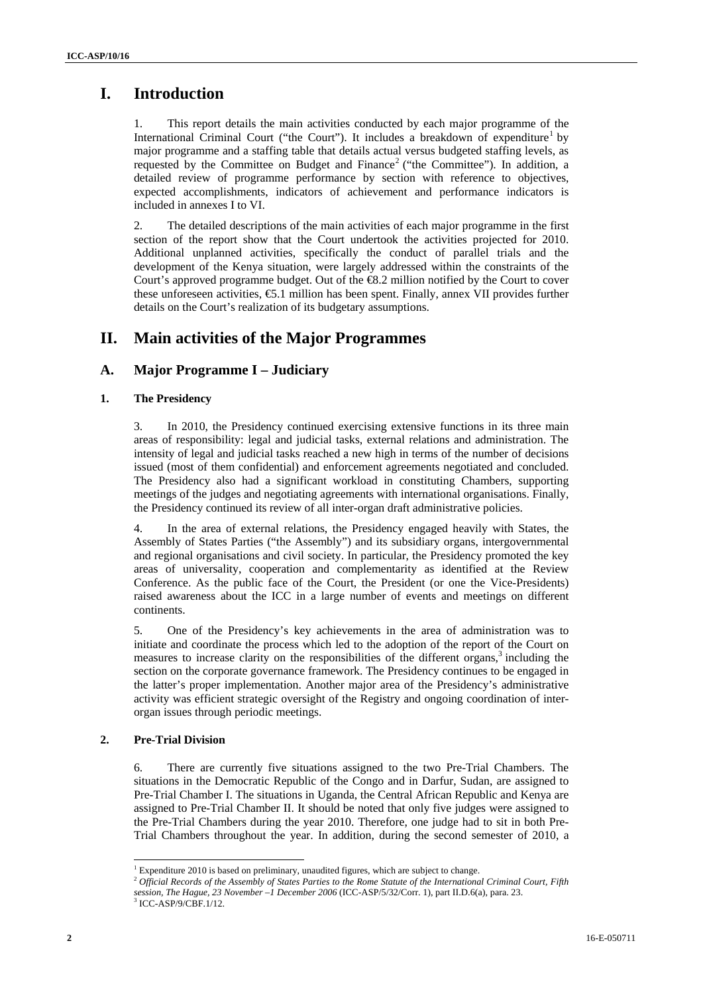### **I. Introduction**

1. This report details the main activities conducted by each major programme of the International Criminal Court ("the Court"). It includes a breakdown of expenditure<sup>1</sup> by major programme and a staffing table that details actual versus budgeted staffing levels, as requested by the Committee on Budget and Finance<sup>2</sup> ("the Committee"). In addition, a detailed review of programme performance by section with reference to objectives, expected accomplishments, indicators of achievement and performance indicators is included in annexes I to VI.

2. The detailed descriptions of the main activities of each major programme in the first section of the report show that the Court undertook the activities projected for 2010. Additional unplanned activities, specifically the conduct of parallel trials and the development of the Kenya situation, were largely addressed within the constraints of the Court's approved programme budget. Out of the €8.2 million notified by the Court to cover these unforeseen activities,  $\epsilon$ 5.1 million has been spent. Finally, annex VII provides further details on the Court's realization of its budgetary assumptions.

### **II. Main activities of the Major Programmes**

### **A. Major Programme I – Judiciary**

#### **1. The Presidency**

3. In 2010, the Presidency continued exercising extensive functions in its three main areas of responsibility: legal and judicial tasks, external relations and administration. The intensity of legal and judicial tasks reached a new high in terms of the number of decisions issued (most of them confidential) and enforcement agreements negotiated and concluded. The Presidency also had a significant workload in constituting Chambers, supporting meetings of the judges and negotiating agreements with international organisations. Finally, the Presidency continued its review of all inter-organ draft administrative policies.

4. In the area of external relations, the Presidency engaged heavily with States, the Assembly of States Parties ("the Assembly") and its subsidiary organs, intergovernmental and regional organisations and civil society. In particular, the Presidency promoted the key areas of universality, cooperation and complementarity as identified at the Review Conference. As the public face of the Court, the President (or one the Vice-Presidents) raised awareness about the ICC in a large number of events and meetings on different continents.

5. One of the Presidency's key achievements in the area of administration was to initiate and coordinate the process which led to the adoption of the report of the Court on measures to increase clarity on the responsibilities of the different organs, $3$  including the section on the corporate governance framework. The Presidency continues to be engaged in the latter's proper implementation. Another major area of the Presidency's administrative activity was efficient strategic oversight of the Registry and ongoing coordination of interorgan issues through periodic meetings.

#### **2. Pre-Trial Division**

6. There are currently five situations assigned to the two Pre-Trial Chambers. The situations in the Democratic Republic of the Congo and in Darfur, Sudan, are assigned to Pre-Trial Chamber I. The situations in Uganda, the Central African Republic and Kenya are assigned to Pre-Trial Chamber II. It should be noted that only five judges were assigned to the Pre-Trial Chambers during the year 2010. Therefore, one judge had to sit in both Pre-Trial Chambers throughout the year. In addition, during the second semester of 2010, a

 $\overline{\phantom{a}}$  $1$  Expenditure 2010 is based on preliminary, unaudited figures, which are subject to change.

<sup>&</sup>lt;sup>2</sup> Official Records of the Assembly of States Parties to the Rome Statute of the International Criminal Court, Fifth

*session, The Hague, 23 November –1 December 2006* (ICC-ASP/5/32/Corr. 1), part II.D.6(a), para. 23.

 $3$  ICC-ASP/9/CBF.1/12.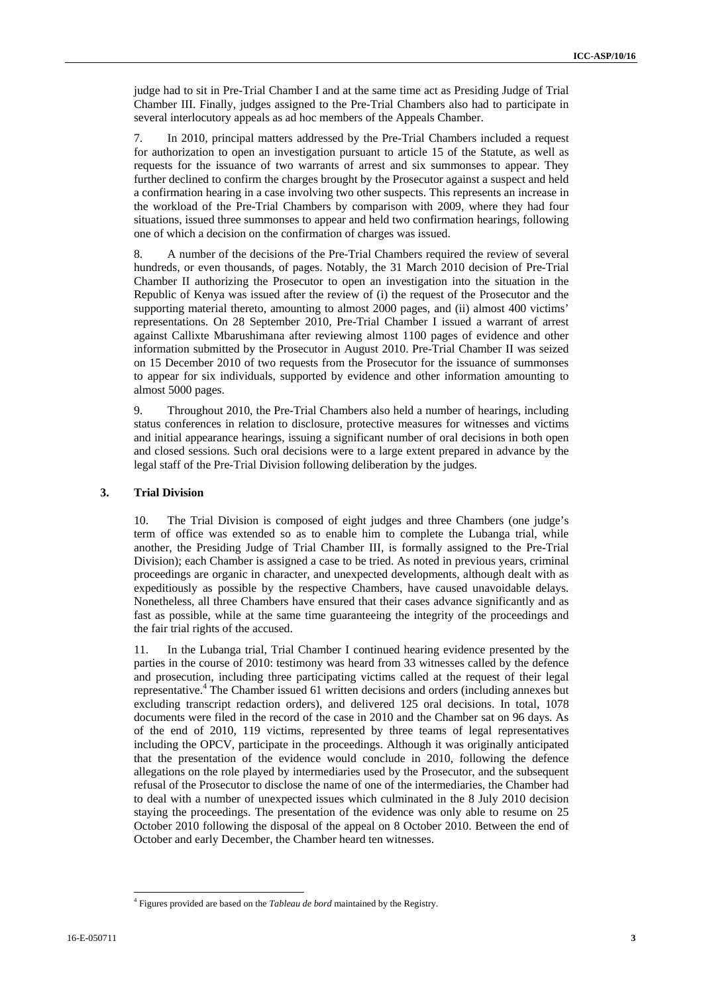judge had to sit in Pre-Trial Chamber I and at the same time act as Presiding Judge of Trial Chamber III. Finally, judges assigned to the Pre-Trial Chambers also had to participate in several interlocutory appeals as ad hoc members of the Appeals Chamber.

7. In 2010, principal matters addressed by the Pre-Trial Chambers included a request for authorization to open an investigation pursuant to article 15 of the Statute, as well as requests for the issuance of two warrants of arrest and six summonses to appear. They further declined to confirm the charges brought by the Prosecutor against a suspect and held a confirmation hearing in a case involving two other suspects. This represents an increase in the workload of the Pre-Trial Chambers by comparison with 2009, where they had four situations, issued three summonses to appear and held two confirmation hearings, following one of which a decision on the confirmation of charges was issued.

8. A number of the decisions of the Pre-Trial Chambers required the review of several hundreds, or even thousands, of pages. Notably, the 31 March 2010 decision of Pre-Trial Chamber II authorizing the Prosecutor to open an investigation into the situation in the Republic of Kenya was issued after the review of (i) the request of the Prosecutor and the supporting material thereto, amounting to almost 2000 pages, and (ii) almost 400 victims' representations. On 28 September 2010, Pre-Trial Chamber I issued a warrant of arrest against Callixte Mbarushimana after reviewing almost 1100 pages of evidence and other information submitted by the Prosecutor in August 2010. Pre-Trial Chamber II was seized on 15 December 2010 of two requests from the Prosecutor for the issuance of summonses to appear for six individuals, supported by evidence and other information amounting to almost 5000 pages.

9. Throughout 2010, the Pre-Trial Chambers also held a number of hearings, including status conferences in relation to disclosure, protective measures for witnesses and victims and initial appearance hearings, issuing a significant number of oral decisions in both open and closed sessions. Such oral decisions were to a large extent prepared in advance by the legal staff of the Pre-Trial Division following deliberation by the judges.

#### **3. Trial Division**

10. The Trial Division is composed of eight judges and three Chambers (one judge's term of office was extended so as to enable him to complete the Lubanga trial, while another, the Presiding Judge of Trial Chamber III, is formally assigned to the Pre-Trial Division); each Chamber is assigned a case to be tried. As noted in previous years, criminal proceedings are organic in character, and unexpected developments, although dealt with as expeditiously as possible by the respective Chambers, have caused unavoidable delays. Nonetheless, all three Chambers have ensured that their cases advance significantly and as fast as possible, while at the same time guaranteeing the integrity of the proceedings and the fair trial rights of the accused.

11. In the Lubanga trial, Trial Chamber I continued hearing evidence presented by the parties in the course of 2010: testimony was heard from 33 witnesses called by the defence and prosecution, including three participating victims called at the request of their legal representative.<sup>4</sup> The Chamber issued 61 written decisions and orders (including annexes but excluding transcript redaction orders), and delivered 125 oral decisions. In total, 1078 documents were filed in the record of the case in 2010 and the Chamber sat on 96 days. As of the end of 2010, 119 victims, represented by three teams of legal representatives including the OPCV, participate in the proceedings. Although it was originally anticipated that the presentation of the evidence would conclude in 2010, following the defence allegations on the role played by intermediaries used by the Prosecutor, and the subsequent refusal of the Prosecutor to disclose the name of one of the intermediaries, the Chamber had to deal with a number of unexpected issues which culminated in the 8 July 2010 decision staying the proceedings. The presentation of the evidence was only able to resume on 25 October 2010 following the disposal of the appeal on 8 October 2010. Between the end of October and early December, the Chamber heard ten witnesses.

 $\overline{\phantom{a}}$ 

<sup>4</sup> Figures provided are based on the *Tableau de bord* maintained by the Registry.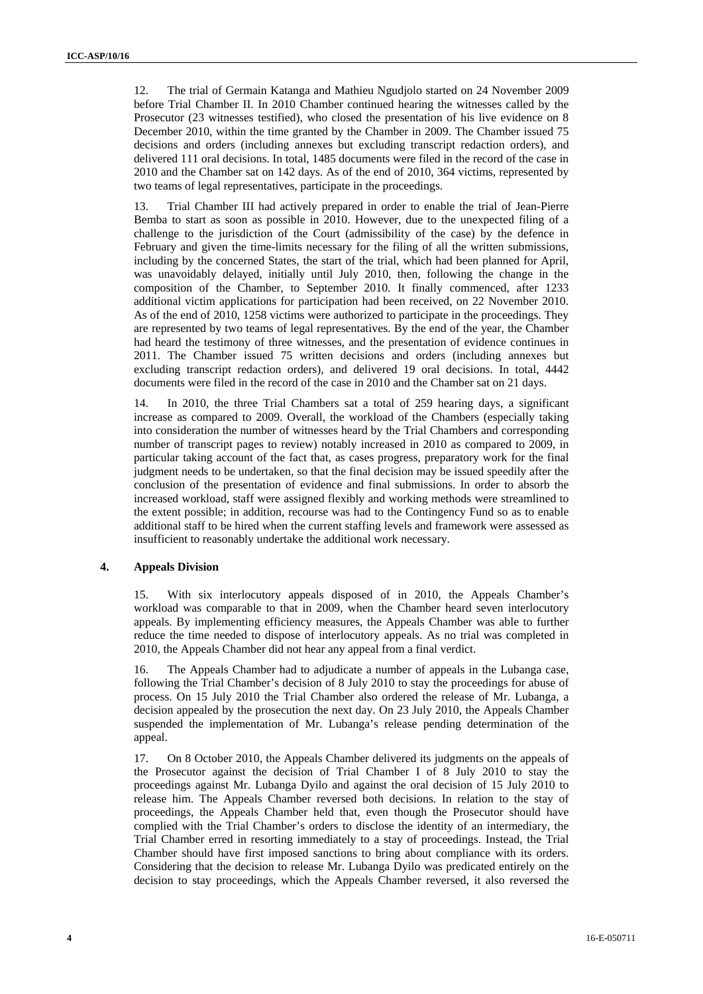12. The trial of Germain Katanga and Mathieu Ngudjolo started on 24 November 2009 before Trial Chamber II. In 2010 Chamber continued hearing the witnesses called by the Prosecutor (23 witnesses testified), who closed the presentation of his live evidence on 8 December 2010, within the time granted by the Chamber in 2009. The Chamber issued 75 decisions and orders (including annexes but excluding transcript redaction orders), and delivered 111 oral decisions. In total, 1485 documents were filed in the record of the case in 2010 and the Chamber sat on 142 days. As of the end of 2010, 364 victims, represented by two teams of legal representatives, participate in the proceedings.

13. Trial Chamber III had actively prepared in order to enable the trial of Jean-Pierre Bemba to start as soon as possible in 2010. However, due to the unexpected filing of a challenge to the jurisdiction of the Court (admissibility of the case) by the defence in February and given the time-limits necessary for the filing of all the written submissions, including by the concerned States, the start of the trial, which had been planned for April, was unavoidably delayed, initially until July 2010, then, following the change in the composition of the Chamber, to September 2010. It finally commenced, after 1233 additional victim applications for participation had been received, on 22 November 2010. As of the end of 2010, 1258 victims were authorized to participate in the proceedings. They are represented by two teams of legal representatives. By the end of the year, the Chamber had heard the testimony of three witnesses, and the presentation of evidence continues in 2011. The Chamber issued 75 written decisions and orders (including annexes but excluding transcript redaction orders), and delivered 19 oral decisions. In total, 4442 documents were filed in the record of the case in 2010 and the Chamber sat on 21 days.

14. In 2010, the three Trial Chambers sat a total of 259 hearing days, a significant increase as compared to 2009. Overall, the workload of the Chambers (especially taking into consideration the number of witnesses heard by the Trial Chambers and corresponding number of transcript pages to review) notably increased in 2010 as compared to 2009, in particular taking account of the fact that, as cases progress, preparatory work for the final judgment needs to be undertaken, so that the final decision may be issued speedily after the conclusion of the presentation of evidence and final submissions. In order to absorb the increased workload, staff were assigned flexibly and working methods were streamlined to the extent possible; in addition, recourse was had to the Contingency Fund so as to enable additional staff to be hired when the current staffing levels and framework were assessed as insufficient to reasonably undertake the additional work necessary.

#### **4. Appeals Division**

15. With six interlocutory appeals disposed of in 2010, the Appeals Chamber's workload was comparable to that in 2009, when the Chamber heard seven interlocutory appeals. By implementing efficiency measures, the Appeals Chamber was able to further reduce the time needed to dispose of interlocutory appeals. As no trial was completed in 2010, the Appeals Chamber did not hear any appeal from a final verdict.

16. The Appeals Chamber had to adjudicate a number of appeals in the Lubanga case, following the Trial Chamber's decision of 8 July 2010 to stay the proceedings for abuse of process. On 15 July 2010 the Trial Chamber also ordered the release of Mr. Lubanga, a decision appealed by the prosecution the next day. On 23 July 2010, the Appeals Chamber suspended the implementation of Mr. Lubanga's release pending determination of the appeal.

17. On 8 October 2010, the Appeals Chamber delivered its judgments on the appeals of the Prosecutor against the decision of Trial Chamber I of 8 July 2010 to stay the proceedings against Mr. Lubanga Dyilo and against the oral decision of 15 July 2010 to release him. The Appeals Chamber reversed both decisions. In relation to the stay of proceedings, the Appeals Chamber held that, even though the Prosecutor should have complied with the Trial Chamber's orders to disclose the identity of an intermediary, the Trial Chamber erred in resorting immediately to a stay of proceedings. Instead, the Trial Chamber should have first imposed sanctions to bring about compliance with its orders. Considering that the decision to release Mr. Lubanga Dyilo was predicated entirely on the decision to stay proceedings, which the Appeals Chamber reversed, it also reversed the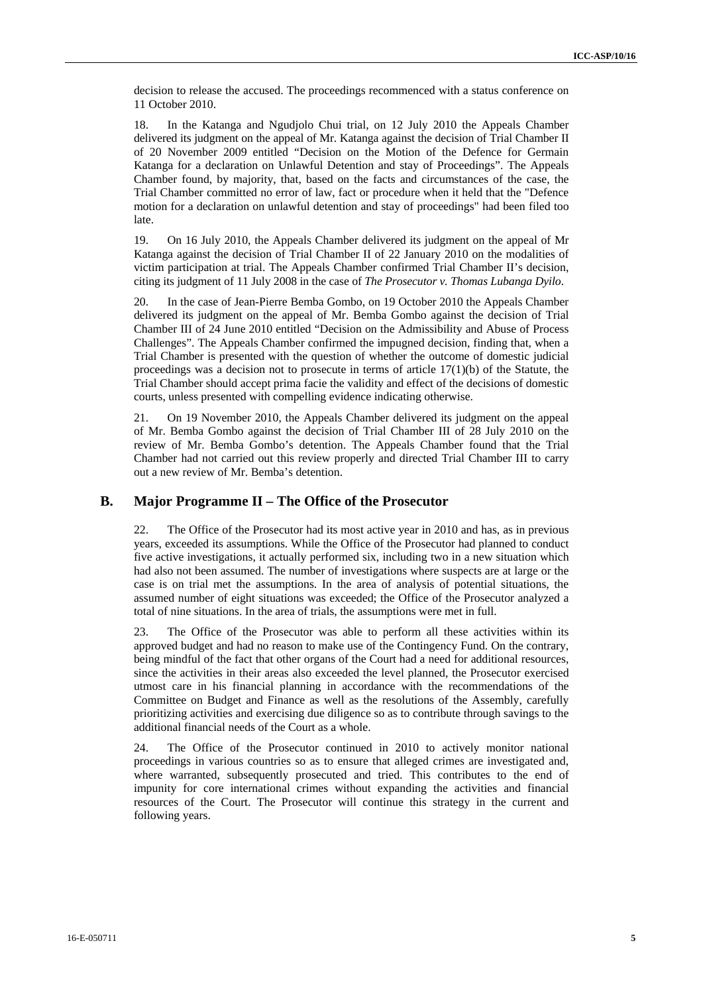decision to release the accused. The proceedings recommenced with a status conference on 11 October 2010.

18. In the Katanga and Ngudjolo Chui trial, on 12 July 2010 the Appeals Chamber delivered its judgment on the appeal of Mr. Katanga against the decision of Trial Chamber II of 20 November 2009 entitled "Decision on the Motion of the Defence for Germain Katanga for a declaration on Unlawful Detention and stay of Proceedings". The Appeals Chamber found, by majority, that, based on the facts and circumstances of the case, the Trial Chamber committed no error of law, fact or procedure when it held that the "Defence motion for a declaration on unlawful detention and stay of proceedings" had been filed too late.

19. On 16 July 2010, the Appeals Chamber delivered its judgment on the appeal of Mr Katanga against the decision of Trial Chamber II of 22 January 2010 on the modalities of victim participation at trial. The Appeals Chamber confirmed Trial Chamber II's decision, citing its judgment of 11 July 2008 in the case of *The Prosecutor v. Thomas Lubanga Dyilo*.

20. In the case of Jean-Pierre Bemba Gombo, on 19 October 2010 the Appeals Chamber delivered its judgment on the appeal of Mr. Bemba Gombo against the decision of Trial Chamber III of 24 June 2010 entitled "Decision on the Admissibility and Abuse of Process Challenges". The Appeals Chamber confirmed the impugned decision, finding that, when a Trial Chamber is presented with the question of whether the outcome of domestic judicial proceedings was a decision not to prosecute in terms of article  $17(1)(b)$  of the Statute, the Trial Chamber should accept prima facie the validity and effect of the decisions of domestic courts, unless presented with compelling evidence indicating otherwise.

21. On 19 November 2010, the Appeals Chamber delivered its judgment on the appeal of Mr. Bemba Gombo against the decision of Trial Chamber III of 28 July 2010 on the review of Mr. Bemba Gombo's detention. The Appeals Chamber found that the Trial Chamber had not carried out this review properly and directed Trial Chamber III to carry out a new review of Mr. Bemba's detention.

### **B. Major Programme II – The Office of the Prosecutor**

22. The Office of the Prosecutor had its most active year in 2010 and has, as in previous years, exceeded its assumptions. While the Office of the Prosecutor had planned to conduct five active investigations, it actually performed six, including two in a new situation which had also not been assumed. The number of investigations where suspects are at large or the case is on trial met the assumptions. In the area of analysis of potential situations, the assumed number of eight situations was exceeded; the Office of the Prosecutor analyzed a total of nine situations. In the area of trials, the assumptions were met in full.

23. The Office of the Prosecutor was able to perform all these activities within its approved budget and had no reason to make use of the Contingency Fund. On the contrary, being mindful of the fact that other organs of the Court had a need for additional resources, since the activities in their areas also exceeded the level planned, the Prosecutor exercised utmost care in his financial planning in accordance with the recommendations of the Committee on Budget and Finance as well as the resolutions of the Assembly, carefully prioritizing activities and exercising due diligence so as to contribute through savings to the additional financial needs of the Court as a whole.

24. The Office of the Prosecutor continued in 2010 to actively monitor national proceedings in various countries so as to ensure that alleged crimes are investigated and, where warranted, subsequently prosecuted and tried. This contributes to the end of impunity for core international crimes without expanding the activities and financial resources of the Court. The Prosecutor will continue this strategy in the current and following years.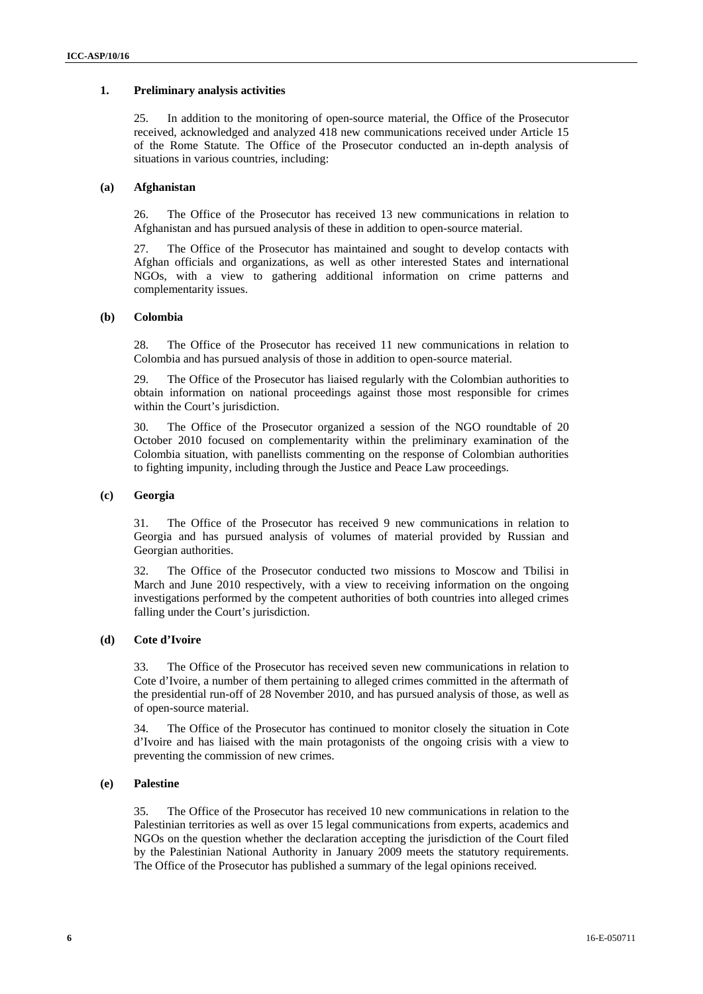#### **1. Preliminary analysis activities**

25. In addition to the monitoring of open-source material, the Office of the Prosecutor received, acknowledged and analyzed 418 new communications received under Article 15 of the Rome Statute. The Office of the Prosecutor conducted an in-depth analysis of situations in various countries, including:

#### **(a) Afghanistan**

26. The Office of the Prosecutor has received 13 new communications in relation to Afghanistan and has pursued analysis of these in addition to open-source material.

27. The Office of the Prosecutor has maintained and sought to develop contacts with Afghan officials and organizations, as well as other interested States and international NGOs, with a view to gathering additional information on crime patterns and complementarity issues.

#### **(b) Colombia**

28. The Office of the Prosecutor has received 11 new communications in relation to Colombia and has pursued analysis of those in addition to open-source material.

29. The Office of the Prosecutor has liaised regularly with the Colombian authorities to obtain information on national proceedings against those most responsible for crimes within the Court's jurisdiction.

30. The Office of the Prosecutor organized a session of the NGO roundtable of 20 October 2010 focused on complementarity within the preliminary examination of the Colombia situation, with panellists commenting on the response of Colombian authorities to fighting impunity, including through the Justice and Peace Law proceedings.

#### **(c) Georgia**

31. The Office of the Prosecutor has received 9 new communications in relation to Georgia and has pursued analysis of volumes of material provided by Russian and Georgian authorities.

32. The Office of the Prosecutor conducted two missions to Moscow and Tbilisi in March and June 2010 respectively, with a view to receiving information on the ongoing investigations performed by the competent authorities of both countries into alleged crimes falling under the Court's jurisdiction.

#### **(d) Cote d'Ivoire**

33. The Office of the Prosecutor has received seven new communications in relation to Cote d'Ivoire, a number of them pertaining to alleged crimes committed in the aftermath of the presidential run-off of 28 November 2010, and has pursued analysis of those, as well as of open-source material.

34. The Office of the Prosecutor has continued to monitor closely the situation in Cote d'Ivoire and has liaised with the main protagonists of the ongoing crisis with a view to preventing the commission of new crimes.

#### **(e) Palestine**

35. The Office of the Prosecutor has received 10 new communications in relation to the Palestinian territories as well as over 15 legal communications from experts, academics and NGOs on the question whether the declaration accepting the jurisdiction of the Court filed by the Palestinian National Authority in January 2009 meets the statutory requirements. The Office of the Prosecutor has published a summary of the legal opinions received.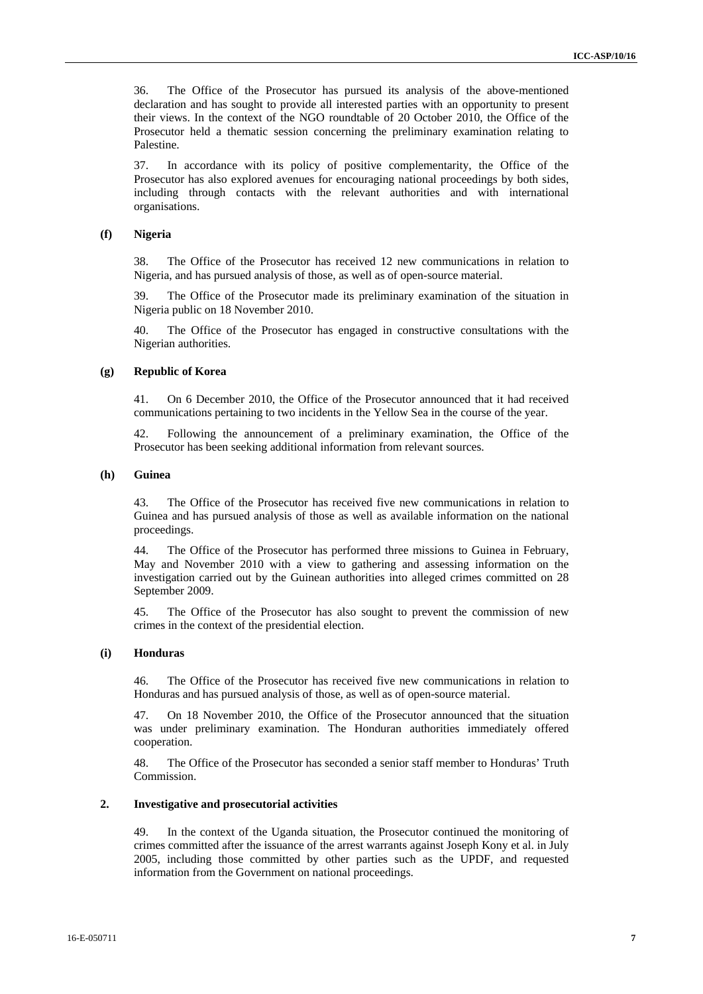36. The Office of the Prosecutor has pursued its analysis of the above-mentioned declaration and has sought to provide all interested parties with an opportunity to present their views. In the context of the NGO roundtable of 20 October 2010, the Office of the Prosecutor held a thematic session concerning the preliminary examination relating to Palestine.

37. In accordance with its policy of positive complementarity, the Office of the Prosecutor has also explored avenues for encouraging national proceedings by both sides, including through contacts with the relevant authorities and with international organisations.

#### **(f) Nigeria**

38. The Office of the Prosecutor has received 12 new communications in relation to Nigeria, and has pursued analysis of those, as well as of open-source material.

39. The Office of the Prosecutor made its preliminary examination of the situation in Nigeria public on 18 November 2010.

40. The Office of the Prosecutor has engaged in constructive consultations with the Nigerian authorities.

#### **(g) Republic of Korea**

41. On 6 December 2010, the Office of the Prosecutor announced that it had received communications pertaining to two incidents in the Yellow Sea in the course of the year.

42. Following the announcement of a preliminary examination, the Office of the Prosecutor has been seeking additional information from relevant sources.

#### **(h) Guinea**

43. The Office of the Prosecutor has received five new communications in relation to Guinea and has pursued analysis of those as well as available information on the national proceedings.

44. The Office of the Prosecutor has performed three missions to Guinea in February, May and November 2010 with a view to gathering and assessing information on the investigation carried out by the Guinean authorities into alleged crimes committed on 28 September 2009.

45. The Office of the Prosecutor has also sought to prevent the commission of new crimes in the context of the presidential election.

#### **(i) Honduras**

46. The Office of the Prosecutor has received five new communications in relation to Honduras and has pursued analysis of those, as well as of open-source material.

47. On 18 November 2010, the Office of the Prosecutor announced that the situation was under preliminary examination. The Honduran authorities immediately offered cooperation.

48. The Office of the Prosecutor has seconded a senior staff member to Honduras' Truth Commission.

#### **2. Investigative and prosecutorial activities**

49. In the context of the Uganda situation, the Prosecutor continued the monitoring of crimes committed after the issuance of the arrest warrants against Joseph Kony et al. in July 2005, including those committed by other parties such as the UPDF, and requested information from the Government on national proceedings.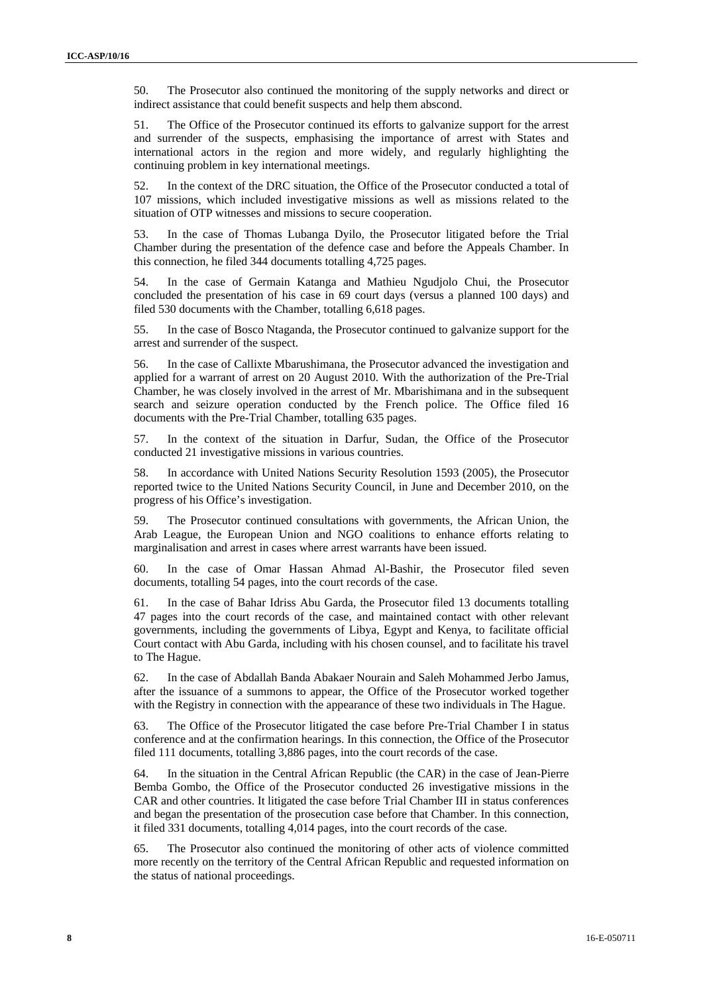50. The Prosecutor also continued the monitoring of the supply networks and direct or indirect assistance that could benefit suspects and help them abscond.

51. The Office of the Prosecutor continued its efforts to galvanize support for the arrest and surrender of the suspects, emphasising the importance of arrest with States and international actors in the region and more widely, and regularly highlighting the continuing problem in key international meetings.

52. In the context of the DRC situation, the Office of the Prosecutor conducted a total of 107 missions, which included investigative missions as well as missions related to the situation of OTP witnesses and missions to secure cooperation.

53. In the case of Thomas Lubanga Dyilo*,* the Prosecutor litigated before the Trial Chamber during the presentation of the defence case and before the Appeals Chamber. In this connection, he filed 344 documents totalling 4,725 pages.

54. In the case of Germain Katanga and Mathieu Ngudjolo Chui, the Prosecutor concluded the presentation of his case in 69 court days (versus a planned 100 days) and filed 530 documents with the Chamber, totalling 6,618 pages.

55. In the case of Bosco Ntaganda, the Prosecutor continued to galvanize support for the arrest and surrender of the suspect.

56. In the case of Callixte Mbarushimana, the Prosecutor advanced the investigation and applied for a warrant of arrest on 20 August 2010. With the authorization of the Pre-Trial Chamber, he was closely involved in the arrest of Mr. Mbarishimana and in the subsequent search and seizure operation conducted by the French police. The Office filed 16 documents with the Pre-Trial Chamber, totalling 635 pages.

57. In the context of the situation in Darfur, Sudan, the Office of the Prosecutor conducted 21 investigative missions in various countries.

58. In accordance with United Nations Security Resolution 1593 (2005), the Prosecutor reported twice to the United Nations Security Council, in June and December 2010, on the progress of his Office's investigation.

59. The Prosecutor continued consultations with governments, the African Union, the Arab League, the European Union and NGO coalitions to enhance efforts relating to marginalisation and arrest in cases where arrest warrants have been issued.

60. In the case of Omar Hassan Ahmad Al-Bashir, the Prosecutor filed seven documents, totalling 54 pages, into the court records of the case.

61. In the case of Bahar Idriss Abu Garda, the Prosecutor filed 13 documents totalling 47 pages into the court records of the case, and maintained contact with other relevant governments, including the governments of Libya, Egypt and Kenya, to facilitate official Court contact with Abu Garda, including with his chosen counsel, and to facilitate his travel to The Hague.

62. In the case of Abdallah Banda Abakaer Nourain and Saleh Mohammed Jerbo Jamus, after the issuance of a summons to appear, the Office of the Prosecutor worked together with the Registry in connection with the appearance of these two individuals in The Hague.

63. The Office of the Prosecutor litigated the case before Pre-Trial Chamber I in status conference and at the confirmation hearings. In this connection, the Office of the Prosecutor filed 111 documents, totalling 3,886 pages, into the court records of the case.

64. In the situation in the Central African Republic (the CAR) in the case of Jean-Pierre Bemba Gombo, the Office of the Prosecutor conducted 26 investigative missions in the CAR and other countries. It litigated the case before Trial Chamber III in status conferences and began the presentation of the prosecution case before that Chamber. In this connection, it filed 331 documents, totalling 4,014 pages, into the court records of the case.

65. The Prosecutor also continued the monitoring of other acts of violence committed more recently on the territory of the Central African Republic and requested information on the status of national proceedings.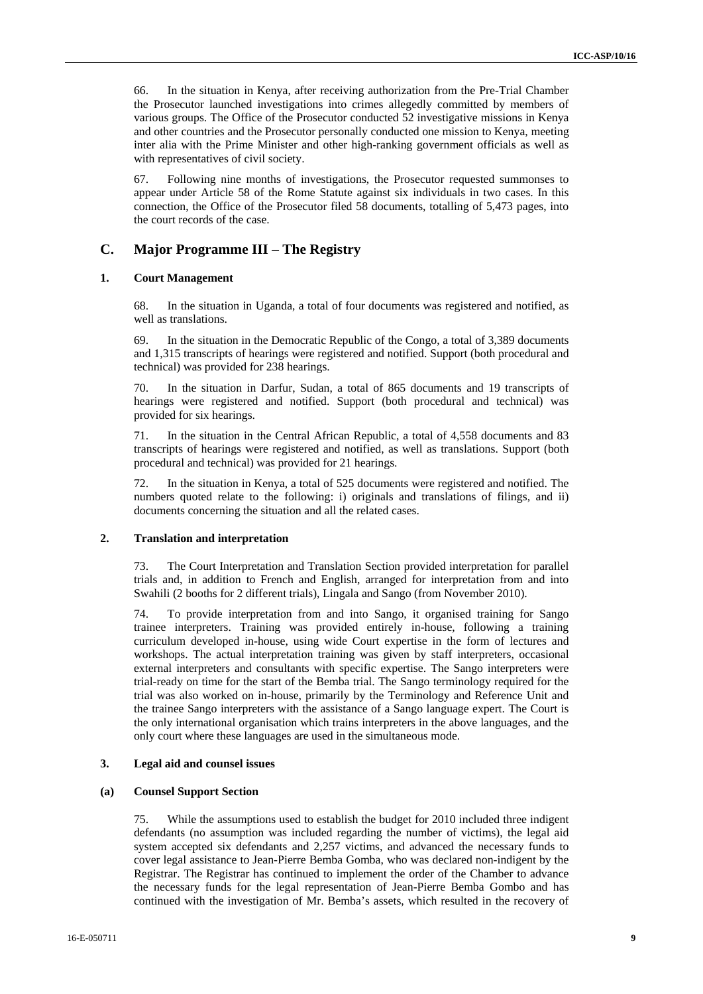66. In the situation in Kenya, after receiving authorization from the Pre-Trial Chamber the Prosecutor launched investigations into crimes allegedly committed by members of various groups. The Office of the Prosecutor conducted 52 investigative missions in Kenya and other countries and the Prosecutor personally conducted one mission to Kenya, meeting inter alia with the Prime Minister and other high-ranking government officials as well as with representatives of civil society.

67. Following nine months of investigations, the Prosecutor requested summonses to appear under Article 58 of the Rome Statute against six individuals in two cases. In this connection, the Office of the Prosecutor filed 58 documents, totalling of 5,473 pages, into the court records of the case.

#### **C. Major Programme III – The Registry**

#### **1. Court Management**

68. In the situation in Uganda, a total of four documents was registered and notified, as well as translations.

69. In the situation in the Democratic Republic of the Congo, a total of 3,389 documents and 1,315 transcripts of hearings were registered and notified. Support (both procedural and technical) was provided for 238 hearings.

70. In the situation in Darfur, Sudan, a total of 865 documents and 19 transcripts of hearings were registered and notified. Support (both procedural and technical) was provided for six hearings.

71. In the situation in the Central African Republic, a total of 4,558 documents and 83 transcripts of hearings were registered and notified, as well as translations. Support (both procedural and technical) was provided for 21 hearings.

72. In the situation in Kenya, a total of 525 documents were registered and notified. The numbers quoted relate to the following: i) originals and translations of filings, and ii) documents concerning the situation and all the related cases.

#### **2. Translation and interpretation**

73. The Court Interpretation and Translation Section provided interpretation for parallel trials and, in addition to French and English, arranged for interpretation from and into Swahili (2 booths for 2 different trials), Lingala and Sango (from November 2010).

74. To provide interpretation from and into Sango, it organised training for Sango trainee interpreters. Training was provided entirely in-house, following a training curriculum developed in-house, using wide Court expertise in the form of lectures and workshops. The actual interpretation training was given by staff interpreters, occasional external interpreters and consultants with specific expertise. The Sango interpreters were trial-ready on time for the start of the Bemba trial. The Sango terminology required for the trial was also worked on in-house, primarily by the Terminology and Reference Unit and the trainee Sango interpreters with the assistance of a Sango language expert. The Court is the only international organisation which trains interpreters in the above languages, and the only court where these languages are used in the simultaneous mode.

#### **3. Legal aid and counsel issues**

#### **(a) Counsel Support Section**

75. While the assumptions used to establish the budget for 2010 included three indigent defendants (no assumption was included regarding the number of victims), the legal aid system accepted six defendants and 2,257 victims, and advanced the necessary funds to cover legal assistance to Jean-Pierre Bemba Gomba, who was declared non-indigent by the Registrar. The Registrar has continued to implement the order of the Chamber to advance the necessary funds for the legal representation of Jean-Pierre Bemba Gombo and has continued with the investigation of Mr. Bemba's assets, which resulted in the recovery of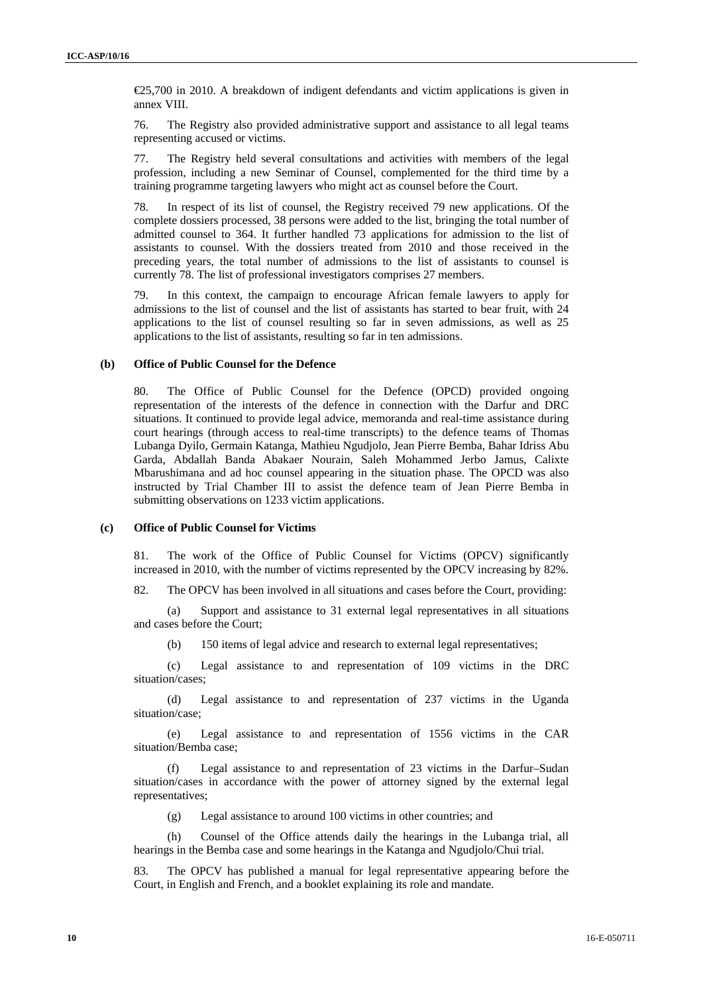€25,700 in 2010. A breakdown of indigent defendants and victim applications is given in annex VIII.

76. The Registry also provided administrative support and assistance to all legal teams representing accused or victims.

77. The Registry held several consultations and activities with members of the legal profession, including a new Seminar of Counsel, complemented for the third time by a training programme targeting lawyers who might act as counsel before the Court.

78. In respect of its list of counsel, the Registry received 79 new applications. Of the complete dossiers processed, 38 persons were added to the list, bringing the total number of admitted counsel to 364. It further handled 73 applications for admission to the list of assistants to counsel. With the dossiers treated from 2010 and those received in the preceding years, the total number of admissions to the list of assistants to counsel is currently 78. The list of professional investigators comprises 27 members.

79. In this context, the campaign to encourage African female lawyers to apply for admissions to the list of counsel and the list of assistants has started to bear fruit, with 24 applications to the list of counsel resulting so far in seven admissions, as well as 25 applications to the list of assistants, resulting so far in ten admissions.

#### **(b) Office of Public Counsel for the Defence**

80. The Office of Public Counsel for the Defence (OPCD) provided ongoing representation of the interests of the defence in connection with the Darfur and DRC situations. It continued to provide legal advice, memoranda and real-time assistance during court hearings (through access to real-time transcripts) to the defence teams of Thomas Lubanga Dyilo, Germain Katanga, Mathieu Ngudjolo, Jean Pierre Bemba, Bahar Idriss Abu Garda, Abdallah Banda Abakaer Nourain, Saleh Mohammed Jerbo Jamus, Calixte Mbarushimana and ad hoc counsel appearing in the situation phase. The OPCD was also instructed by Trial Chamber III to assist the defence team of Jean Pierre Bemba in submitting observations on 1233 victim applications.

#### **(c) Office of Public Counsel for Victims**

81. The work of the Office of Public Counsel for Victims (OPCV) significantly increased in 2010, with the number of victims represented by the OPCV increasing by 82%.

82. The OPCV has been involved in all situations and cases before the Court, providing:

(a) Support and assistance to 31 external legal representatives in all situations and cases before the Court;

(b) 150 items of legal advice and research to external legal representatives;

(c) Legal assistance to and representation of 109 victims in the DRC situation/cases;

(d) Legal assistance to and representation of 237 victims in the Uganda situation/case;

(e) Legal assistance to and representation of 1556 victims in the CAR situation/Bemba case;

Legal assistance to and representation of 23 victims in the Darfur–Sudan situation/cases in accordance with the power of attorney signed by the external legal representatives;

(g) Legal assistance to around 100 victims in other countries; and

(h) Counsel of the Office attends daily the hearings in the Lubanga trial, all hearings in the Bemba case and some hearings in the Katanga and Ngudjolo/Chui trial.

83. The OPCV has published a manual for legal representative appearing before the Court, in English and French, and a booklet explaining its role and mandate.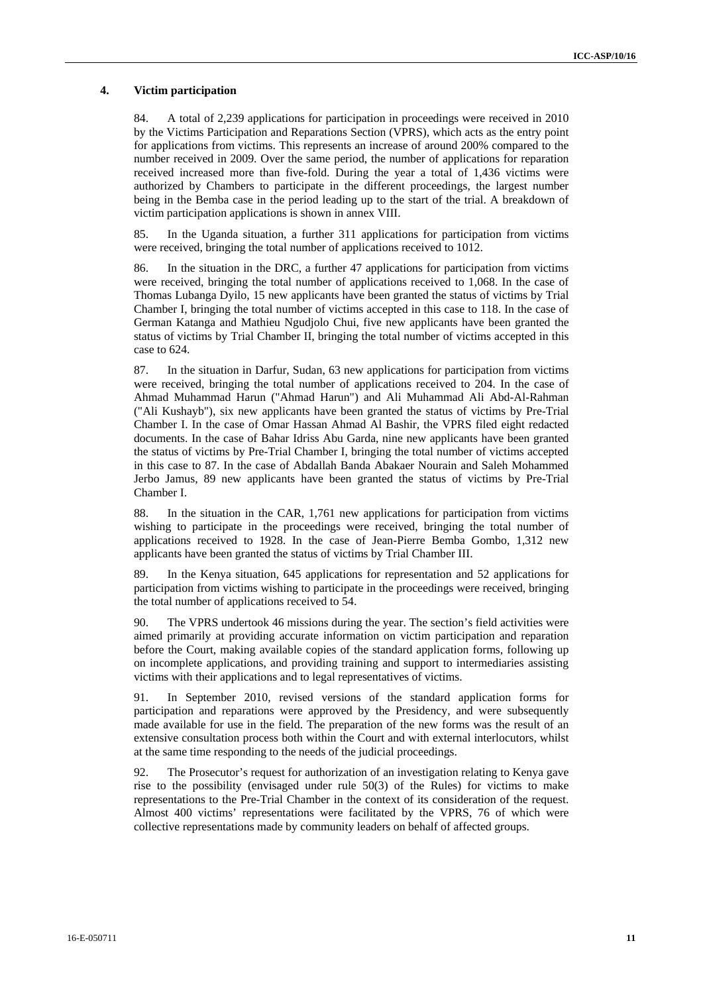#### **4. Victim participation**

84. A total of 2,239 applications for participation in proceedings were received in 2010 by the Victims Participation and Reparations Section (VPRS), which acts as the entry point for applications from victims. This represents an increase of around 200% compared to the number received in 2009. Over the same period, the number of applications for reparation received increased more than five-fold. During the year a total of 1,436 victims were authorized by Chambers to participate in the different proceedings, the largest number being in the Bemba case in the period leading up to the start of the trial. A breakdown of victim participation applications is shown in annex VIII.

85. In the Uganda situation, a further 311 applications for participation from victims were received, bringing the total number of applications received to 1012.

86. In the situation in the DRC, a further 47 applications for participation from victims were received, bringing the total number of applications received to 1,068. In the case of Thomas Lubanga Dyilo, 15 new applicants have been granted the status of victims by Trial Chamber I, bringing the total number of victims accepted in this case to 118. In the case of German Katanga and Mathieu Ngudjolo Chui, five new applicants have been granted the status of victims by Trial Chamber II, bringing the total number of victims accepted in this case to 624.

87. In the situation in Darfur, Sudan, 63 new applications for participation from victims were received, bringing the total number of applications received to 204. In the case of Ahmad Muhammad Harun ("Ahmad Harun") and Ali Muhammad Ali Abd-Al-Rahman ("Ali Kushayb"), six new applicants have been granted the status of victims by Pre-Trial Chamber I. In the case of Omar Hassan Ahmad Al Bashir, the VPRS filed eight redacted documents. In the case of Bahar Idriss Abu Garda, nine new applicants have been granted the status of victims by Pre-Trial Chamber I, bringing the total number of victims accepted in this case to 87. In the case of Abdallah Banda Abakaer Nourain and Saleh Mohammed Jerbo Jamus, 89 new applicants have been granted the status of victims by Pre-Trial Chamber I.

88. In the situation in the CAR, 1,761 new applications for participation from victims wishing to participate in the proceedings were received, bringing the total number of applications received to 1928. In the case of Jean-Pierre Bemba Gombo, 1,312 new applicants have been granted the status of victims by Trial Chamber III.

89. In the Kenya situation, 645 applications for representation and 52 applications for participation from victims wishing to participate in the proceedings were received, bringing the total number of applications received to 54.

90. The VPRS undertook 46 missions during the year. The section's field activities were aimed primarily at providing accurate information on victim participation and reparation before the Court, making available copies of the standard application forms, following up on incomplete applications, and providing training and support to intermediaries assisting victims with their applications and to legal representatives of victims.

91. In September 2010, revised versions of the standard application forms for participation and reparations were approved by the Presidency, and were subsequently made available for use in the field. The preparation of the new forms was the result of an extensive consultation process both within the Court and with external interlocutors, whilst at the same time responding to the needs of the judicial proceedings.

92. The Prosecutor's request for authorization of an investigation relating to Kenya gave rise to the possibility (envisaged under rule 50(3) of the Rules) for victims to make representations to the Pre-Trial Chamber in the context of its consideration of the request. Almost 400 victims' representations were facilitated by the VPRS, 76 of which were collective representations made by community leaders on behalf of affected groups.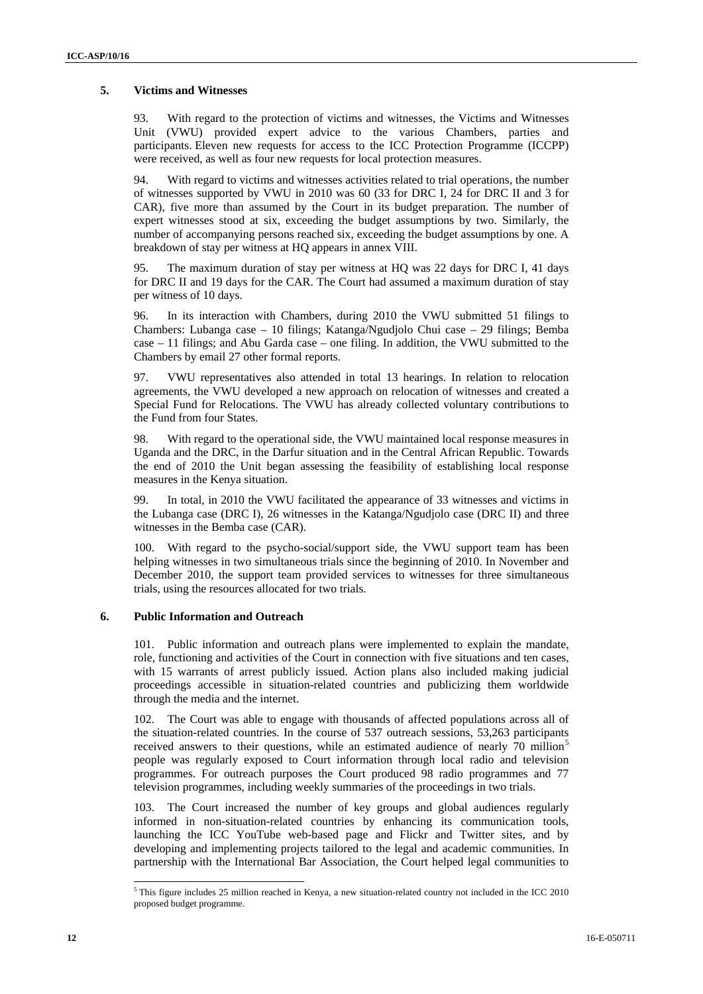#### **5. Victims and Witnesses**

93. With regard to the protection of victims and witnesses, the Victims and Witnesses Unit (VWU) provided expert advice to the various Chambers, parties and participants. Eleven new requests for access to the ICC Protection Programme (ICCPP) were received, as well as four new requests for local protection measures.

94. With regard to victims and witnesses activities related to trial operations, the number of witnesses supported by VWU in 2010 was 60 (33 for DRC I, 24 for DRC II and 3 for CAR), five more than assumed by the Court in its budget preparation. The number of expert witnesses stood at six, exceeding the budget assumptions by two. Similarly, the number of accompanying persons reached six, exceeding the budget assumptions by one. A breakdown of stay per witness at HQ appears in annex VIII.

95. The maximum duration of stay per witness at HQ was 22 days for DRC I, 41 days for DRC II and 19 days for the CAR. The Court had assumed a maximum duration of stay per witness of 10 days.

96. In its interaction with Chambers, during 2010 the VWU submitted 51 filings to Chambers: Lubanga case – 10 filings; Katanga/Ngudjolo Chui case – 29 filings; Bemba case – 11 filings; and Abu Garda case – one filing. In addition, the VWU submitted to the Chambers by email 27 other formal reports.

97. VWU representatives also attended in total 13 hearings. In relation to relocation agreements, the VWU developed a new approach on relocation of witnesses and created a Special Fund for Relocations. The VWU has already collected voluntary contributions to the Fund from four States.

98. With regard to the operational side, the VWU maintained local response measures in Uganda and the DRC, in the Darfur situation and in the Central African Republic. Towards the end of 2010 the Unit began assessing the feasibility of establishing local response measures in the Kenya situation.

99. In total, in 2010 the VWU facilitated the appearance of 33 witnesses and victims in the Lubanga case (DRC I), 26 witnesses in the Katanga/Ngudjolo case (DRC II) and three witnesses in the Bemba case (CAR).

100. With regard to the psycho-social/support side, the VWU support team has been helping witnesses in two simultaneous trials since the beginning of 2010. In November and December 2010, the support team provided services to witnesses for three simultaneous trials, using the resources allocated for two trials.

#### **6. Public Information and Outreach**

101. Public information and outreach plans were implemented to explain the mandate, role, functioning and activities of the Court in connection with five situations and ten cases, with 15 warrants of arrest publicly issued. Action plans also included making judicial proceedings accessible in situation-related countries and publicizing them worldwide through the media and the internet.

102. The Court was able to engage with thousands of affected populations across all of the situation-related countries. In the course of 537 outreach sessions, 53,263 participants received answers to their questions, while an estimated audience of nearly 70 million<sup>5</sup> people was regularly exposed to Court information through local radio and television programmes. For outreach purposes the Court produced 98 radio programmes and 77 television programmes, including weekly summaries of the proceedings in two trials.

103. The Court increased the number of key groups and global audiences regularly informed in non-situation-related countries by enhancing its communication tools, launching the ICC YouTube web-based page and Flickr and Twitter sites, and by developing and implementing projects tailored to the legal and academic communities. In partnership with the International Bar Association, the Court helped legal communities to

 5 This figure includes 25 million reached in Kenya, a new situation-related country not included in the ICC 2010 proposed budget programme.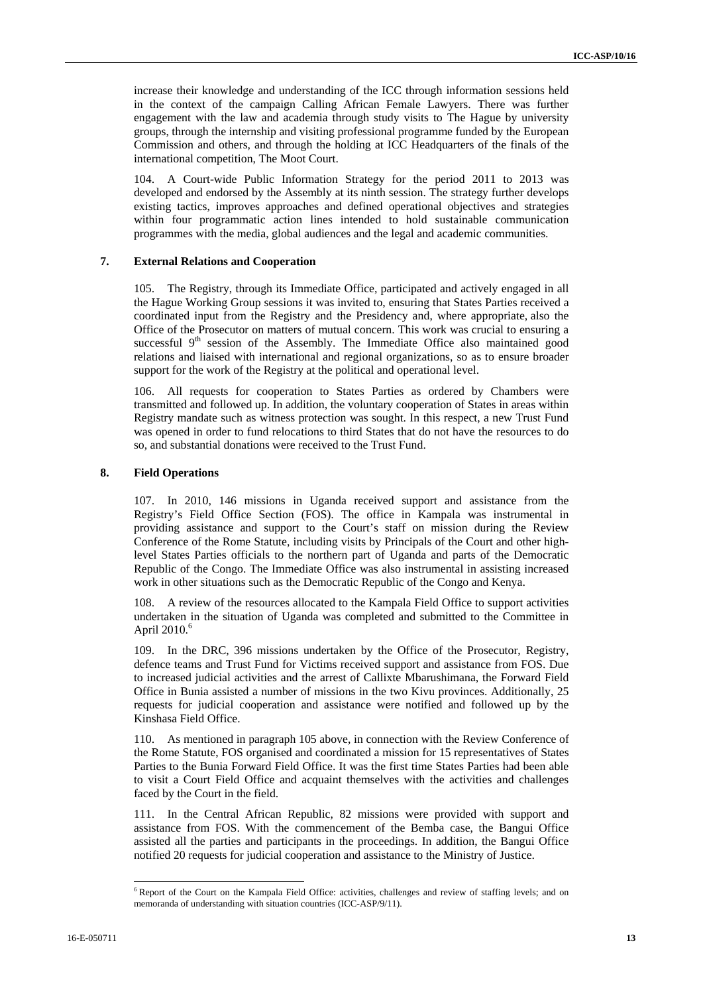increase their knowledge and understanding of the ICC through information sessions held in the context of the campaign Calling African Female Lawyers. There was further engagement with the law and academia through study visits to The Hague by university groups, through the internship and visiting professional programme funded by the European Commission and others, and through the holding at ICC Headquarters of the finals of the international competition, The Moot Court.

104. A Court-wide Public Information Strategy for the period 2011 to 2013 was developed and endorsed by the Assembly at its ninth session. The strategy further develops existing tactics, improves approaches and defined operational objectives and strategies within four programmatic action lines intended to hold sustainable communication programmes with the media, global audiences and the legal and academic communities.

#### **7. External Relations and Cooperation**

105. The Registry, through its Immediate Office, participated and actively engaged in all the Hague Working Group sessions it was invited to, ensuring that States Parties received a coordinated input from the Registry and the Presidency and, where appropriate, also the Office of the Prosecutor on matters of mutual concern. This work was crucial to ensuring a successful 9<sup>th</sup> session of the Assembly. The Immediate Office also maintained good relations and liaised with international and regional organizations, so as to ensure broader support for the work of the Registry at the political and operational level.

106. All requests for cooperation to States Parties as ordered by Chambers were transmitted and followed up. In addition, the voluntary cooperation of States in areas within Registry mandate such as witness protection was sought. In this respect, a new Trust Fund was opened in order to fund relocations to third States that do not have the resources to do so, and substantial donations were received to the Trust Fund.

#### **8. Field Operations**

107. In 2010, 146 missions in Uganda received support and assistance from the Registry's Field Office Section (FOS). The office in Kampala was instrumental in providing assistance and support to the Court's staff on mission during the Review Conference of the Rome Statute, including visits by Principals of the Court and other highlevel States Parties officials to the northern part of Uganda and parts of the Democratic Republic of the Congo. The Immediate Office was also instrumental in assisting increased work in other situations such as the Democratic Republic of the Congo and Kenya.

108. A review of the resources allocated to the Kampala Field Office to support activities undertaken in the situation of Uganda was completed and submitted to the Committee in April  $2010<sup>6</sup>$ 

109. In the DRC, 396 missions undertaken by the Office of the Prosecutor, Registry, defence teams and Trust Fund for Victims received support and assistance from FOS. Due to increased judicial activities and the arrest of Callixte Mbarushimana, the Forward Field Office in Bunia assisted a number of missions in the two Kivu provinces. Additionally, 25 requests for judicial cooperation and assistance were notified and followed up by the Kinshasa Field Office.

110. As mentioned in paragraph 105 above, in connection with the Review Conference of the Rome Statute, FOS organised and coordinated a mission for 15 representatives of States Parties to the Bunia Forward Field Office. It was the first time States Parties had been able to visit a Court Field Office and acquaint themselves with the activities and challenges faced by the Court in the field.

111. In the Central African Republic, 82 missions were provided with support and assistance from FOS. With the commencement of the Bemba case, the Bangui Office assisted all the parties and participants in the proceedings. In addition, the Bangui Office notified 20 requests for judicial cooperation and assistance to the Ministry of Justice.

 $\overline{\phantom{a}}$ 

<sup>&</sup>lt;sup>6</sup> Report of the Court on the Kampala Field Office: activities, challenges and review of staffing levels; and on memoranda of understanding with situation countries (ICC-ASP/9/11).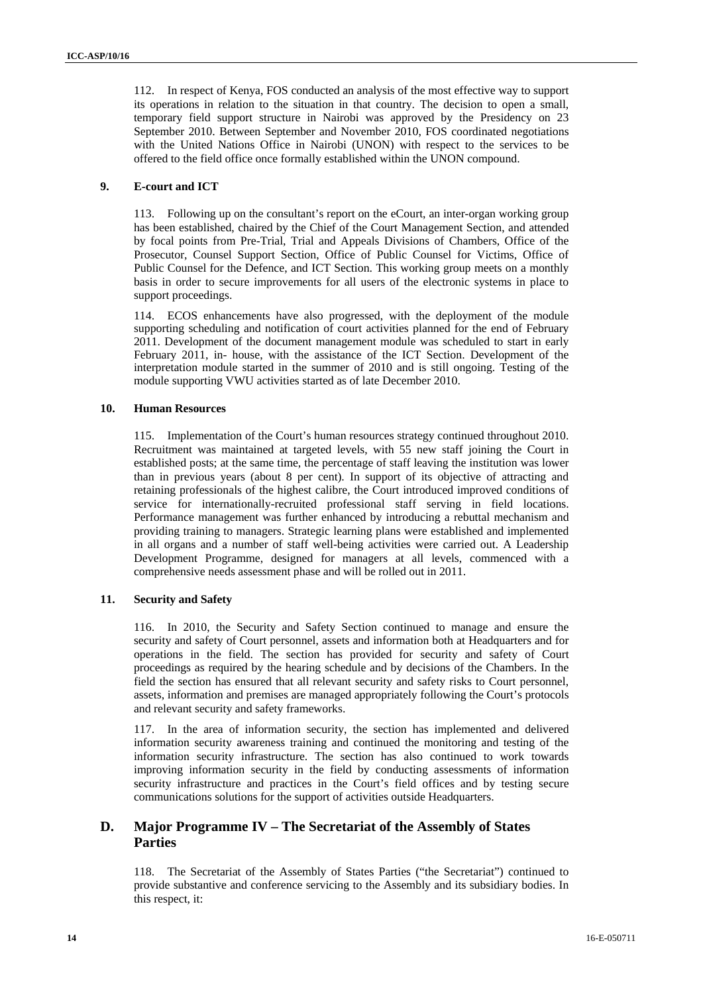112. In respect of Kenya, FOS conducted an analysis of the most effective way to support its operations in relation to the situation in that country. The decision to open a small, temporary field support structure in Nairobi was approved by the Presidency on 23 September 2010. Between September and November 2010, FOS coordinated negotiations with the United Nations Office in Nairobi (UNON) with respect to the services to be offered to the field office once formally established within the UNON compound.

#### **9. E-court and ICT**

113. Following up on the consultant's report on the eCourt, an inter-organ working group has been established, chaired by the Chief of the Court Management Section, and attended by focal points from Pre-Trial, Trial and Appeals Divisions of Chambers, Office of the Prosecutor, Counsel Support Section, Office of Public Counsel for Victims, Office of Public Counsel for the Defence, and ICT Section. This working group meets on a monthly basis in order to secure improvements for all users of the electronic systems in place to support proceedings.

114. ECOS enhancements have also progressed, with the deployment of the module supporting scheduling and notification of court activities planned for the end of February 2011. Development of the document management module was scheduled to start in early February 2011, in- house, with the assistance of the ICT Section. Development of the interpretation module started in the summer of 2010 and is still ongoing. Testing of the module supporting VWU activities started as of late December 2010.

#### **10. Human Resources**

115. Implementation of the Court's human resources strategy continued throughout 2010. Recruitment was maintained at targeted levels, with 55 new staff joining the Court in established posts; at the same time, the percentage of staff leaving the institution was lower than in previous years (about 8 per cent). In support of its objective of attracting and retaining professionals of the highest calibre, the Court introduced improved conditions of service for internationally-recruited professional staff serving in field locations. Performance management was further enhanced by introducing a rebuttal mechanism and providing training to managers. Strategic learning plans were established and implemented in all organs and a number of staff well-being activities were carried out. A Leadership Development Programme, designed for managers at all levels, commenced with a comprehensive needs assessment phase and will be rolled out in 2011.

#### **11. Security and Safety**

116. In 2010, the Security and Safety Section continued to manage and ensure the security and safety of Court personnel, assets and information both at Headquarters and for operations in the field. The section has provided for security and safety of Court proceedings as required by the hearing schedule and by decisions of the Chambers. In the field the section has ensured that all relevant security and safety risks to Court personnel, assets, information and premises are managed appropriately following the Court's protocols and relevant security and safety frameworks.

117. In the area of information security, the section has implemented and delivered information security awareness training and continued the monitoring and testing of the information security infrastructure. The section has also continued to work towards improving information security in the field by conducting assessments of information security infrastructure and practices in the Court's field offices and by testing secure communications solutions for the support of activities outside Headquarters.

### **D. Major Programme IV – The Secretariat of the Assembly of States Parties**

118. The Secretariat of the Assembly of States Parties ("the Secretariat") continued to provide substantive and conference servicing to the Assembly and its subsidiary bodies. In this respect, it: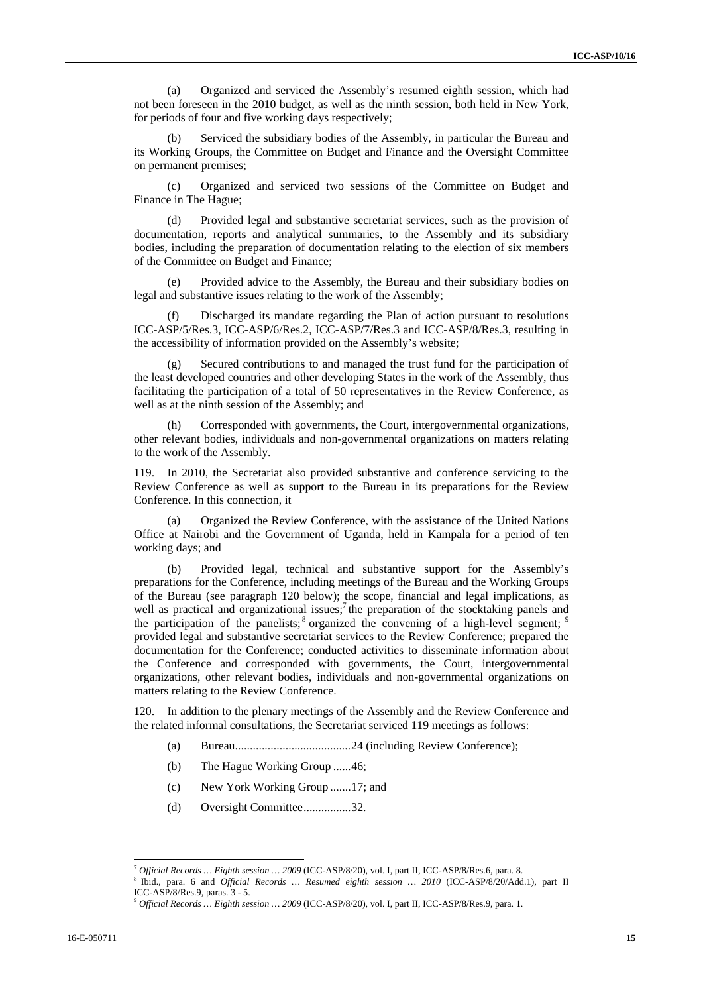(a) Organized and serviced the Assembly's resumed eighth session, which had not been foreseen in the 2010 budget, as well as the ninth session, both held in New York, for periods of four and five working days respectively;

Serviced the subsidiary bodies of the Assembly, in particular the Bureau and its Working Groups, the Committee on Budget and Finance and the Oversight Committee on permanent premises;

(c) Organized and serviced two sessions of the Committee on Budget and Finance in The Hague;

(d) Provided legal and substantive secretariat services, such as the provision of documentation, reports and analytical summaries, to the Assembly and its subsidiary bodies, including the preparation of documentation relating to the election of six members of the Committee on Budget and Finance;

(e) Provided advice to the Assembly, the Bureau and their subsidiary bodies on legal and substantive issues relating to the work of the Assembly;

(f) Discharged its mandate regarding the Plan of action pursuant to resolutions ICC-ASP/5/Res.3, ICC-ASP/6/Res.2, ICC-ASP/7/Res.3 and ICC-ASP/8/Res.3, resulting in the accessibility of information provided on the Assembly's website;

(g) Secured contributions to and managed the trust fund for the participation of the least developed countries and other developing States in the work of the Assembly, thus facilitating the participation of a total of 50 representatives in the Review Conference, as well as at the ninth session of the Assembly; and

(h) Corresponded with governments, the Court, intergovernmental organizations, other relevant bodies, individuals and non-governmental organizations on matters relating to the work of the Assembly.

119. In 2010, the Secretariat also provided substantive and conference servicing to the Review Conference as well as support to the Bureau in its preparations for the Review Conference. In this connection, it

(a) Organized the Review Conference, with the assistance of the United Nations Office at Nairobi and the Government of Uganda, held in Kampala for a period of ten working days; and

(b) Provided legal, technical and substantive support for the Assembly's preparations for the Conference, including meetings of the Bureau and the Working Groups of the Bureau (see paragraph 120 below); the scope, financial and legal implications, as well as practical and organizational issues;<sup>7</sup> the preparation of the stocktaking panels and the participation of the panelists;  $\delta$  organized the convening of a high-level segment; provided legal and substantive secretariat services to the Review Conference; prepared the documentation for the Conference; conducted activities to disseminate information about the Conference and corresponded with governments, the Court, intergovernmental organizations, other relevant bodies, individuals and non-governmental organizations on matters relating to the Review Conference.

120. In addition to the plenary meetings of the Assembly and the Review Conference and the related informal consultations, the Secretariat serviced 119 meetings as follows:

- (a) Bureau.......................................24 (including Review Conference);
- (b) The Hague Working Group ......46;
- (c) New York Working Group .......17; and
- (d) Oversight Committee................32.

 $\overline{\phantom{a}}$ 

<sup>&</sup>lt;sup>7</sup> Official Records … Eighth session … 2009 (ICC-ASP/8/20), vol. I, part II, ICC-ASP/8/Res.6, para. 8.<br><sup>8</sup> Ibid., para. 6 and *Official Records … Resumed eighth session … 2010* (ICC-ASP/8/20/Add.1), part II ICC-ASP/8/Res.9, paras. 3 - 5.

<sup>9</sup> *Official Records … Eighth session … 2009* (ICC-ASP/8/20), vol. I, part II, ICC-ASP/8/Res.9, para. 1.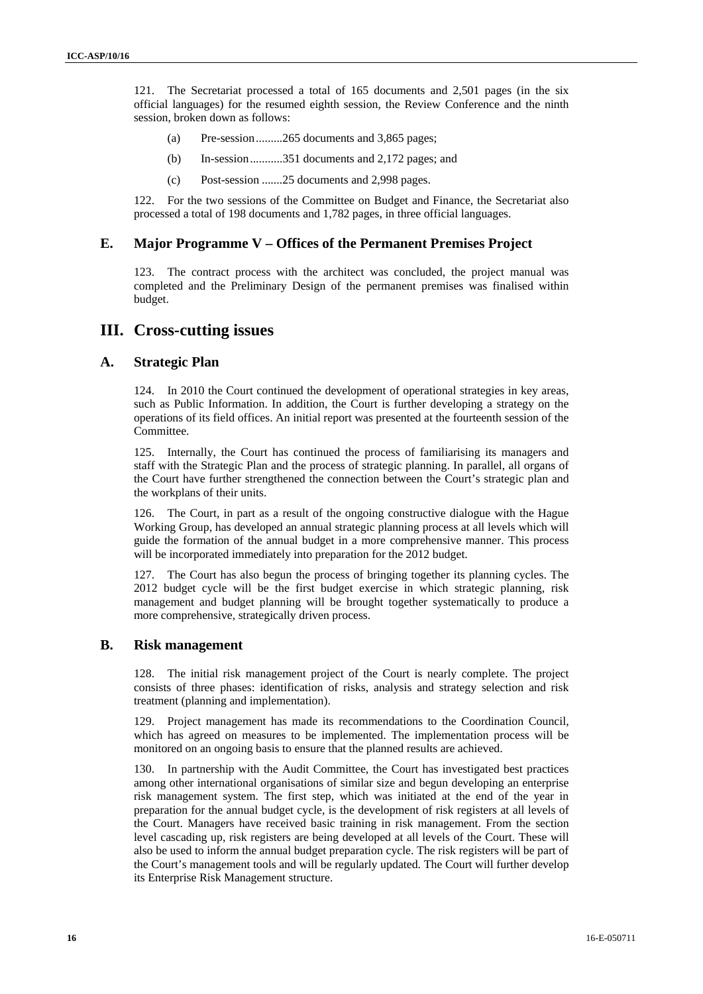121. The Secretariat processed a total of 165 documents and 2,501 pages (in the six official languages) for the resumed eighth session, the Review Conference and the ninth session, broken down as follows:

- (a) Pre-session.........265 documents and 3,865 pages;
- (b) In-session...........351 documents and 2,172 pages; and
- (c) Post-session .......25 documents and 2,998 pages.

122. For the two sessions of the Committee on Budget and Finance, the Secretariat also processed a total of 198 documents and 1,782 pages, in three official languages.

#### **E. Major Programme V – Offices of the Permanent Premises Project**

123. The contract process with the architect was concluded, the project manual was completed and the Preliminary Design of the permanent premises was finalised within budget.

#### **III. Cross-cutting issues**

#### **A. Strategic Plan**

124. In 2010 the Court continued the development of operational strategies in key areas, such as Public Information. In addition, the Court is further developing a strategy on the operations of its field offices. An initial report was presented at the fourteenth session of the Committee.

125. Internally, the Court has continued the process of familiarising its managers and staff with the Strategic Plan and the process of strategic planning. In parallel, all organs of the Court have further strengthened the connection between the Court's strategic plan and the workplans of their units.

126. The Court, in part as a result of the ongoing constructive dialogue with the Hague Working Group, has developed an annual strategic planning process at all levels which will guide the formation of the annual budget in a more comprehensive manner. This process will be incorporated immediately into preparation for the 2012 budget.

127. The Court has also begun the process of bringing together its planning cycles. The 2012 budget cycle will be the first budget exercise in which strategic planning, risk management and budget planning will be brought together systematically to produce a more comprehensive, strategically driven process.

#### **B. Risk management**

128. The initial risk management project of the Court is nearly complete. The project consists of three phases: identification of risks, analysis and strategy selection and risk treatment (planning and implementation).

129. Project management has made its recommendations to the Coordination Council, which has agreed on measures to be implemented. The implementation process will be monitored on an ongoing basis to ensure that the planned results are achieved.

130. In partnership with the Audit Committee, the Court has investigated best practices among other international organisations of similar size and begun developing an enterprise risk management system. The first step, which was initiated at the end of the year in preparation for the annual budget cycle, is the development of risk registers at all levels of the Court. Managers have received basic training in risk management. From the section level cascading up, risk registers are being developed at all levels of the Court. These will also be used to inform the annual budget preparation cycle. The risk registers will be part of the Court's management tools and will be regularly updated. The Court will further develop its Enterprise Risk Management structure.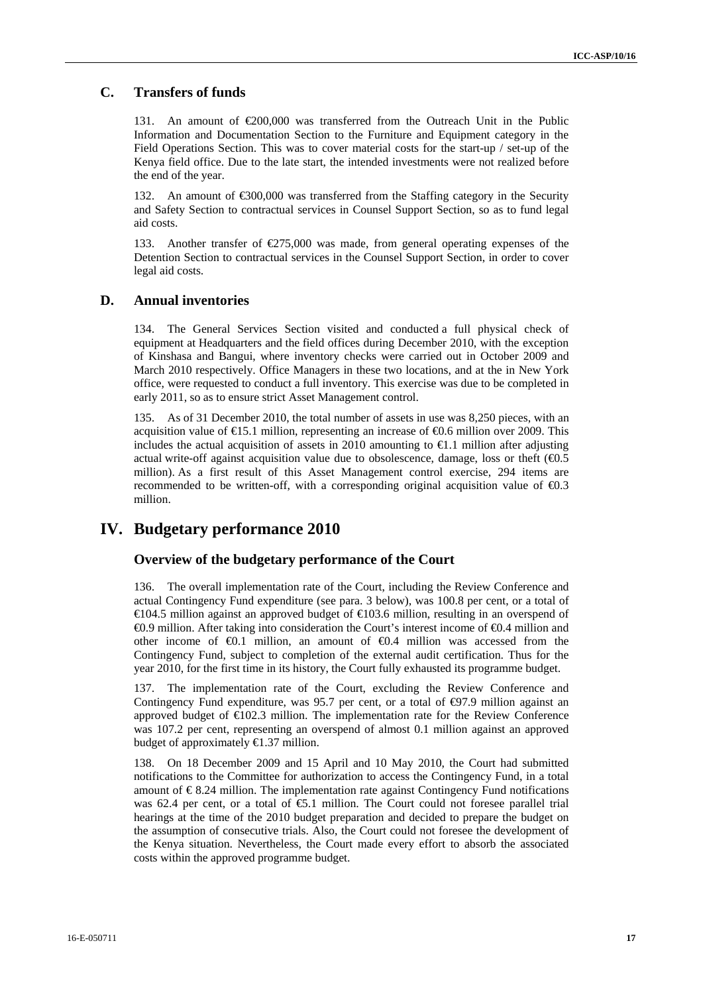### **C. Transfers of funds**

131. An amount of  $\epsilon$ 200,000 was transferred from the Outreach Unit in the Public Information and Documentation Section to the Furniture and Equipment category in the Field Operations Section. This was to cover material costs for the start-up / set-up of the Kenya field office. Due to the late start, the intended investments were not realized before the end of the year.

132. An amount of  $\epsilon$ 300,000 was transferred from the Staffing category in the Security and Safety Section to contractual services in Counsel Support Section, so as to fund legal aid costs.

133. Another transfer of €275,000 was made, from general operating expenses of the Detention Section to contractual services in the Counsel Support Section, in order to cover legal aid costs.

#### **D. Annual inventories**

134. The General Services Section visited and conducted a full physical check of equipment at Headquarters and the field offices during December 2010, with the exception of Kinshasa and Bangui, where inventory checks were carried out in October 2009 and March 2010 respectively. Office Managers in these two locations, and at the in New York office, were requested to conduct a full inventory. This exercise was due to be completed in early 2011, so as to ensure strict Asset Management control.

135. As of 31 December 2010, the total number of assets in use was 8,250 pieces, with an acquisition value of €15.1 million, representing an increase of €0.6 million over 2009. This includes the actual acquisition of assets in 2010 amounting to  $\epsilon$ 1.1 million after adjusting actual write-off against acquisition value due to obsolescence, damage, loss or theft  $(40.5)$ million). As a first result of this Asset Management control exercise, 294 items are recommended to be written-off, with a corresponding original acquisition value of  $\epsilon 0.3$ million.

### **IV. Budgetary performance 2010**

#### **Overview of the budgetary performance of the Court**

136. The overall implementation rate of the Court, including the Review Conference and actual Contingency Fund expenditure (see para. 3 below), was 100.8 per cent, or a total of €104.5 million against an approved budget of €103.6 million, resulting in an overspend of €0.9 million. After taking into consideration the Court's interest income of €0.4 million and other income of  $\bigoplus$ .1 million, an amount of  $\bigoplus$ .4 million was accessed from the Contingency Fund, subject to completion of the external audit certification. Thus for the year 2010, for the first time in its history, the Court fully exhausted its programme budget.

137. The implementation rate of the Court, excluding the Review Conference and Contingency Fund expenditure, was 95.7 per cent, or a total of  $\Theta$ 7.9 million against an approved budget of  $\bigoplus$ 02.3 million. The implementation rate for the Review Conference was 107.2 per cent, representing an overspend of almost 0.1 million against an approved budget of approximately €1.37 million.

138. On 18 December 2009 and 15 April and 10 May 2010, the Court had submitted notifications to the Committee for authorization to access the Contingency Fund, in a total amount of  $\epsilon$ 8.24 million. The implementation rate against Contingency Fund notifications was 62.4 per cent, or a total of  $\epsilon$ 5.1 million. The Court could not foresee parallel trial hearings at the time of the 2010 budget preparation and decided to prepare the budget on the assumption of consecutive trials. Also, the Court could not foresee the development of the Kenya situation. Nevertheless, the Court made every effort to absorb the associated costs within the approved programme budget.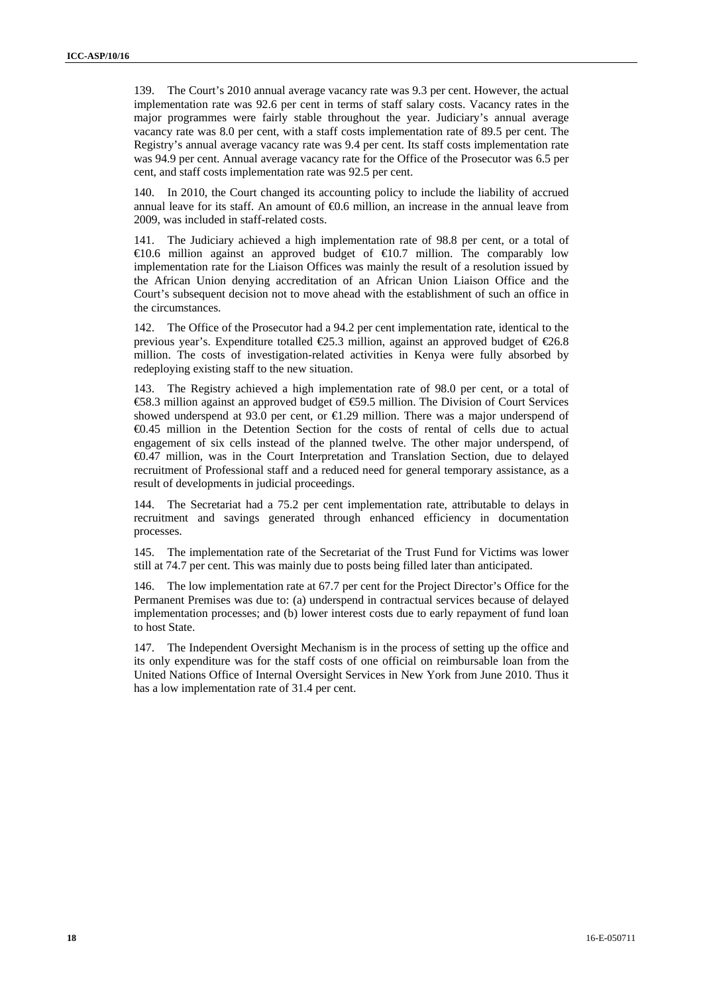139. The Court's 2010 annual average vacancy rate was 9.3 per cent. However, the actual implementation rate was 92.6 per cent in terms of staff salary costs. Vacancy rates in the major programmes were fairly stable throughout the year. Judiciary's annual average vacancy rate was 8.0 per cent, with a staff costs implementation rate of 89.5 per cent. The Registry's annual average vacancy rate was 9.4 per cent. Its staff costs implementation rate was 94.9 per cent. Annual average vacancy rate for the Office of the Prosecutor was 6.5 per cent, and staff costs implementation rate was 92.5 per cent.

140. In 2010, the Court changed its accounting policy to include the liability of accrued annual leave for its staff. An amount of  $\epsilon 0.6$  million, an increase in the annual leave from 2009, was included in staff-related costs.

141. The Judiciary achieved a high implementation rate of 98.8 per cent, or a total of  $\in$ 10.6 million against an approved budget of  $\in$ 10.7 million. The comparably low implementation rate for the Liaison Offices was mainly the result of a resolution issued by the African Union denying accreditation of an African Union Liaison Office and the Court's subsequent decision not to move ahead with the establishment of such an office in the circumstances.

142. The Office of the Prosecutor had a 94.2 per cent implementation rate, identical to the previous year's. Expenditure totalled  $\epsilon$ 25.3 million, against an approved budget of  $\epsilon$ 26.8 million. The costs of investigation-related activities in Kenya were fully absorbed by redeploying existing staff to the new situation.

143. The Registry achieved a high implementation rate of 98.0 per cent, or a total of €58.3 million against an approved budget of €59.5 million. The Division of Court Services showed underspend at 93.0 per cent, or  $\bigoplus$  29 million. There was a major underspend of €0.45 million in the Detention Section for the costs of rental of cells due to actual engagement of six cells instead of the planned twelve. The other major underspend, of €0.47 million, was in the Court Interpretation and Translation Section, due to delayed recruitment of Professional staff and a reduced need for general temporary assistance, as a result of developments in judicial proceedings.

144. The Secretariat had a 75.2 per cent implementation rate, attributable to delays in recruitment and savings generated through enhanced efficiency in documentation processes.

145. The implementation rate of the Secretariat of the Trust Fund for Victims was lower still at 74.7 per cent. This was mainly due to posts being filled later than anticipated.

146. The low implementation rate at 67.7 per cent for the Project Director's Office for the Permanent Premises was due to: (a) underspend in contractual services because of delayed implementation processes; and (b) lower interest costs due to early repayment of fund loan to host State.

147. The Independent Oversight Mechanism is in the process of setting up the office and its only expenditure was for the staff costs of one official on reimbursable loan from the United Nations Office of Internal Oversight Services in New York from June 2010. Thus it has a low implementation rate of 31.4 per cent.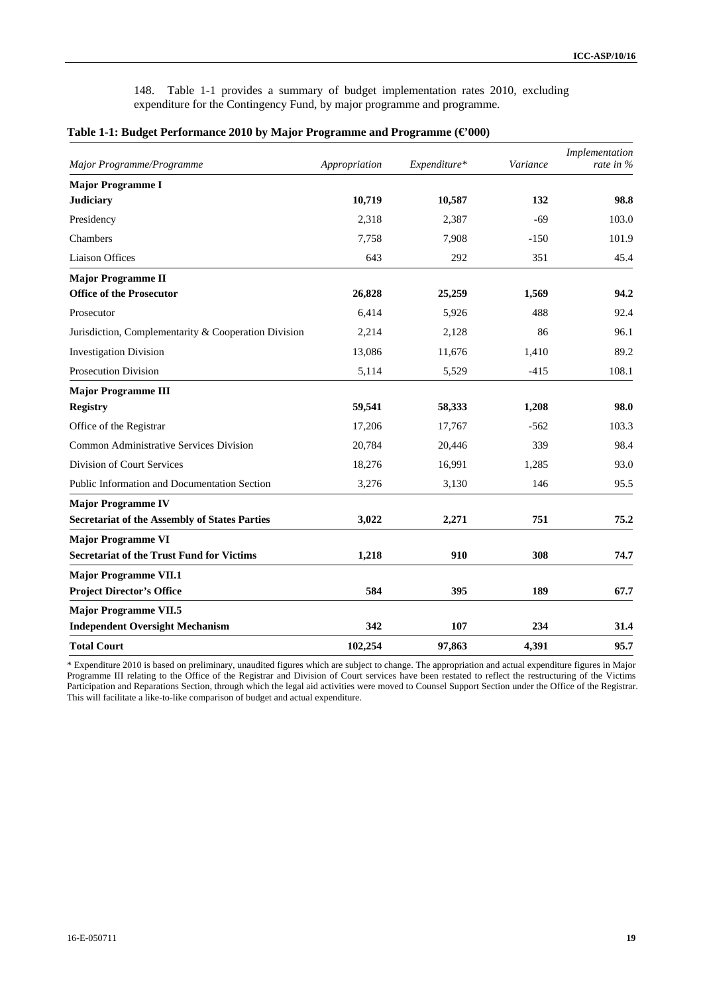148. Table 1-1 provides a summary of budget implementation rates 2010, excluding expenditure for the Contingency Fund, by major programme and programme.

| Major Programme/Programme                            | Appropriation | Expenditure* | Variance | Implementation<br>rate in % |
|------------------------------------------------------|---------------|--------------|----------|-----------------------------|
| <b>Major Programme I</b>                             |               |              |          |                             |
| <b>Judiciary</b>                                     | 10,719        | 10,587       | 132      | 98.8                        |
| Presidency                                           | 2,318         | 2,387        | $-69$    | 103.0                       |
| Chambers                                             | 7,758         | 7,908        | $-150$   | 101.9                       |
| <b>Liaison Offices</b>                               | 643           | 292          | 351      | 45.4                        |
| <b>Major Programme II</b>                            |               |              |          |                             |
| <b>Office of the Prosecutor</b>                      | 26,828        | 25,259       | 1,569    | 94.2                        |
| Prosecutor                                           | 6,414         | 5,926        | 488      | 92.4                        |
| Jurisdiction, Complementarity & Cooperation Division | 2,214         | 2,128        | 86       | 96.1                        |
| <b>Investigation Division</b>                        | 13,086        | 11,676       | 1.410    | 89.2                        |
| <b>Prosecution Division</b>                          | 5,114         | 5,529        | $-415$   | 108.1                       |
| <b>Major Programme III</b>                           |               |              |          |                             |
| <b>Registry</b>                                      | 59,541        | 58,333       | 1,208    | 98.0                        |
| Office of the Registrar                              | 17,206        | 17,767       | $-562$   | 103.3                       |
| Common Administrative Services Division              | 20,784        | 20,446       | 339      | 98.4                        |
| Division of Court Services                           | 18,276        | 16,991       | 1,285    | 93.0                        |
| <b>Public Information and Documentation Section</b>  | 3,276         | 3,130        | 146      | 95.5                        |
| <b>Major Programme IV</b>                            |               |              |          |                             |
| <b>Secretariat of the Assembly of States Parties</b> | 3,022         | 2,271        | 751      | 75.2                        |
| <b>Major Programme VI</b>                            |               |              |          |                             |
| <b>Secretariat of the Trust Fund for Victims</b>     | 1,218         | 910          | 308      | 74.7                        |
| <b>Major Programme VII.1</b>                         |               |              |          |                             |
| <b>Project Director's Office</b>                     | 584           | 395          | 189      | 67.7                        |
| <b>Major Programme VII.5</b>                         |               |              |          |                             |
| <b>Independent Oversight Mechanism</b>               | 342           | 107          | 234      | 31.4                        |
| <b>Total Court</b>                                   | 102,254       | 97,863       | 4,391    | 95.7                        |

#### **Table 1-1: Budget Performance 2010 by Major Programme and Programme (€'000)**

\* Expenditure 2010 is based on preliminary, unaudited figures which are subject to change. The appropriation and actual expenditure figures in Major Programme III relating to the Office of the Registrar and Division of Court services have been restated to reflect the restructuring of the Victims Participation and Reparations Section, through which the legal aid activities were moved to Counsel Support Section under the Office of the Registrar. This will facilitate a like-to-like comparison of budget and actual expenditure.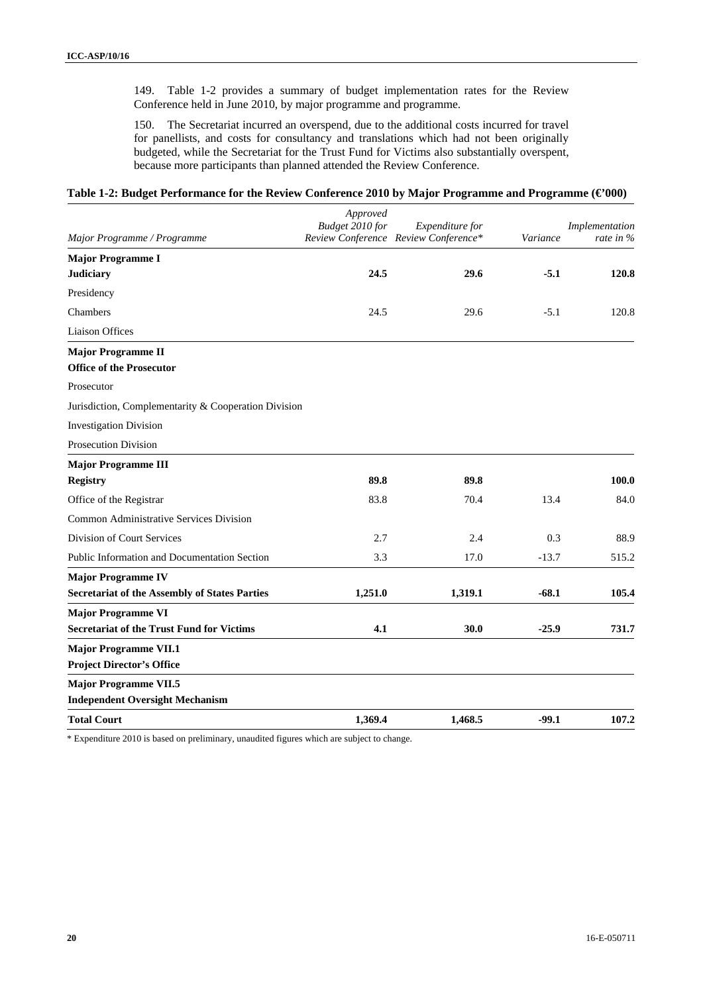149. Table 1-2 provides a summary of budget implementation rates for the Review Conference held in June 2010, by major programme and programme.

150. The Secretariat incurred an overspend, due to the additional costs incurred for travel for panellists, and costs for consultancy and translations which had not been originally budgeted, while the Secretariat for the Trust Fund for Victims also substantially overspent, because more participants than planned attended the Review Conference.

#### **Table 1-2: Budget Performance for the Review Conference 2010 by Major Programme and Programme (€'000)**

|                                                      | Approved<br>Budget 2010 for | Expenditure for                      |          | Implementation |
|------------------------------------------------------|-----------------------------|--------------------------------------|----------|----------------|
| Major Programme / Programme                          |                             | Review Conference Review Conference* | Variance | rate in $%$    |
| <b>Major Programme I</b>                             |                             |                                      |          |                |
| <b>Judiciary</b>                                     | 24.5                        | 29.6                                 | $-5.1$   | 120.8          |
| Presidency                                           |                             |                                      |          |                |
| Chambers                                             | 24.5                        | 29.6                                 | $-5.1$   | 120.8          |
| Liaison Offices                                      |                             |                                      |          |                |
| <b>Major Programme II</b>                            |                             |                                      |          |                |
| <b>Office of the Prosecutor</b>                      |                             |                                      |          |                |
| Prosecutor                                           |                             |                                      |          |                |
| Jurisdiction, Complementarity & Cooperation Division |                             |                                      |          |                |
| <b>Investigation Division</b>                        |                             |                                      |          |                |
| Prosecution Division                                 |                             |                                      |          |                |
| <b>Major Programme III</b>                           |                             |                                      |          |                |
| <b>Registry</b>                                      | 89.8                        | 89.8                                 |          | 100.0          |
| Office of the Registrar                              | 83.8                        | 70.4                                 | 13.4     | 84.0           |
| Common Administrative Services Division              |                             |                                      |          |                |
| Division of Court Services                           | 2.7                         | 2.4                                  | 0.3      | 88.9           |
| <b>Public Information and Documentation Section</b>  | 3.3                         | 17.0                                 | $-13.7$  | 515.2          |
| <b>Major Programme IV</b>                            |                             |                                      |          |                |
| <b>Secretariat of the Assembly of States Parties</b> | 1,251.0                     | 1,319.1                              | $-68.1$  | 105.4          |
| <b>Major Programme VI</b>                            |                             |                                      |          |                |
| <b>Secretariat of the Trust Fund for Victims</b>     | 4.1                         | 30.0                                 | $-25.9$  | 731.7          |
| <b>Major Programme VII.1</b>                         |                             |                                      |          |                |
| <b>Project Director's Office</b>                     |                             |                                      |          |                |
| <b>Major Programme VII.5</b>                         |                             |                                      |          |                |
| <b>Independent Oversight Mechanism</b>               |                             |                                      |          |                |
| <b>Total Court</b>                                   | 1,369.4                     | 1,468.5                              | $-99.1$  | 107.2          |

\* Expenditure 2010 is based on preliminary, unaudited figures which are subject to change.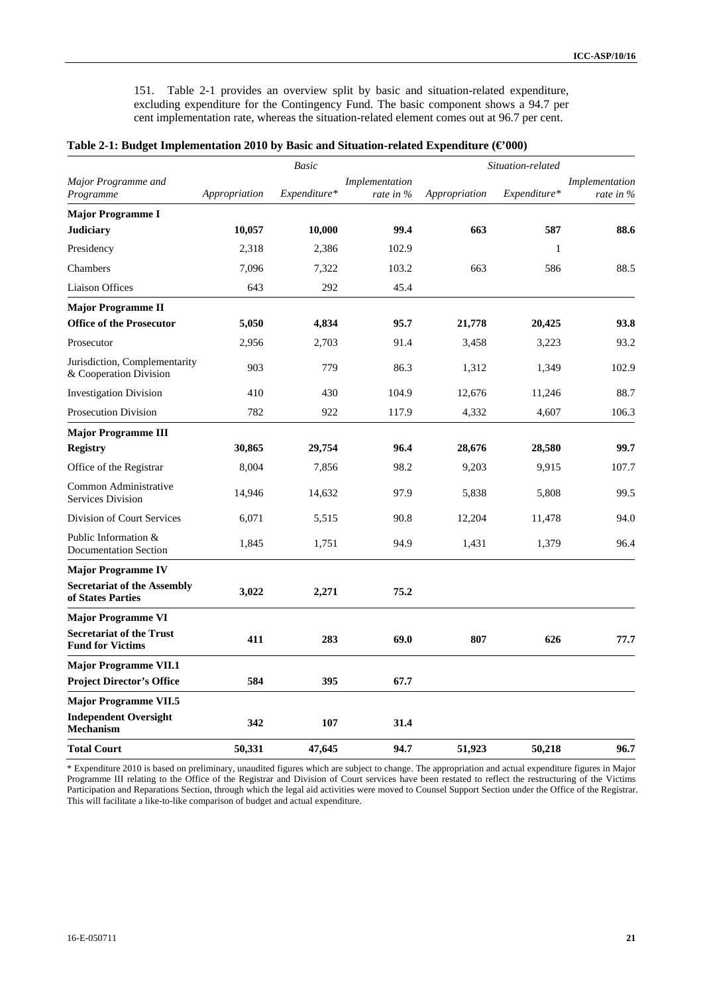151. Table 2-1 provides an overview split by basic and situation-related expenditure, excluding expenditure for the Contingency Fund. The basic component shows a 94.7 per cent implementation rate, whereas the situation-related element comes out at 96.7 per cent.

|  | Table 2-1: Budget Implementation 2010 by Basic and Situation-related Expenditure ( $\in$ 000) |  |
|--|-----------------------------------------------------------------------------------------------|--|
|  |                                                                                               |  |

|                                                            |               | <b>Basic</b> |                                |               | Situation-related |                             |
|------------------------------------------------------------|---------------|--------------|--------------------------------|---------------|-------------------|-----------------------------|
| Major Programme and<br>Programme                           | Appropriation | Expenditure* | Implementation<br>rate in $\%$ | Appropriation | Expenditure*      | Implementation<br>rate in % |
| <b>Major Programme I</b>                                   |               |              |                                |               |                   |                             |
| <b>Judiciary</b>                                           | 10,057        | 10,000       | 99.4                           | 663           | 587               | 88.6                        |
| Presidency                                                 | 2,318         | 2,386        | 102.9                          |               | $\mathbf{1}$      |                             |
| Chambers                                                   | 7,096         | 7,322        | 103.2                          | 663           | 586               | 88.5                        |
| <b>Liaison Offices</b>                                     | 643           | 292          | 45.4                           |               |                   |                             |
| <b>Major Programme II</b>                                  |               |              |                                |               |                   |                             |
| <b>Office of the Prosecutor</b>                            | 5,050         | 4,834        | 95.7                           | 21,778        | 20,425            | 93.8                        |
| Prosecutor                                                 | 2,956         | 2,703        | 91.4                           | 3,458         | 3,223             | 93.2                        |
| Jurisdiction, Complementarity<br>& Cooperation Division    | 903           | 779          | 86.3                           | 1,312         | 1,349             | 102.9                       |
| <b>Investigation Division</b>                              | 410           | 430          | 104.9                          | 12,676        | 11,246            | 88.7                        |
| <b>Prosecution Division</b>                                | 782           | 922          | 117.9                          | 4,332         | 4,607             | 106.3                       |
| <b>Major Programme III</b>                                 |               |              |                                |               |                   |                             |
| <b>Registry</b>                                            | 30,865        | 29,754       | 96.4                           | 28,676        | 28,580            | 99.7                        |
| Office of the Registrar                                    | 8,004         | 7,856        | 98.2                           | 9,203         | 9,915             | 107.7                       |
| Common Administrative<br>Services Division                 | 14,946        | 14,632       | 97.9                           | 5,838         | 5,808             | 99.5                        |
| Division of Court Services                                 | 6,071         | 5,515        | 90.8                           | 12,204        | 11,478            | 94.0                        |
| Public Information &<br><b>Documentation Section</b>       | 1,845         | 1,751        | 94.9                           | 1,431         | 1,379             | 96.4                        |
| <b>Major Programme IV</b>                                  |               |              |                                |               |                   |                             |
| <b>Secretariat of the Assembly</b><br>of States Parties    | 3,022         | 2,271        | 75.2                           |               |                   |                             |
| <b>Major Programme VI</b>                                  |               |              |                                |               |                   |                             |
| <b>Secretariat of the Trust</b><br><b>Fund for Victims</b> | 411           | 283          | 69.0                           | 807           | 626               | 77.7                        |
| <b>Major Programme VII.1</b>                               |               |              |                                |               |                   |                             |
| <b>Project Director's Office</b>                           | 584           | 395          | 67.7                           |               |                   |                             |
| <b>Major Programme VII.5</b>                               |               |              |                                |               |                   |                             |
| <b>Independent Oversight</b><br><b>Mechanism</b>           | 342           | 107          | 31.4                           |               |                   |                             |
| <b>Total Court</b>                                         | 50,331        | 47,645       | 94.7                           | 51,923        | 50,218            | 96.7                        |

\* Expenditure 2010 is based on preliminary, unaudited figures which are subject to change. The appropriation and actual expenditure figures in Major Programme III relating to the Office of the Registrar and Division of Court services have been restated to reflect the restructuring of the Victims Participation and Reparations Section, through which the legal aid activities were moved to Counsel Support Section under the Office of the Registrar. This will facilitate a like-to-like comparison of budget and actual expenditure.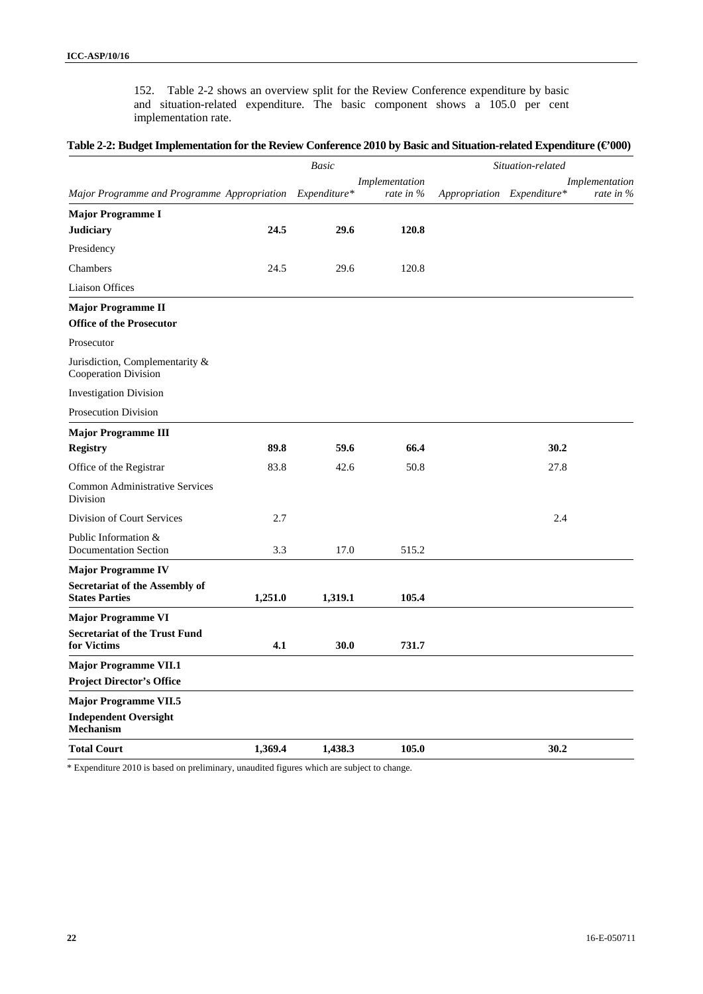152. Table 2-2 shows an overview split for the Review Conference expenditure by basic and situation-related expenditure. The basic component shows a 105.0 per cent implementation rate.

#### **Table 2-2: Budget Implementation for the Review Conference 2010 by Basic and Situation-related Expenditure (€'000)**

|                                                                |         | <b>Basic</b> |                               |                            | Situation-related             |
|----------------------------------------------------------------|---------|--------------|-------------------------------|----------------------------|-------------------------------|
| Major Programme and Programme Appropriation Expenditure*       |         |              | Implementation<br>rate in $%$ | Appropriation Expenditure* | Implementation<br>rate in $%$ |
| <b>Major Programme I</b>                                       |         |              |                               |                            |                               |
| <b>Judiciary</b>                                               | 24.5    | 29.6         | 120.8                         |                            |                               |
| Presidency                                                     |         |              |                               |                            |                               |
| Chambers                                                       | 24.5    | 29.6         | 120.8                         |                            |                               |
| <b>Liaison Offices</b>                                         |         |              |                               |                            |                               |
| <b>Major Programme II</b>                                      |         |              |                               |                            |                               |
| <b>Office of the Prosecutor</b>                                |         |              |                               |                            |                               |
| Prosecutor                                                     |         |              |                               |                            |                               |
| Jurisdiction, Complementarity &<br>Cooperation Division        |         |              |                               |                            |                               |
| <b>Investigation Division</b>                                  |         |              |                               |                            |                               |
| <b>Prosecution Division</b>                                    |         |              |                               |                            |                               |
| <b>Major Programme III</b>                                     |         |              |                               |                            |                               |
| <b>Registry</b>                                                | 89.8    | 59.6         | 66.4                          |                            | 30.2                          |
| Office of the Registrar                                        | 83.8    | 42.6         | 50.8                          |                            | 27.8                          |
| Common Administrative Services<br><b>Division</b>              |         |              |                               |                            |                               |
| Division of Court Services                                     | 2.7     |              |                               |                            | 2.4                           |
| Public Information &<br><b>Documentation Section</b>           | 3.3     | 17.0         | 515.2                         |                            |                               |
| <b>Major Programme IV</b>                                      |         |              |                               |                            |                               |
| <b>Secretariat of the Assembly of</b><br><b>States Parties</b> | 1,251.0 | 1,319.1      | 105.4                         |                            |                               |
| <b>Major Programme VI</b>                                      |         |              |                               |                            |                               |
| <b>Secretariat of the Trust Fund</b><br>for Victims            | 4.1     | 30.0         | 731.7                         |                            |                               |
| <b>Major Programme VII.1</b>                                   |         |              |                               |                            |                               |
| <b>Project Director's Office</b>                               |         |              |                               |                            |                               |
| <b>Major Programme VII.5</b>                                   |         |              |                               |                            |                               |
| <b>Independent Oversight</b><br><b>Mechanism</b>               |         |              |                               |                            |                               |
| <b>Total Court</b>                                             | 1,369.4 | 1,438.3      | 105.0                         |                            | 30.2                          |

\* Expenditure 2010 is based on preliminary, unaudited figures which are subject to change.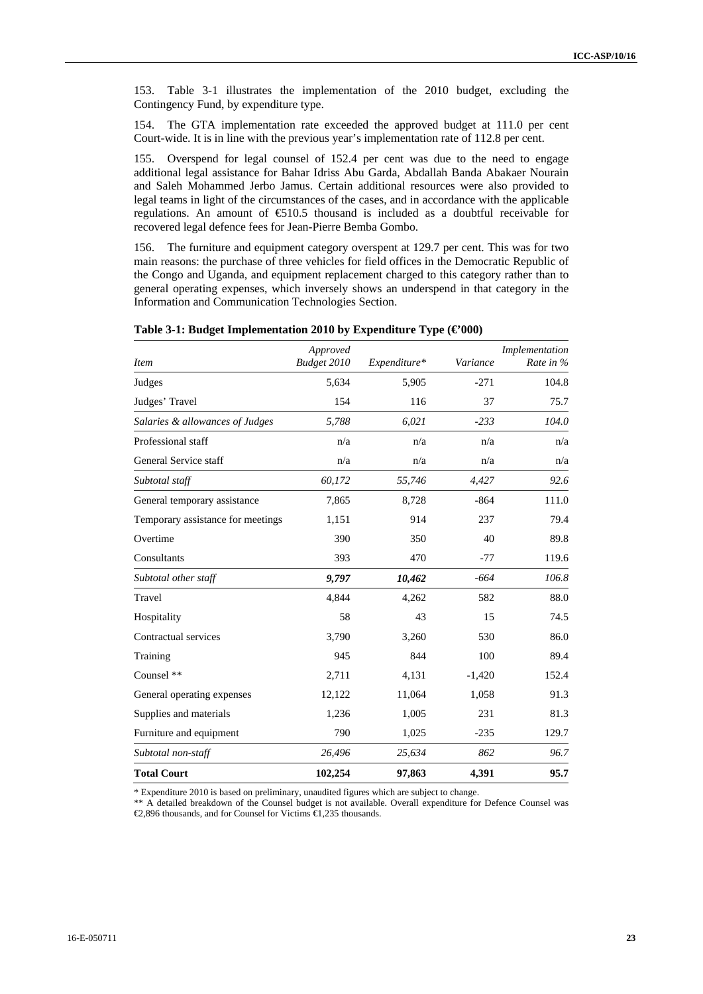153. Table 3-1 illustrates the implementation of the 2010 budget, excluding the Contingency Fund, by expenditure type.

154. The GTA implementation rate exceeded the approved budget at 111.0 per cent Court-wide. It is in line with the previous year's implementation rate of 112.8 per cent.

155. Overspend for legal counsel of 152.4 per cent was due to the need to engage additional legal assistance for Bahar Idriss Abu Garda, Abdallah Banda Abakaer Nourain and Saleh Mohammed Jerbo Jamus. Certain additional resources were also provided to legal teams in light of the circumstances of the cases, and in accordance with the applicable regulations. An amount of €510.5 thousand is included as a doubtful receivable for recovered legal defence fees for Jean-Pierre Bemba Gombo.

156. The furniture and equipment category overspent at 129.7 per cent. This was for two main reasons: the purchase of three vehicles for field offices in the Democratic Republic of the Congo and Uganda, and equipment replacement charged to this category rather than to general operating expenses, which inversely shows an underspend in that category in the Information and Communication Technologies Section.

| <i>Item</i>                       | Approved<br>Budget 2010 | Expenditure* | Variance | Implementation<br>Rate in $\%$ |
|-----------------------------------|-------------------------|--------------|----------|--------------------------------|
| Judges                            | 5.634                   | 5,905        | $-271$   | 104.8                          |
| Judges' Travel                    | 154                     | 116          | 37       | 75.7                           |
| Salaries & allowances of Judges   | 5,788                   | 6,021        | $-233$   | 104.0                          |
| Professional staff                | n/a                     | n/a          | n/a      | n/a                            |
| General Service staff             | n/a                     | n/a          | n/a      | n/a                            |
| Subtotal staff                    | 60,172                  | 55,746       | 4,427    | 92.6                           |
| General temporary assistance      | 7,865                   | 8,728        | $-864$   | 111.0                          |
| Temporary assistance for meetings | 1,151                   | 914          | 237      | 79.4                           |
| Overtime                          | 390                     | 350          | 40       | 89.8                           |
| Consultants                       | 393                     | 470          | $-77$    | 119.6                          |
| Subtotal other staff              | 9,797                   | 10,462       | $-664$   | 106.8                          |
| Travel                            | 4,844                   | 4,262        | 582      | 88.0                           |
| Hospitality                       | 58                      | 43           | 15       | 74.5                           |
| Contractual services              | 3,790                   | 3,260        | 530      | 86.0                           |
| Training                          | 945                     | 844          | 100      | 89.4                           |
| Counsel **                        | 2,711                   | 4,131        | $-1,420$ | 152.4                          |
| General operating expenses        | 12,122                  | 11,064       | 1,058    | 91.3                           |
| Supplies and materials            | 1,236                   | 1,005        | 231      | 81.3                           |
| Furniture and equipment           | 790                     | 1,025        | $-235$   | 129.7                          |
| Subtotal non-staff                | 26,496                  | 25,634       | 862      | 96.7                           |
| <b>Total Court</b>                | 102,254                 | 97,863       | 4,391    | 95.7                           |

**Table 3-1: Budget Implementation 2010 by Expenditure Type (€'000)** 

\* Expenditure 2010 is based on preliminary, unaudited figures which are subject to change.

\*\* A detailed breakdown of the Counsel budget is not available. Overall expenditure for Defence Counsel was €2,896 thousands, and for Counsel for Victims €1,235 thousands.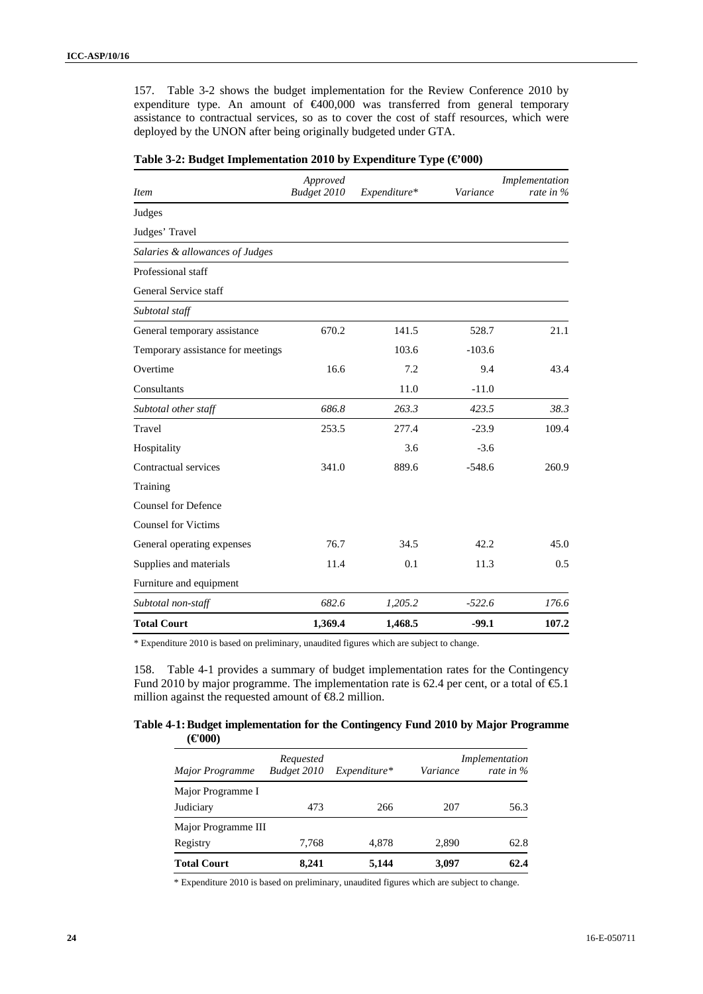157. Table 3-2 shows the budget implementation for the Review Conference 2010 by expenditure type. An amount of €400,000 was transferred from general temporary assistance to contractual services, so as to cover the cost of staff resources, which were deployed by the UNON after being originally budgeted under GTA.

| <b>Item</b>                       | Approved<br>Budget 2010 | Expenditure* | Variance | Implementation<br>rate in $\%$ |
|-----------------------------------|-------------------------|--------------|----------|--------------------------------|
| Judges                            |                         |              |          |                                |
| Judges' Travel                    |                         |              |          |                                |
| Salaries & allowances of Judges   |                         |              |          |                                |
| Professional staff                |                         |              |          |                                |
| General Service staff             |                         |              |          |                                |
| Subtotal staff                    |                         |              |          |                                |
| General temporary assistance      | 670.2                   | 141.5        | 528.7    | 21.1                           |
| Temporary assistance for meetings |                         | 103.6        | $-103.6$ |                                |
| Overtime                          | 16.6                    | 7.2          | 9.4      | 43.4                           |
| Consultants                       |                         | 11.0         | $-11.0$  |                                |
| Subtotal other staff              | 686.8                   | 263.3        | 423.5    | 38.3                           |
| Travel                            | 253.5                   | 277.4        | $-23.9$  | 109.4                          |
| Hospitality                       |                         | 3.6          | $-3.6$   |                                |
| Contractual services              | 341.0                   | 889.6        | $-548.6$ | 260.9                          |
| Training                          |                         |              |          |                                |
| <b>Counsel for Defence</b>        |                         |              |          |                                |
| <b>Counsel for Victims</b>        |                         |              |          |                                |
| General operating expenses        | 76.7                    | 34.5         | 42.2     | 45.0                           |
| Supplies and materials            | 11.4                    | 0.1          | 11.3     | 0.5                            |
| Furniture and equipment           |                         |              |          |                                |
| Subtotal non-staff                | 682.6                   | 1,205.2      | $-522.6$ | 176.6                          |
| <b>Total Court</b>                | 1,369.4                 | 1,468.5      | $-99.1$  | 107.2                          |

| Table 3-2: Budget Implementation 2010 by Expenditure Type $(\epsilon 000)$ |
|----------------------------------------------------------------------------|
|----------------------------------------------------------------------------|

\* Expenditure 2010 is based on preliminary, unaudited figures which are subject to change.

158. Table 4-1 provides a summary of budget implementation rates for the Contingency Fund 2010 by major programme. The implementation rate is 62.4 per cent, or a total of  $\epsilon$ 5.1 million against the requested amount of  $\epsilon$ 8.2 million.

#### **Table 4-1: Budget implementation for the Contingency Fund 2010 by Major Programme**   $(\epsilon 000)$

|                     | Requested   |              |                 | Implementation |
|---------------------|-------------|--------------|-----------------|----------------|
| Major Programme     | Budget 2010 | Expenditure* | <i>Variance</i> | rate in $\%$   |
| Major Programme I   |             |              |                 |                |
| Judiciary           | 473         | 266          | 207             | 56.3           |
| Major Programme III |             |              |                 |                |
| Registry            | 7.768       | 4.878        | 2.890           | 62.8           |
| <b>Total Court</b>  | 8.241       | 5,144        | 3,097           | 62.4           |

\* Expenditure 2010 is based on preliminary, unaudited figures which are subject to change.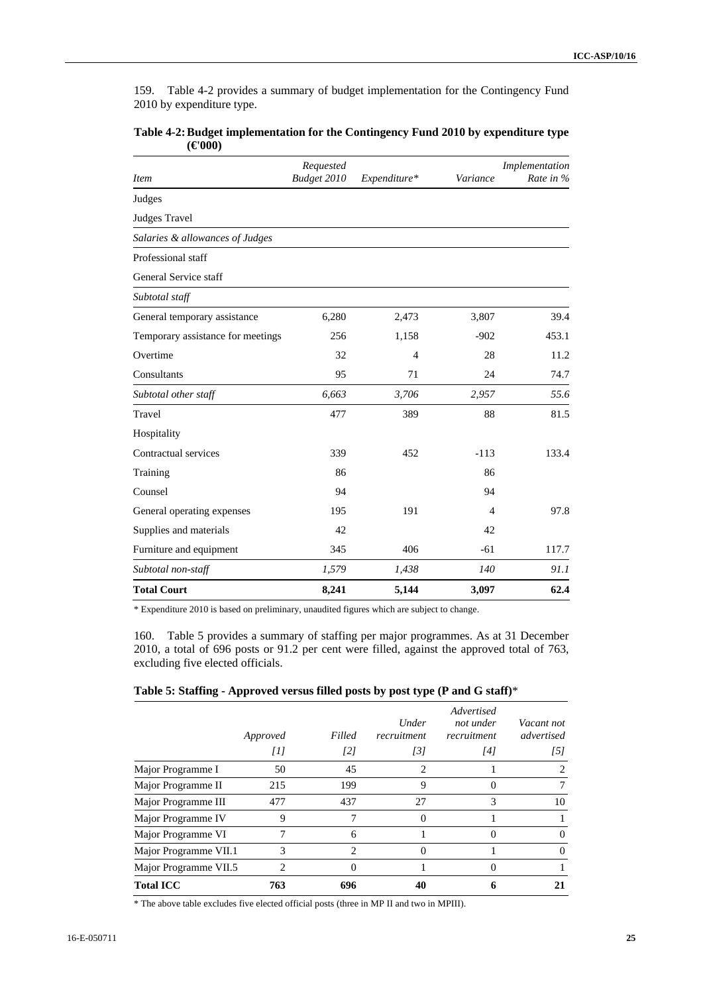159. Table 4-2 provides a summary of budget implementation for the Contingency Fund 2010 by expenditure type.

| <b>Item</b>                       | Requested<br>Budget 2010 | Expenditure* | Variance | Implementation<br>Rate in % |
|-----------------------------------|--------------------------|--------------|----------|-----------------------------|
| Judges                            |                          |              |          |                             |
| Judges Travel                     |                          |              |          |                             |
| Salaries & allowances of Judges   |                          |              |          |                             |
| Professional staff                |                          |              |          |                             |
| General Service staff             |                          |              |          |                             |
| Subtotal staff                    |                          |              |          |                             |
| General temporary assistance      | 6,280                    | 2,473        | 3,807    | 39.4                        |
| Temporary assistance for meetings | 256                      | 1,158        | $-902$   | 453.1                       |
| Overtime                          | 32                       | 4            | 28       | 11.2                        |
| Consultants                       | 95                       | 71           | 24       | 74.7                        |
| Subtotal other staff              | 6,663                    | 3,706        | 2,957    | 55.6                        |
| Travel                            | 477                      | 389          | 88       | 81.5                        |
| Hospitality                       |                          |              |          |                             |
| Contractual services              | 339                      | 452          | $-113$   | 133.4                       |
| Training                          | 86                       |              | 86       |                             |
| Counsel                           | 94                       |              | 94       |                             |
| General operating expenses        | 195                      | 191          | 4        | 97.8                        |
| Supplies and materials            | 42                       |              | 42       |                             |
| Furniture and equipment           | 345                      | 406          | $-61$    | 117.7                       |
| Subtotal non-staff                | 1,579                    | 1,438        | 140      | 91.1                        |
| <b>Total Court</b>                | 8,241                    | 5,144        | 3,097    | 62.4                        |

| Table 4-2: Budget implementation for the Contingency Fund 2010 by expenditure type |  |
|------------------------------------------------------------------------------------|--|
| $(\epsilon 000)$                                                                   |  |

\* Expenditure 2010 is based on preliminary, unaudited figures which are subject to change.

160. Table 5 provides a summary of staffing per major programmes. As at 31 December 2010, a total of 696 posts or 91.2 per cent were filled, against the approved total of 763, excluding five elected officials.

| Table 5: Staffing - Approved versus filled posts by post type (P and G staff)* |  |  |
|--------------------------------------------------------------------------------|--|--|
|                                                                                |  |  |

|                       | Approved       | Filled | Under<br>recruitment | Advertised<br>not under<br>recruitment | Vacant not<br>advertised    |
|-----------------------|----------------|--------|----------------------|----------------------------------------|-----------------------------|
|                       | Ш              | [2]    | $\overline{3}$       | [4]                                    | [5]                         |
| Major Programme I     | 50             | 45     | 2                    |                                        | $\mathcal{D}_{\mathcal{L}}$ |
| Major Programme II    | 215            | 199    | 9                    |                                        | 7                           |
| Major Programme III   | 477            | 437    | 27                   | 3                                      | 10                          |
| Major Programme IV    | 9              | 7      | $\Omega$             |                                        |                             |
| Major Programme VI    | 7              | 6      |                      | $\Omega$                               | 0                           |
| Major Programme VII.1 | 3              | 2      |                      |                                        | 0                           |
| Major Programme VII.5 | $\mathfrak{D}$ | 0      |                      | $\Omega$                               |                             |
| <b>Total ICC</b>      | 763            | 696    | 40                   | 6                                      |                             |

\* The above table excludes five elected official posts (three in MP II and two in MPIII).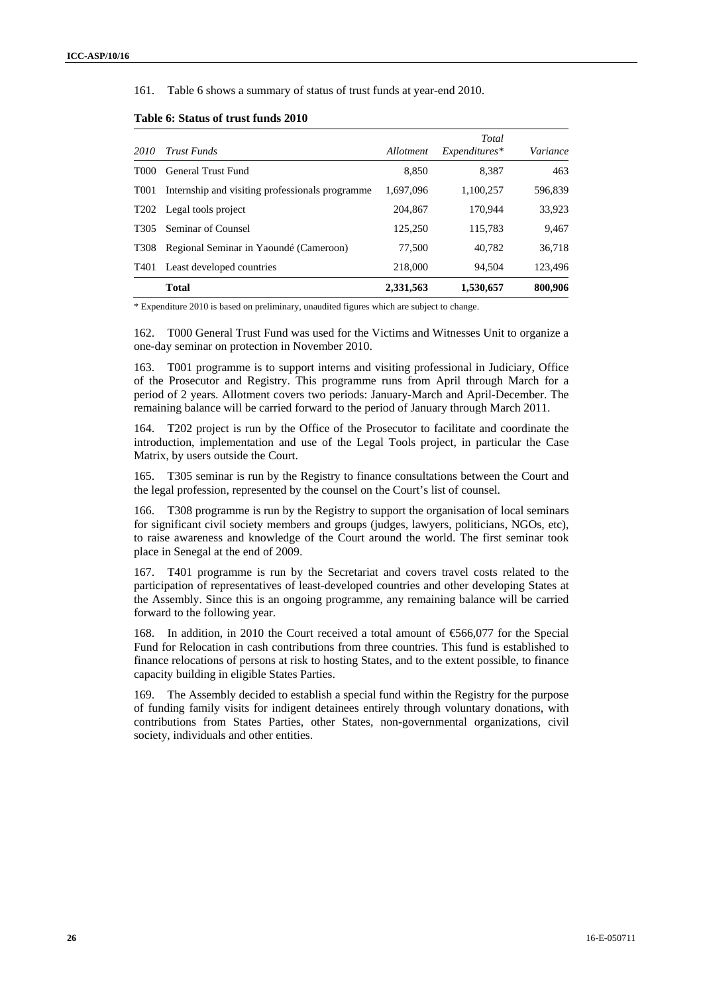161. Table 6 shows a summary of status of trust funds at year-end 2010.

| 2010             | <b>Trust Funds</b>                              | Allotment | Total<br>$Expenditures*$ | Variance |
|------------------|-------------------------------------------------|-----------|--------------------------|----------|
| T <sub>000</sub> | General Trust Fund                              | 8.850     | 8.387                    | 463      |
| T <sub>001</sub> | Internship and visiting professionals programme | 1.697.096 | 1.100.257                | 596,839  |
| T <sub>202</sub> | Legal tools project                             | 204,867   | 170.944                  | 33,923   |
| T <sub>305</sub> | Seminar of Counsel                              | 125,250   | 115.783                  | 9,467    |
| T <sub>308</sub> | Regional Seminar in Yaoundé (Cameroon)          | 77,500    | 40.782                   | 36.718   |
| T <sub>401</sub> | Least developed countries                       | 218,000   | 94.504                   | 123,496  |
|                  | <b>Total</b>                                    | 2,331,563 | 1,530,657                | 800,906  |

#### **Table 6: Status of trust funds 2010**

\* Expenditure 2010 is based on preliminary, unaudited figures which are subject to change.

162. T000 General Trust Fund was used for the Victims and Witnesses Unit to organize a one-day seminar on protection in November 2010.

163. T001 programme is to support interns and visiting professional in Judiciary, Office of the Prosecutor and Registry. This programme runs from April through March for a period of 2 years. Allotment covers two periods: January-March and April-December. The remaining balance will be carried forward to the period of January through March 2011.

164. T202 project is run by the Office of the Prosecutor to facilitate and coordinate the introduction, implementation and use of the Legal Tools project, in particular the Case Matrix, by users outside the Court.

165. T305 seminar is run by the Registry to finance consultations between the Court and the legal profession, represented by the counsel on the Court's list of counsel.

166. T308 programme is run by the Registry to support the organisation of local seminars for significant civil society members and groups (judges, lawyers, politicians, NGOs, etc), to raise awareness and knowledge of the Court around the world. The first seminar took place in Senegal at the end of 2009.

167. T401 programme is run by the Secretariat and covers travel costs related to the participation of representatives of least-developed countries and other developing States at the Assembly. Since this is an ongoing programme, any remaining balance will be carried forward to the following year.

168. In addition, in 2010 the Court received a total amount of €566,077 for the Special Fund for Relocation in cash contributions from three countries. This fund is established to finance relocations of persons at risk to hosting States, and to the extent possible, to finance capacity building in eligible States Parties.

169. The Assembly decided to establish a special fund within the Registry for the purpose of funding family visits for indigent detainees entirely through voluntary donations, with contributions from States Parties, other States, non-governmental organizations, civil society, individuals and other entities.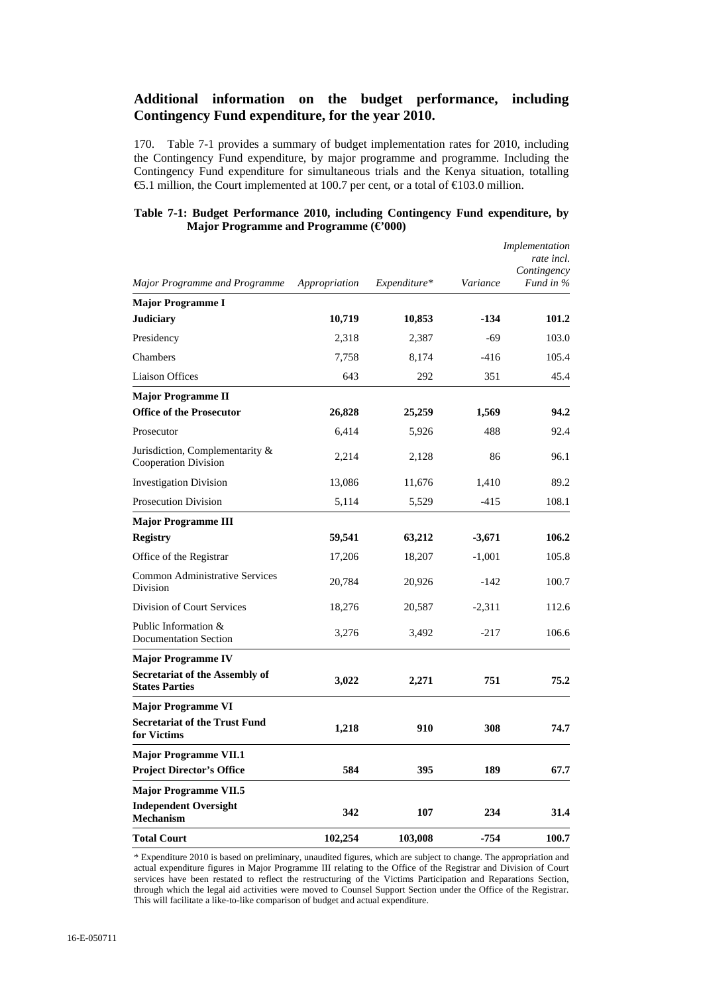### **Additional information on the budget performance, including Contingency Fund expenditure, for the year 2010.**

170. Table 7-1 provides a summary of budget implementation rates for 2010, including the Contingency Fund expenditure, by major programme and programme. Including the Contingency Fund expenditure for simultaneous trials and the Kenya situation, totalling €5.1 million, the Court implemented at 100.7 per cent, or a total of €103.0 million.

| Table 7-1: Budget Performance 2010, including Contingency Fund expenditure, by |                                                |  |  |  |
|--------------------------------------------------------------------------------|------------------------------------------------|--|--|--|
|                                                                                | Major Programme and Programme $(\epsilon 000)$ |  |  |  |

|                                                                |               |              |          | Implementation<br>rate incl.<br>Contingency |
|----------------------------------------------------------------|---------------|--------------|----------|---------------------------------------------|
| Major Programme and Programme                                  | Appropriation | Expenditure* | Variance | Fund in %                                   |
| <b>Major Programme I</b>                                       |               |              |          |                                             |
| <b>Judiciary</b>                                               | 10,719        | 10,853       | $-134$   | 101.2                                       |
| Presidency                                                     | 2,318         | 2,387        | -69      | 103.0                                       |
| Chambers                                                       | 7,758         | 8,174        | $-416$   | 105.4                                       |
| <b>Liaison Offices</b>                                         | 643           | 292          | 351      | 45.4                                        |
| <b>Major Programme II</b>                                      |               |              |          |                                             |
| <b>Office of the Prosecutor</b>                                | 26,828        | 25,259       | 1,569    | 94.2                                        |
| Prosecutor                                                     | 6,414         | 5,926        | 488      | 92.4                                        |
| Jurisdiction, Complementarity &<br>Cooperation Division        | 2,214         | 2,128        | 86       | 96.1                                        |
| <b>Investigation Division</b>                                  | 13,086        | 11,676       | 1,410    | 89.2                                        |
| <b>Prosecution Division</b>                                    | 5,114         | 5,529        | $-415$   | 108.1                                       |
| <b>Major Programme III</b>                                     |               |              |          |                                             |
| <b>Registry</b>                                                | 59,541        | 63,212       | $-3,671$ | 106.2                                       |
| Office of the Registrar                                        | 17,206        | 18,207       | $-1,001$ | 105.8                                       |
| <b>Common Administrative Services</b><br>Division              | 20,784        | 20,926       | -142     | 100.7                                       |
| Division of Court Services                                     | 18,276        | 20,587       | $-2,311$ | 112.6                                       |
| Public Information &<br><b>Documentation Section</b>           | 3,276         | 3,492        | $-217$   | 106.6                                       |
| <b>Major Programme IV</b>                                      |               |              |          |                                             |
| <b>Secretariat of the Assembly of</b><br><b>States Parties</b> | 3,022         | 2,271        | 751      | 75.2                                        |
| <b>Major Programme VI</b>                                      |               |              |          |                                             |
| <b>Secretariat of the Trust Fund</b><br>for Victims            | 1,218         | 910          | 308      | 74.7                                        |
| <b>Major Programme VII.1</b>                                   |               |              |          |                                             |
| <b>Project Director's Office</b>                               | 584           | 395          | 189      | 67.7                                        |
| <b>Major Programme VII.5</b>                                   |               |              |          |                                             |
| <b>Independent Oversight</b><br><b>Mechanism</b>               | 342           | 107          | 234      | 31.4                                        |
| <b>Total Court</b>                                             | 102.254       | 103,008      | $-754$   | 100.7                                       |

\* Expenditure 2010 is based on preliminary, unaudited figures, which are subject to change. The appropriation and actual expenditure figures in Major Programme III relating to the Office of the Registrar and Division of Court services have been restated to reflect the restructuring of the Victims Participation and Reparations Section, through which the legal aid activities were moved to Counsel Support Section under the Office of the Registrar. This will facilitate a like-to-like comparison of budget and actual expenditure.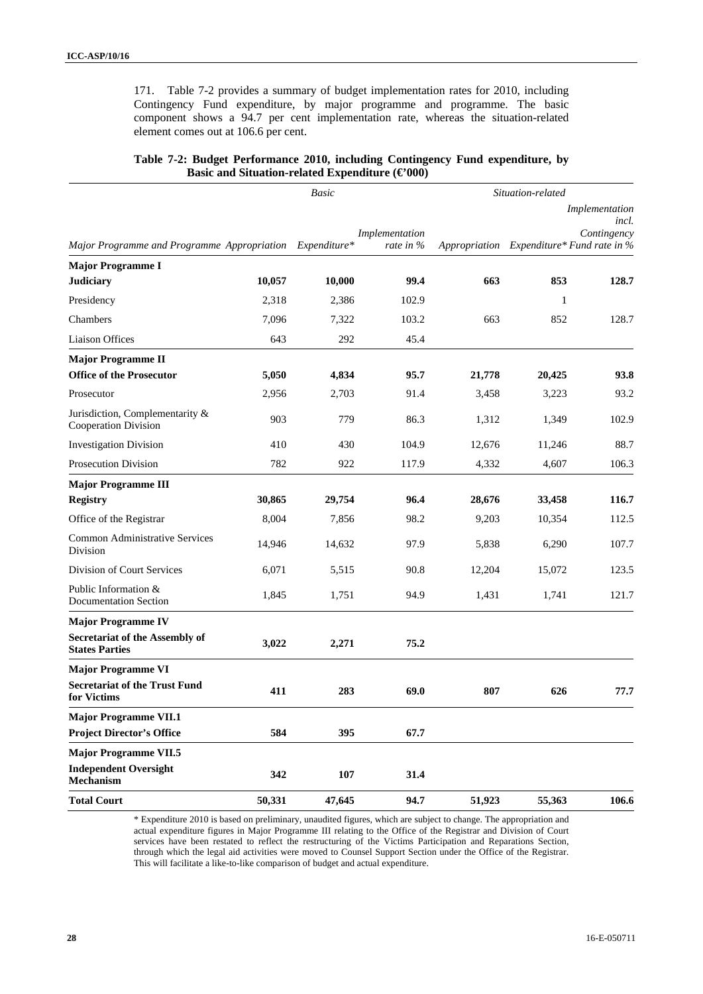171. Table 7-2 provides a summary of budget implementation rates for 2010, including Contingency Fund expenditure, by major programme and programme. The basic component shows a 94.7 per cent implementation rate, whereas the situation-related element comes out at 106.6 per cent.

|                                                          | Basic  |        |                             | Situation-related                         |        |                                        |  |
|----------------------------------------------------------|--------|--------|-----------------------------|-------------------------------------------|--------|----------------------------------------|--|
| Major Programme and Programme Appropriation Expenditure* |        |        | Implementation<br>rate in % | Appropriation Expenditure* Fund rate in % |        | Implementation<br>incl.<br>Contingency |  |
| <b>Major Programme I</b>                                 |        |        |                             |                                           |        |                                        |  |
| <b>Judiciary</b>                                         | 10,057 | 10,000 | 99.4                        | 663                                       | 853    | 128.7                                  |  |
| Presidency                                               | 2,318  | 2,386  | 102.9                       |                                           | 1      |                                        |  |
| Chambers                                                 | 7,096  | 7,322  | 103.2                       | 663                                       | 852    | 128.7                                  |  |
| <b>Liaison Offices</b>                                   | 643    | 292    | 45.4                        |                                           |        |                                        |  |
| <b>Major Programme II</b>                                |        |        |                             |                                           |        |                                        |  |
| <b>Office of the Prosecutor</b>                          | 5,050  | 4,834  | 95.7                        | 21,778                                    | 20,425 | 93.8                                   |  |
| Prosecutor                                               | 2,956  | 2,703  | 91.4                        | 3,458                                     | 3,223  | 93.2                                   |  |
| Jurisdiction, Complementarity &<br>Cooperation Division  | 903    | 779    | 86.3                        | 1,312                                     | 1,349  | 102.9                                  |  |
| <b>Investigation Division</b>                            | 410    | 430    | 104.9                       | 12,676                                    | 11,246 | 88.7                                   |  |
| Prosecution Division                                     | 782    | 922    | 117.9                       | 4,332                                     | 4,607  | 106.3                                  |  |
| <b>Major Programme III</b>                               |        |        |                             |                                           |        |                                        |  |
| <b>Registry</b>                                          | 30,865 | 29,754 | 96.4                        | 28,676                                    | 33,458 | 116.7                                  |  |
| Office of the Registrar                                  | 8,004  | 7,856  | 98.2                        | 9,203                                     | 10,354 | 112.5                                  |  |
| <b>Common Administrative Services</b><br>Division        | 14,946 | 14,632 | 97.9                        | 5,838                                     | 6,290  | 107.7                                  |  |
| Division of Court Services                               | 6,071  | 5,515  | 90.8                        | 12,204                                    | 15,072 | 123.5                                  |  |
| Public Information &<br><b>Documentation Section</b>     | 1,845  | 1,751  | 94.9                        | 1,431                                     | 1,741  | 121.7                                  |  |
| <b>Major Programme IV</b>                                |        |        |                             |                                           |        |                                        |  |
| Secretariat of the Assembly of<br><b>States Parties</b>  | 3,022  | 2,271  | 75.2                        |                                           |        |                                        |  |
| <b>Major Programme VI</b>                                |        |        |                             |                                           |        |                                        |  |
| <b>Secretariat of the Trust Fund</b><br>for Victims      | 411    | 283    | 69.0                        | 807                                       | 626    | 77.7                                   |  |
| <b>Major Programme VII.1</b>                             |        |        |                             |                                           |        |                                        |  |
| <b>Project Director's Office</b>                         | 584    | 395    | 67.7                        |                                           |        |                                        |  |
| <b>Major Programme VII.5</b>                             |        |        |                             |                                           |        |                                        |  |
| <b>Independent Oversight</b><br>Mechanism                | 342    | 107    | 31.4                        |                                           |        |                                        |  |
| <b>Total Court</b>                                       | 50,331 | 47,645 | 94.7                        | 51,923                                    | 55,363 | 106.6                                  |  |

#### **Table 7-2: Budget Performance 2010, including Contingency Fund expenditure, by Basic and Situation-related Expenditure (€000)**

\* Expenditure 2010 is based on preliminary, unaudited figures, which are subject to change. The appropriation and actual expenditure figures in Major Programme III relating to the Office of the Registrar and Division of Court services have been restated to reflect the restructuring of the Victims Participation and Reparations Section, through which the legal aid activities were moved to Counsel Support Section under the Office of the Registrar. This will facilitate a like-to-like comparison of budget and actual expenditure.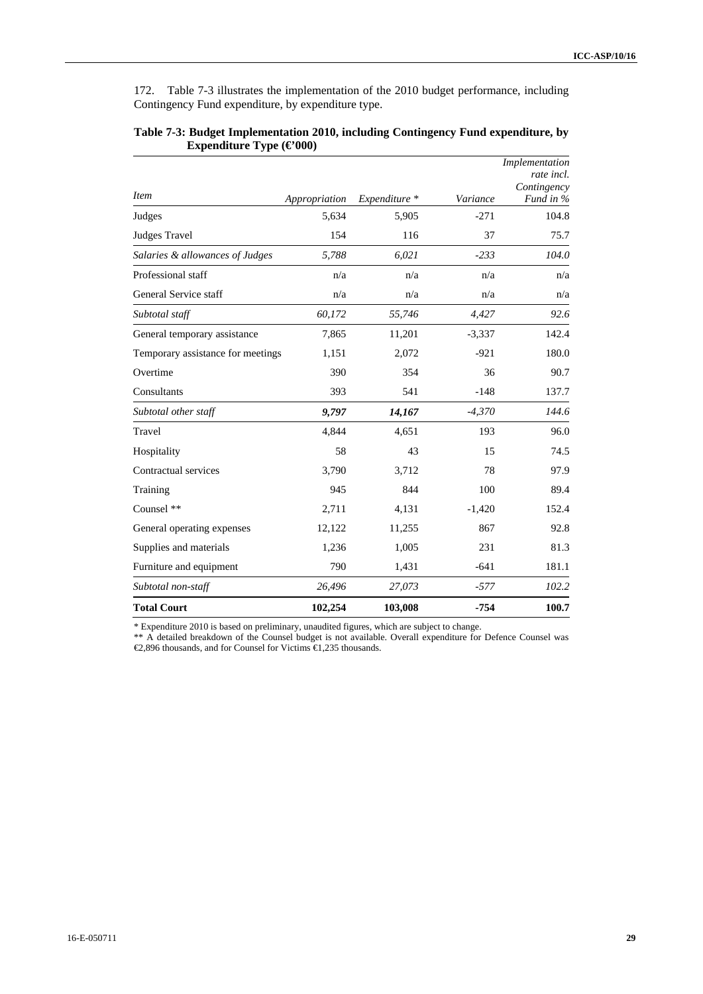172. Table 7-3 illustrates the implementation of the 2010 budget performance, including Contingency Fund expenditure, by expenditure type.

|                                   |               |               |          | Implementation<br>rate incl.<br>Contingency |
|-----------------------------------|---------------|---------------|----------|---------------------------------------------|
| <i>Item</i>                       | Appropriation | Expenditure * | Variance | Fund in %                                   |
| Judges                            | 5,634         | 5,905         | $-271$   | 104.8                                       |
| <b>Judges Travel</b>              | 154           | 116           | 37       | 75.7                                        |
| Salaries & allowances of Judges   | 5,788         | 6,021         | $-233$   | 104.0                                       |
| Professional staff                | n/a           | n/a           | n/a      | n/a                                         |
| General Service staff             | n/a           | n/a           | n/a      | n/a                                         |
| Subtotal staff                    | 60,172        | 55,746        | 4,427    | 92.6                                        |
| General temporary assistance      | 7,865         | 11,201        | $-3,337$ | 142.4                                       |
| Temporary assistance for meetings | 1,151         | 2,072         | $-921$   | 180.0                                       |
| Overtime                          | 390           | 354           | 36       | 90.7                                        |
| Consultants                       | 393           | 541           | $-148$   | 137.7                                       |
| Subtotal other staff              | 9,797         | 14,167        | $-4,370$ | 144.6                                       |
| Travel                            | 4,844         | 4,651         | 193      | 96.0                                        |
| Hospitality                       | 58            | 43            | 15       | 74.5                                        |
| Contractual services              | 3,790         | 3,712         | 78       | 97.9                                        |
| Training                          | 945           | 844           | 100      | 89.4                                        |
| Counsel **                        | 2,711         | 4,131         | $-1,420$ | 152.4                                       |
| General operating expenses        | 12,122        | 11,255        | 867      | 92.8                                        |
| Supplies and materials            | 1,236         | 1,005         | 231      | 81.3                                        |
| Furniture and equipment           | 790           | 1,431         | $-641$   | 181.1                                       |
| Subtotal non-staff                | 26,496        | 27,073        | $-577$   | 102.2                                       |
| <b>Total Court</b>                | 102,254       | 103,008       | $-754$   | 100.7                                       |

#### **Table 7-3: Budget Implementation 2010, including Contingency Fund expenditure, by Expenditure Type (€000)**

\* Expenditure 2010 is based on preliminary, unaudited figures, which are subject to change.

\*\* A detailed breakdown of the Counsel budget is not available. Overall expenditure for Defence Counsel was €2,896 thousands, and for Counsel for Victims €1,235 thousands.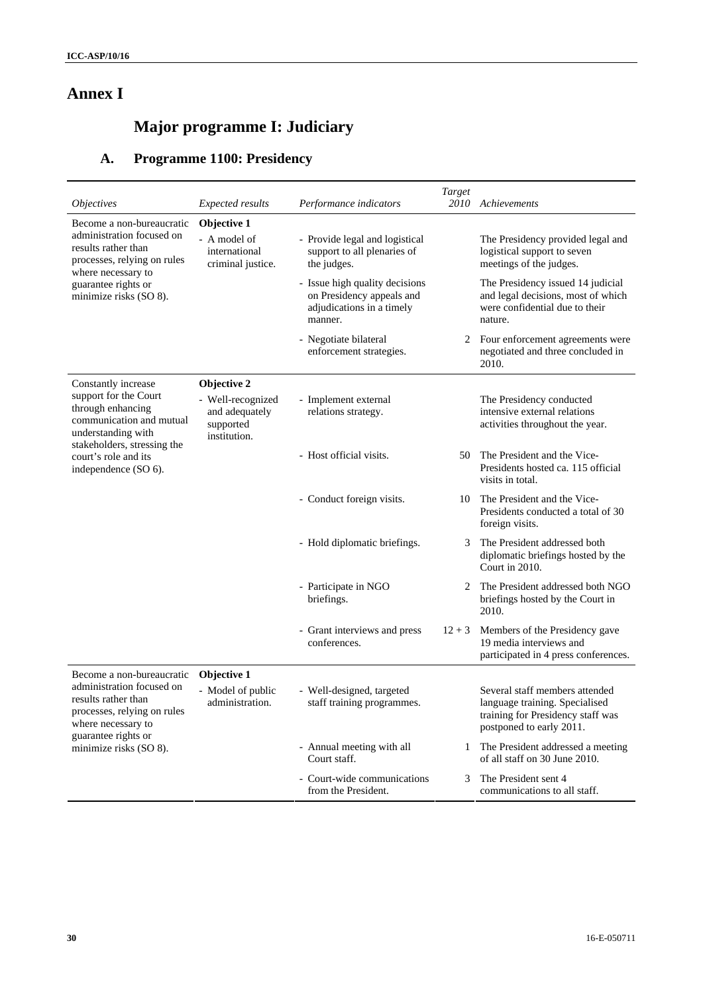# **Annex I**

# **Major programme I: Judiciary**

# **A. Programme 1100: Presidency**

| <i><b>Objectives</b></i>                                                                              | <i>Expected results</i>                                          | Performance indicators                                                                              | Target<br>2010 | Achievements                                                                                                                      |
|-------------------------------------------------------------------------------------------------------|------------------------------------------------------------------|-----------------------------------------------------------------------------------------------------|----------------|-----------------------------------------------------------------------------------------------------------------------------------|
| Become a non-bureaucratic                                                                             | Objective 1                                                      |                                                                                                     |                |                                                                                                                                   |
| administration focused on<br>results rather than<br>processes, relying on rules<br>where necessary to | - A model of<br>international<br>criminal justice.               | - Provide legal and logistical<br>support to all plenaries of<br>the judges.                        |                | The Presidency provided legal and<br>logistical support to seven<br>meetings of the judges.                                       |
| guarantee rights or<br>minimize risks (SO 8).                                                         |                                                                  | - Issue high quality decisions<br>on Presidency appeals and<br>adjudications in a timely<br>manner. |                | The Presidency issued 14 judicial<br>and legal decisions, most of which<br>were confidential due to their<br>nature.              |
|                                                                                                       |                                                                  | - Negotiate bilateral<br>enforcement strategies.                                                    |                | 2 Four enforcement agreements were<br>negotiated and three concluded in<br>2010.                                                  |
| Constantly increase                                                                                   | Objective 2                                                      |                                                                                                     |                |                                                                                                                                   |
| support for the Court<br>through enhancing<br>communication and mutual<br>understanding with          | - Well-recognized<br>and adequately<br>supported<br>institution. | - Implement external<br>relations strategy.                                                         |                | The Presidency conducted<br>intensive external relations<br>activities throughout the year.                                       |
| stakeholders, stressing the<br>court's role and its<br>independence (SO 6).                           |                                                                  | - Host official visits.                                                                             | 50             | The President and the Vice-<br>Presidents hosted ca. 115 official<br>visits in total.                                             |
|                                                                                                       |                                                                  | - Conduct foreign visits.                                                                           | 10             | The President and the Vice-<br>Presidents conducted a total of 30<br>foreign visits.                                              |
|                                                                                                       |                                                                  | - Hold diplomatic briefings.                                                                        | 3              | The President addressed both<br>diplomatic briefings hosted by the<br>Court in 2010.                                              |
|                                                                                                       |                                                                  | - Participate in NGO<br>briefings.                                                                  | 2              | The President addressed both NGO<br>briefings hosted by the Court in<br>2010.                                                     |
|                                                                                                       |                                                                  | - Grant interviews and press<br>conferences.                                                        | $12 + 3$       | Members of the Presidency gave<br>19 media interviews and<br>participated in 4 press conferences.                                 |
| Become a non-bureaucratic                                                                             | Objective 1                                                      |                                                                                                     |                |                                                                                                                                   |
| administration focused on<br>results rather than<br>processes, relying on rules<br>where necessary to | - Model of public<br>administration.                             | - Well-designed, targeted<br>staff training programmes.                                             |                | Several staff members attended<br>language training. Specialised<br>training for Presidency staff was<br>postponed to early 2011. |
| guarantee rights or<br>minimize risks (SO 8).                                                         |                                                                  | - Annual meeting with all<br>Court staff.                                                           | 1              | The President addressed a meeting<br>of all staff on 30 June 2010.                                                                |
|                                                                                                       |                                                                  | - Court-wide communications<br>from the President.                                                  | 3              | The President sent 4<br>communications to all staff.                                                                              |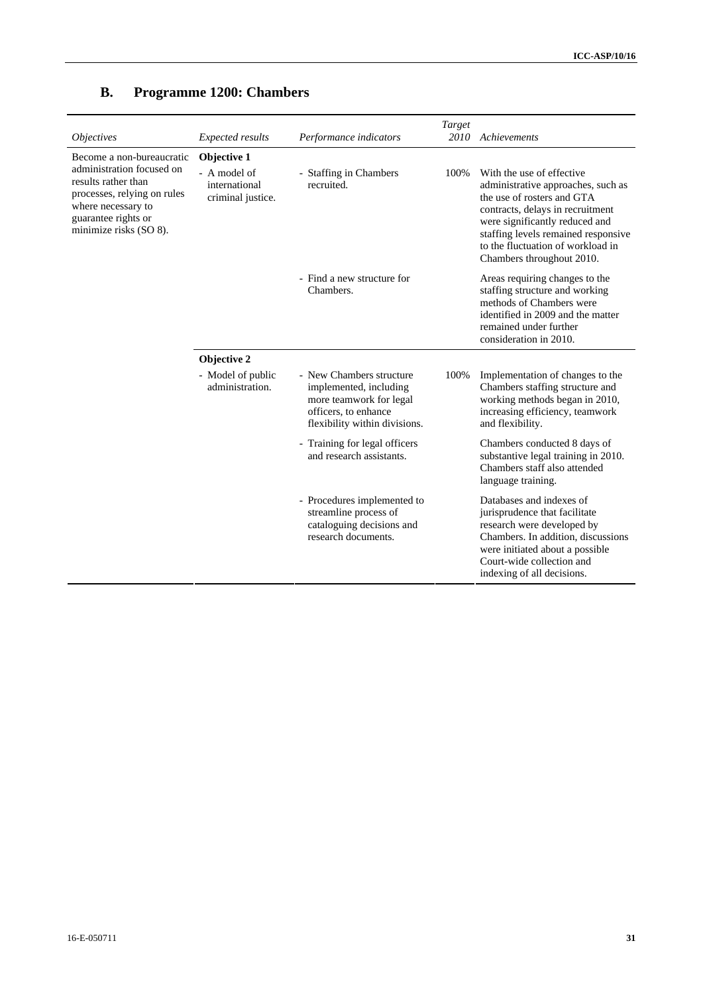| <i><b>Objectives</b></i>                                                                                                                               | Expected results                                   | Performance indicators                                                                                                                 | Target<br>2010 | Achievements                                                                                                                                                                                                                                                                 |  |  |
|--------------------------------------------------------------------------------------------------------------------------------------------------------|----------------------------------------------------|----------------------------------------------------------------------------------------------------------------------------------------|----------------|------------------------------------------------------------------------------------------------------------------------------------------------------------------------------------------------------------------------------------------------------------------------------|--|--|
| Become a non-bureaucratic                                                                                                                              | Objective 1                                        |                                                                                                                                        |                |                                                                                                                                                                                                                                                                              |  |  |
| administration focused on<br>results rather than<br>processes, relying on rules<br>where necessary to<br>guarantee rights or<br>minimize risks (SO 8). | - A model of<br>international<br>criminal justice. | - Staffing in Chambers<br>recruited.                                                                                                   | 100\%          | With the use of effective<br>administrative approaches, such as<br>the use of rosters and GTA<br>contracts, delays in recruitment<br>were significantly reduced and<br>staffing levels remained responsive<br>to the fluctuation of workload in<br>Chambers throughout 2010. |  |  |
|                                                                                                                                                        |                                                    | - Find a new structure for<br>Chambers.                                                                                                |                | Areas requiring changes to the<br>staffing structure and working<br>methods of Chambers were<br>identified in 2009 and the matter<br>remained under further<br>consideration in 2010.                                                                                        |  |  |
|                                                                                                                                                        | Objective 2                                        |                                                                                                                                        |                |                                                                                                                                                                                                                                                                              |  |  |
|                                                                                                                                                        | - Model of public<br>administration.               | - New Chambers structure<br>implemented, including<br>more teamwork for legal<br>officers, to enhance<br>flexibility within divisions. | 100%           | Implementation of changes to the<br>Chambers staffing structure and<br>working methods began in 2010,<br>increasing efficiency, teamwork<br>and flexibility.                                                                                                                 |  |  |
|                                                                                                                                                        |                                                    | - Training for legal officers<br>and research assistants.                                                                              |                | Chambers conducted 8 days of<br>substantive legal training in 2010.<br>Chambers staff also attended<br>language training.                                                                                                                                                    |  |  |
|                                                                                                                                                        |                                                    | - Procedures implemented to<br>streamline process of<br>cataloguing decisions and<br>research documents.                               |                | Databases and indexes of<br>jurisprudence that facilitate<br>research were developed by<br>Chambers. In addition, discussions<br>were initiated about a possible<br>Court-wide collection and<br>indexing of all decisions.                                                  |  |  |

# **B. Programme 1200: Chambers**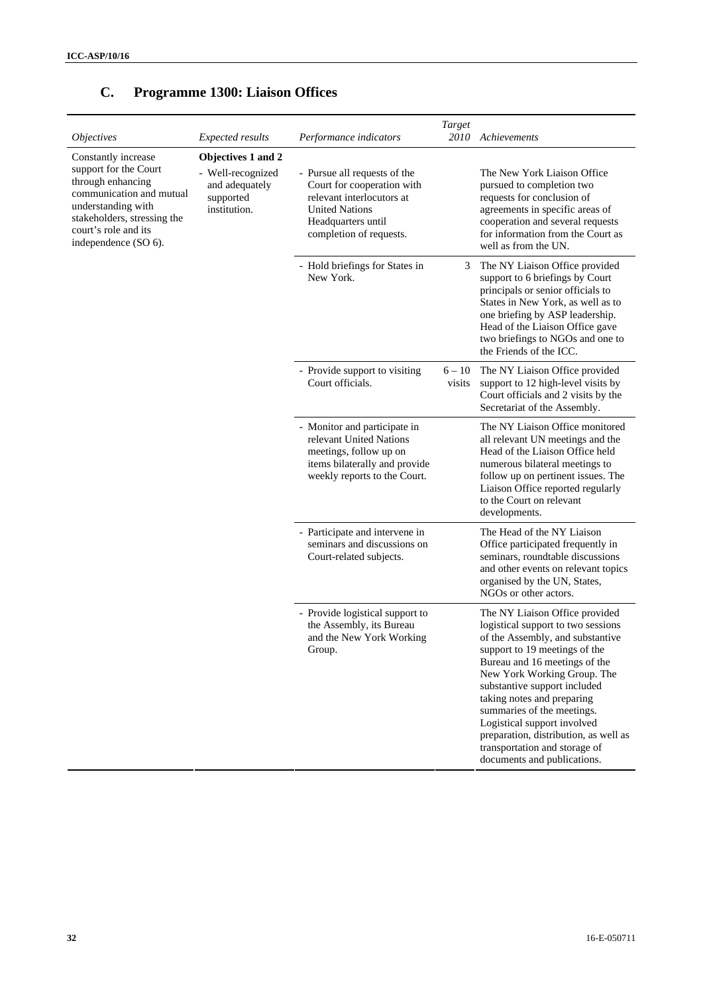| <i>Objectives</i>                                                                                                                                                                                  | <i>Expected results</i>                                                                | Performance indicators                                                                                                                                            | Target<br><i>2010</i> | Achievements                                                                                                                                                                                                                                                                                                                                                                                                                                  |
|----------------------------------------------------------------------------------------------------------------------------------------------------------------------------------------------------|----------------------------------------------------------------------------------------|-------------------------------------------------------------------------------------------------------------------------------------------------------------------|-----------------------|-----------------------------------------------------------------------------------------------------------------------------------------------------------------------------------------------------------------------------------------------------------------------------------------------------------------------------------------------------------------------------------------------------------------------------------------------|
| Constantly increase<br>support for the Court<br>through enhancing<br>communication and mutual<br>understanding with<br>stakeholders, stressing the<br>court's role and its<br>independence (SO 6). | Objectives 1 and 2<br>- Well-recognized<br>and adequately<br>supported<br>institution. | - Pursue all requests of the<br>Court for cooperation with<br>relevant interlocutors at<br><b>United Nations</b><br>Headquarters until<br>completion of requests. |                       | The New York Liaison Office<br>pursued to completion two<br>requests for conclusion of<br>agreements in specific areas of<br>cooperation and several requests<br>for information from the Court as<br>well as from the UN.                                                                                                                                                                                                                    |
|                                                                                                                                                                                                    |                                                                                        | - Hold briefings for States in<br>New York.                                                                                                                       | 3                     | The NY Liaison Office provided<br>support to 6 briefings by Court<br>principals or senior officials to<br>States in New York, as well as to<br>one briefing by ASP leadership.<br>Head of the Liaison Office gave<br>two briefings to NGOs and one to<br>the Friends of the ICC.                                                                                                                                                              |
|                                                                                                                                                                                                    |                                                                                        | - Provide support to visiting<br>Court officials.                                                                                                                 | $6 - 10$<br>visits    | The NY Liaison Office provided<br>support to 12 high-level visits by<br>Court officials and 2 visits by the<br>Secretariat of the Assembly.                                                                                                                                                                                                                                                                                                   |
|                                                                                                                                                                                                    |                                                                                        | - Monitor and participate in<br>relevant United Nations<br>meetings, follow up on<br>items bilaterally and provide<br>weekly reports to the Court.                |                       | The NY Liaison Office monitored<br>all relevant UN meetings and the<br>Head of the Liaison Office held<br>numerous bilateral meetings to<br>follow up on pertinent issues. The<br>Liaison Office reported regularly<br>to the Court on relevant<br>developments.                                                                                                                                                                              |
|                                                                                                                                                                                                    |                                                                                        | - Participate and intervene in<br>seminars and discussions on<br>Court-related subjects.                                                                          |                       | The Head of the NY Liaison<br>Office participated frequently in<br>seminars, roundtable discussions<br>and other events on relevant topics<br>organised by the UN, States,<br>NGOs or other actors.                                                                                                                                                                                                                                           |
|                                                                                                                                                                                                    |                                                                                        | - Provide logistical support to<br>the Assembly, its Bureau<br>and the New York Working<br>Group.                                                                 |                       | The NY Liaison Office provided<br>logistical support to two sessions<br>of the Assembly, and substantive<br>support to 19 meetings of the<br>Bureau and 16 meetings of the<br>New York Working Group. The<br>substantive support included<br>taking notes and preparing<br>summaries of the meetings.<br>Logistical support involved<br>preparation, distribution, as well as<br>transportation and storage of<br>documents and publications. |

# **C. Programme 1300: Liaison Offices**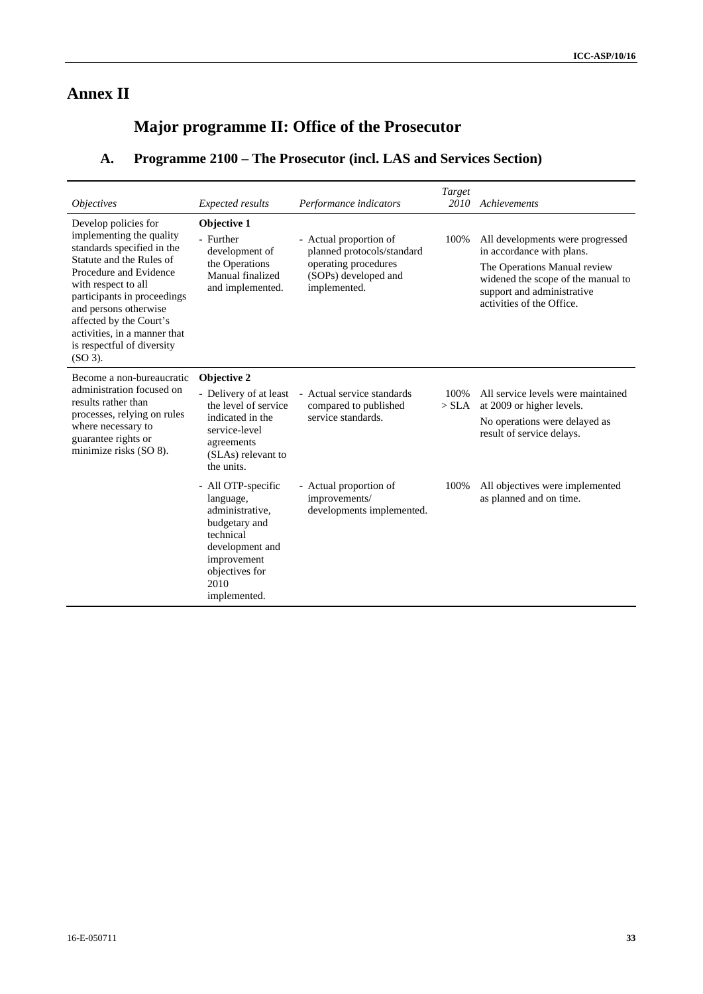# **Annex II**

# **Major programme II: Office of the Prosecutor**

# **A. Programme 2100 – The Prosecutor (incl. LAS and Services Section)**

| <i><b>Objectives</b></i>                                                                                                                                                                                                                                                                                                  | <b>Expected results</b>                                                                                                                                      | Performance indicators                                                                                               | Target<br>2010   | Achievements                                                                                                                                                                                   |
|---------------------------------------------------------------------------------------------------------------------------------------------------------------------------------------------------------------------------------------------------------------------------------------------------------------------------|--------------------------------------------------------------------------------------------------------------------------------------------------------------|----------------------------------------------------------------------------------------------------------------------|------------------|------------------------------------------------------------------------------------------------------------------------------------------------------------------------------------------------|
| Develop policies for<br>implementing the quality<br>standards specified in the<br>Statute and the Rules of<br>Procedure and Evidence<br>with respect to all<br>participants in proceedings<br>and persons otherwise<br>affected by the Court's<br>activities, in a manner that<br>is respectful of diversity<br>$(SO3)$ . | Objective 1<br>- Further<br>development of<br>the Operations<br>Manual finalized<br>and implemented.                                                         | - Actual proportion of<br>planned protocols/standard<br>operating procedures<br>(SOPs) developed and<br>implemented. | 100%             | All developments were progressed<br>in accordance with plans.<br>The Operations Manual review<br>widened the scope of the manual to<br>support and administrative<br>activities of the Office. |
| Become a non-bureaucratic<br>administration focused on<br>results rather than<br>processes, relying on rules<br>where necessary to<br>guarantee rights or<br>minimize risks (SO 8).                                                                                                                                       | <b>Objective 2</b><br>the level of service<br>indicated in the<br>service-level<br>agreements<br>(SLAs) relevant to<br>the units.                            | - Delivery of at least - Actual service standards<br>compared to published<br>service standards.                     | 100\%<br>$>$ SLA | All service levels were maintained<br>at 2009 or higher levels.<br>No operations were delayed as<br>result of service delays.                                                                  |
|                                                                                                                                                                                                                                                                                                                           | - All OTP-specific<br>language,<br>administrative.<br>budgetary and<br>technical<br>development and<br>improvement<br>objectives for<br>2010<br>implemented. | - Actual proportion of<br>improvements/<br>developments implemented.                                                 | 100%             | All objectives were implemented<br>as planned and on time.                                                                                                                                     |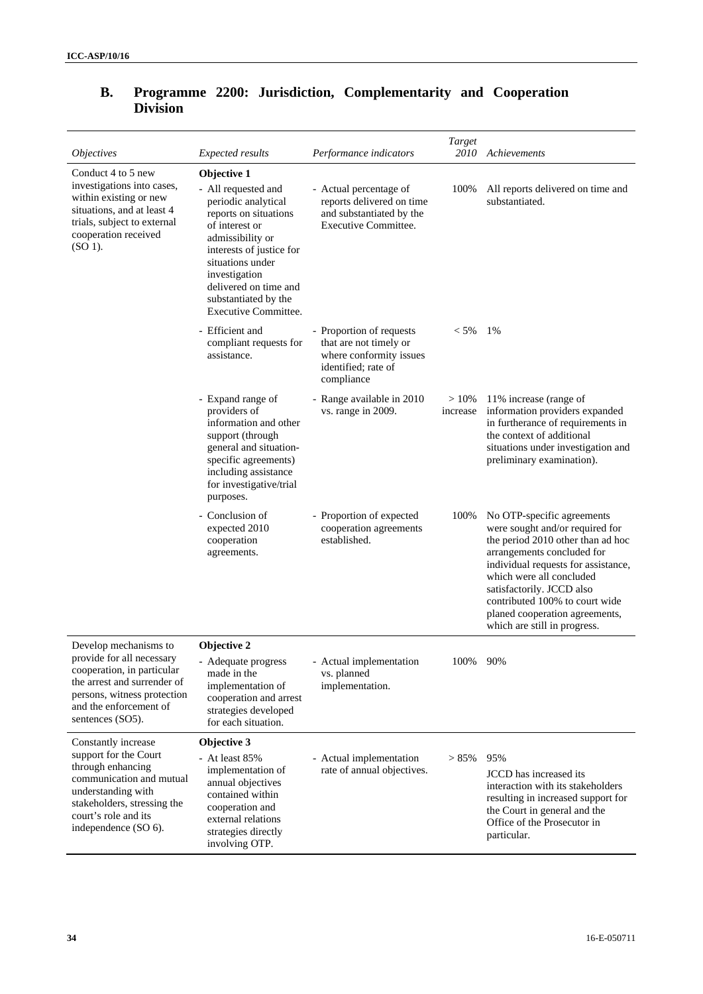| <i>Objectives</i>                                                                                                                                                             | <b>Expected results</b>                                                                                                                                                                                                                                            | Performance indicators                                                                                             | Target<br>2010      | Achievements                                                                                                                                                                                                                                                                                                                         |
|-------------------------------------------------------------------------------------------------------------------------------------------------------------------------------|--------------------------------------------------------------------------------------------------------------------------------------------------------------------------------------------------------------------------------------------------------------------|--------------------------------------------------------------------------------------------------------------------|---------------------|--------------------------------------------------------------------------------------------------------------------------------------------------------------------------------------------------------------------------------------------------------------------------------------------------------------------------------------|
| Conduct 4 to 5 new<br>investigations into cases,<br>within existing or new<br>situations, and at least 4<br>trials, subject to external<br>cooperation received<br>$(SO 1)$ . | Objective 1<br>- All requested and<br>periodic analytical<br>reports on situations<br>of interest or<br>admissibility or<br>interests of justice for<br>situations under<br>investigation<br>delivered on time and<br>substantiated by the<br>Executive Committee. | - Actual percentage of<br>reports delivered on time<br>and substantiated by the<br><b>Executive Committee.</b>     | 100%                | All reports delivered on time and<br>substantiated.                                                                                                                                                                                                                                                                                  |
|                                                                                                                                                                               | - Efficient and<br>compliant requests for<br>assistance.                                                                                                                                                                                                           | - Proportion of requests<br>that are not timely or<br>where conformity issues<br>identified; rate of<br>compliance | $< 5\%$             | 1%                                                                                                                                                                                                                                                                                                                                   |
|                                                                                                                                                                               | - Expand range of<br>providers of<br>information and other<br>support (through<br>general and situation-<br>specific agreements)<br>including assistance<br>for investigative/trial<br>purposes.                                                                   | - Range available in 2010<br>vs. range in 2009.                                                                    | $>10\%$<br>increase | 11% increase (range of<br>information providers expanded<br>in furtherance of requirements in<br>the context of additional<br>situations under investigation and<br>preliminary examination).                                                                                                                                        |
|                                                                                                                                                                               | - Conclusion of<br>expected 2010<br>cooperation<br>agreements.                                                                                                                                                                                                     | - Proportion of expected<br>cooperation agreements<br>established.                                                 | 100%                | No OTP-specific agreements<br>were sought and/or required for<br>the period 2010 other than ad hoc<br>arrangements concluded for<br>individual requests for assistance,<br>which were all concluded<br>satisfactorily. JCCD also<br>contributed 100% to court wide<br>planed cooperation agreements,<br>which are still in progress. |
| Develop mechanisms to                                                                                                                                                         | Objective 2                                                                                                                                                                                                                                                        |                                                                                                                    |                     |                                                                                                                                                                                                                                                                                                                                      |
| provide for all necessary<br>cooperation, in particular<br>the arrest and surrender of<br>persons, witness protection<br>and the enforcement of<br>sentences (SO5).           | Adequate progress<br>made in the<br>implementation of<br>cooperation and arrest<br>strategies developed<br>for each situation.                                                                                                                                     | - Actual implementation<br>vs. planned<br>implementation.                                                          | 100%                | 90%                                                                                                                                                                                                                                                                                                                                  |
| Constantly increase                                                                                                                                                           | Objective 3                                                                                                                                                                                                                                                        |                                                                                                                    |                     |                                                                                                                                                                                                                                                                                                                                      |
| support for the Court<br>through enhancing<br>communication and mutual<br>understanding with<br>stakeholders, stressing the<br>court's role and its<br>independence (SO 6).   | - At least 85%<br>implementation of<br>annual objectives<br>contained within<br>cooperation and<br>external relations<br>strategies directly<br>involving OTP.                                                                                                     | - Actual implementation<br>rate of annual objectives.                                                              | > 85%               | 95%<br><b>JCCD</b> has increased its<br>interaction with its stakeholders<br>resulting in increased support for<br>the Court in general and the<br>Office of the Prosecutor in<br>particular.                                                                                                                                        |

## **B. Programme 2200: Jurisdiction, Complementarity and Cooperation Division**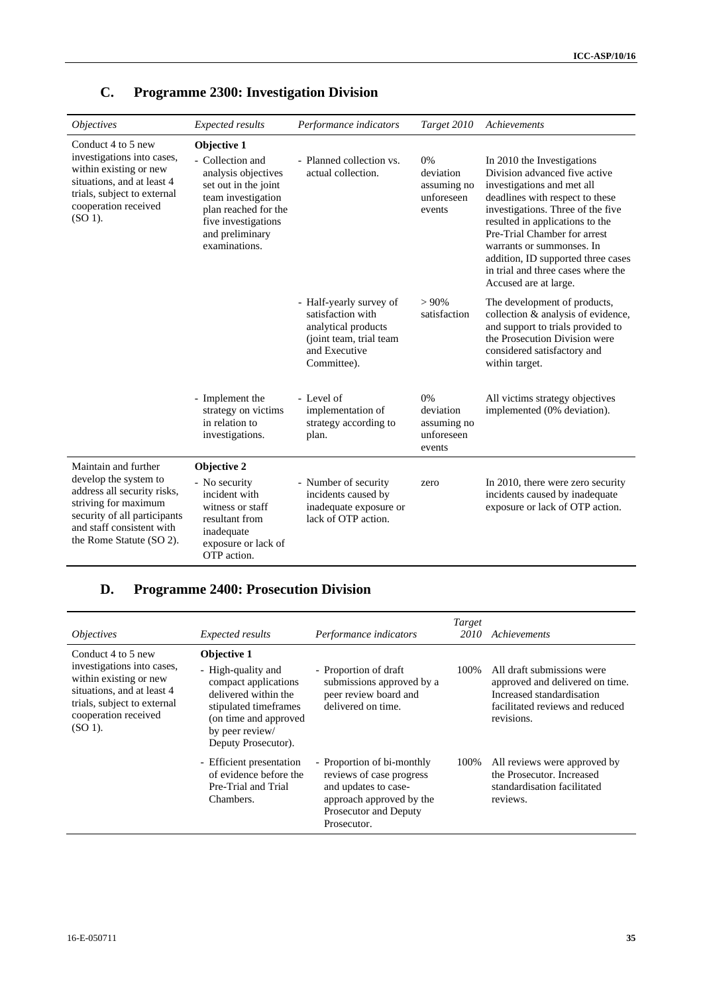| <i><b>Objectives</b></i>                                                                                                                                                                      | Expected results                                                                                                                                                                        | Performance indicators                                                                                                         | Target 2010                                            | Achievements                                                                                                                                                                                                                                                                                                                                                           |
|-----------------------------------------------------------------------------------------------------------------------------------------------------------------------------------------------|-----------------------------------------------------------------------------------------------------------------------------------------------------------------------------------------|--------------------------------------------------------------------------------------------------------------------------------|--------------------------------------------------------|------------------------------------------------------------------------------------------------------------------------------------------------------------------------------------------------------------------------------------------------------------------------------------------------------------------------------------------------------------------------|
| Conduct 4 to 5 new<br>investigations into cases,<br>within existing or new<br>situations, and at least 4<br>trials, subject to external<br>cooperation received<br>$(SO 1)$ .                 | Objective 1<br>- Collection and<br>analysis objectives<br>set out in the joint<br>team investigation<br>plan reached for the<br>five investigations<br>and preliminary<br>examinations. | - Planned collection vs.<br>actual collection.                                                                                 | 0%<br>deviation<br>assuming no<br>unforeseen<br>events | In 2010 the Investigations<br>Division advanced five active<br>investigations and met all<br>deadlines with respect to these<br>investigations. Three of the five<br>resulted in applications to the<br>Pre-Trial Chamber for arrest<br>warrants or summonses. In<br>addition, ID supported three cases<br>in trial and three cases where the<br>Accused are at large. |
|                                                                                                                                                                                               |                                                                                                                                                                                         | - Half-yearly survey of<br>satisfaction with<br>analytical products<br>(joint team, trial team<br>and Executive<br>Committee). | >90%<br>satisfaction                                   | The development of products,<br>collection & analysis of evidence,<br>and support to trials provided to<br>the Prosecution Division were<br>considered satisfactory and<br>within target.                                                                                                                                                                              |
|                                                                                                                                                                                               | - Implement the<br>strategy on victims<br>in relation to<br>investigations.                                                                                                             | - Level of<br>implementation of<br>strategy according to<br>plan.                                                              | 0%<br>deviation<br>assuming no<br>unforeseen<br>events | All victims strategy objectives<br>implemented (0% deviation).                                                                                                                                                                                                                                                                                                         |
| Maintain and further<br>develop the system to<br>address all security risks,<br>striving for maximum<br>security of all participants<br>and staff consistent with<br>the Rome Statute (SO 2). | Objective 2<br>- No security<br>incident with<br>witness or staff<br>resultant from<br>inadequate<br>exposure or lack of<br>OTP action.                                                 | - Number of security<br>incidents caused by<br>inadequate exposure or<br>lack of OTP action.                                   | zero                                                   | In 2010, there were zero security<br>incidents caused by inadequate<br>exposure or lack of OTP action.                                                                                                                                                                                                                                                                 |

# **C. Programme 2300: Investigation Division**

### **D. Programme 2400: Prosecution Division**

| <i>Objectives</i>                                                                                                                                                            | <i>Expected results</i>                                                                                                                                                              | Performance indicators                                                                                                                             | Target<br>2010 | Achievements                                                                                                                                |
|------------------------------------------------------------------------------------------------------------------------------------------------------------------------------|--------------------------------------------------------------------------------------------------------------------------------------------------------------------------------------|----------------------------------------------------------------------------------------------------------------------------------------------------|----------------|---------------------------------------------------------------------------------------------------------------------------------------------|
| Conduct 4 to 5 new<br>investigations into cases,<br>within existing or new<br>situations, and at least 4<br>trials, subject to external<br>cooperation received<br>$(SO1)$ . | <b>Objective 1</b><br>- High-quality and<br>compact applications<br>delivered within the<br>stipulated timeframes<br>(on time and approved<br>by peer review/<br>Deputy Prosecutor). | - Proportion of draft<br>submissions approved by a<br>peer review board and<br>delivered on time.                                                  | 100%           | All draft submissions were<br>approved and delivered on time.<br>Increased standardisation<br>facilitated reviews and reduced<br>revisions. |
|                                                                                                                                                                              | - Efficient presentation<br>of evidence before the<br>Pre-Trial and Trial<br>Chambers.                                                                                               | - Proportion of bi-monthly<br>reviews of case progress<br>and updates to case-<br>approach approved by the<br>Prosecutor and Deputy<br>Prosecutor. | 100%           | All reviews were approved by<br>the Prosecutor. Increased<br>standardisation facilitated<br>reviews.                                        |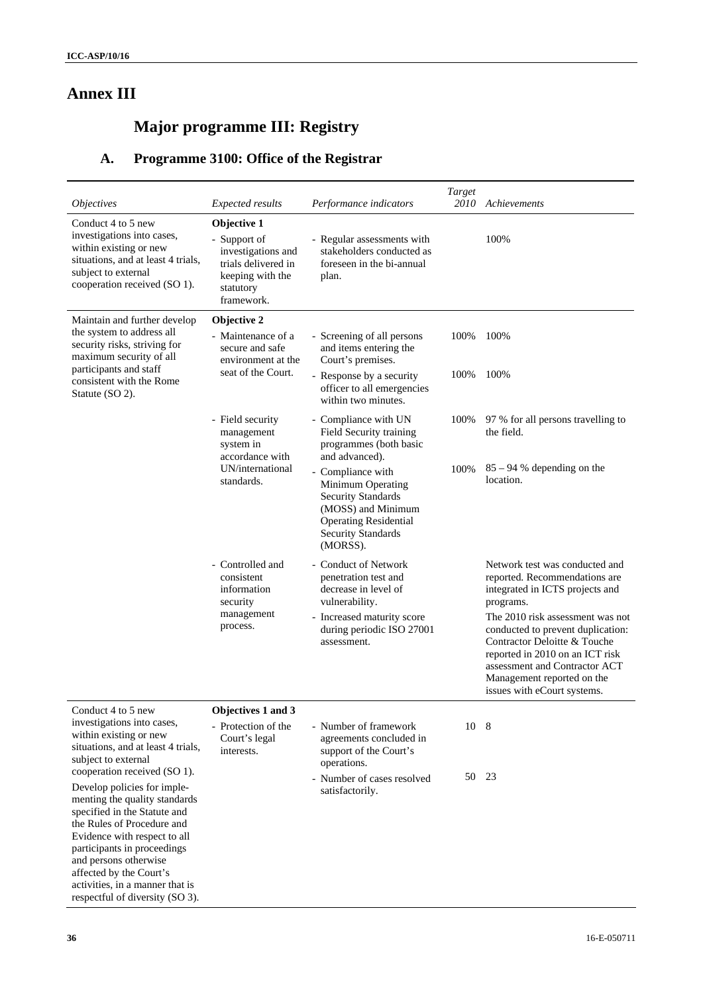# **Annex III**

# **Major programme III: Registry**

# **A. Programme 3100: Office of the Registrar**

| <i><b>Objectives</b></i>                                                                                                                                                                                                                                                                                            | <b>Expected results</b>                                                                                                 | Performance indicators                                                                                                                                             | Target<br>2010 | Achievements                                                                                                                                                                                                                           |
|---------------------------------------------------------------------------------------------------------------------------------------------------------------------------------------------------------------------------------------------------------------------------------------------------------------------|-------------------------------------------------------------------------------------------------------------------------|--------------------------------------------------------------------------------------------------------------------------------------------------------------------|----------------|----------------------------------------------------------------------------------------------------------------------------------------------------------------------------------------------------------------------------------------|
| Conduct 4 to 5 new<br>investigations into cases,<br>within existing or new<br>situations, and at least 4 trials,<br>subject to external<br>cooperation received (SO 1).                                                                                                                                             | Objective 1<br>- Support of<br>investigations and<br>trials delivered in<br>keeping with the<br>statutory<br>framework. | - Regular assessments with<br>stakeholders conducted as<br>foreseen in the bi-annual<br>plan.                                                                      |                | 100%                                                                                                                                                                                                                                   |
| Maintain and further develop                                                                                                                                                                                                                                                                                        | Objective 2                                                                                                             |                                                                                                                                                                    |                |                                                                                                                                                                                                                                        |
| the system to address all<br>security risks, striving for<br>maximum security of all<br>participants and staff                                                                                                                                                                                                      | - Maintenance of a<br>secure and safe<br>environment at the                                                             | - Screening of all persons<br>and items entering the<br>Court's premises.                                                                                          | 100%           | 100%                                                                                                                                                                                                                                   |
| consistent with the Rome<br>Statute (SO 2).                                                                                                                                                                                                                                                                         | seat of the Court.                                                                                                      | - Response by a security<br>officer to all emergencies<br>within two minutes.                                                                                      | 100%           | 100%                                                                                                                                                                                                                                   |
|                                                                                                                                                                                                                                                                                                                     | - Field security<br>management<br>system in<br>accordance with                                                          | - Compliance with UN<br>Field Security training<br>programmes (both basic<br>and advanced).                                                                        | 100%           | 97 % for all persons travelling to<br>the field.                                                                                                                                                                                       |
|                                                                                                                                                                                                                                                                                                                     | UN/international<br>standards.                                                                                          | - Compliance with<br>Minimum Operating<br><b>Security Standards</b><br>(MOSS) and Minimum<br><b>Operating Residential</b><br><b>Security Standards</b><br>(MORSS). | 100%           | $85 - 94$ % depending on the<br>location.                                                                                                                                                                                              |
|                                                                                                                                                                                                                                                                                                                     | - Controlled and<br>consistent<br>information<br>security                                                               | - Conduct of Network<br>penetration test and<br>decrease in level of<br>vulnerability.                                                                             |                | Network test was conducted and<br>reported. Recommendations are<br>integrated in ICTS projects and<br>programs.                                                                                                                        |
|                                                                                                                                                                                                                                                                                                                     | management<br>process.                                                                                                  | - Increased maturity score<br>during periodic ISO 27001<br>assessment.                                                                                             |                | The 2010 risk assessment was not<br>conducted to prevent duplication:<br>Contractor Deloitte & Touche<br>reported in 2010 on an ICT risk<br>assessment and Contractor ACT<br>Management reported on the<br>issues with eCourt systems. |
| Conduct 4 to 5 new                                                                                                                                                                                                                                                                                                  | Objectives 1 and 3                                                                                                      |                                                                                                                                                                    |                |                                                                                                                                                                                                                                        |
| investigations into cases,<br>within existing or new<br>situations, and at least 4 trials,<br>subject to external<br>cooperation received (SO 1).                                                                                                                                                                   | - Protection of the<br>Court's legal<br>interests.                                                                      | - Number of framework<br>agreements concluded in<br>support of the Court's<br>operations.                                                                          | 10 8           |                                                                                                                                                                                                                                        |
| Develop policies for imple-<br>menting the quality standards<br>specified in the Statute and<br>the Rules of Procedure and<br>Evidence with respect to all<br>participants in proceedings<br>and persons otherwise<br>affected by the Court's<br>activities, in a manner that is<br>respectful of diversity (SO 3). |                                                                                                                         | - Number of cases resolved<br>satisfactorily.                                                                                                                      |                | 50 23                                                                                                                                                                                                                                  |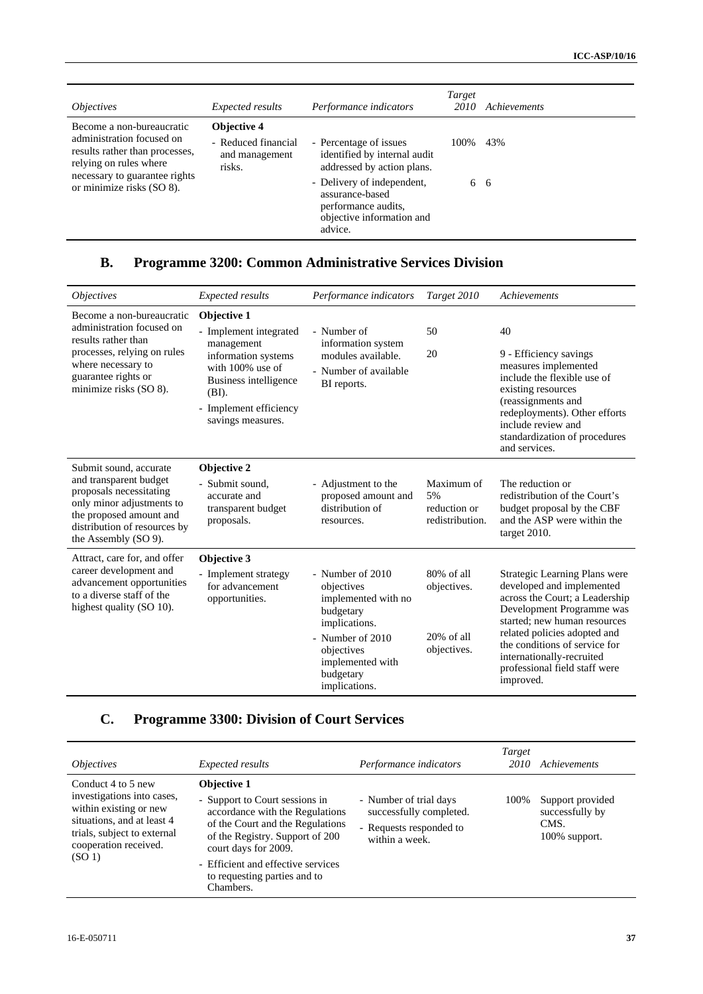| <i><b>Objectives</b></i>                                                                                                                            | <i>Expected results</i>                         | Performance indicators                                                                                       | Target<br>2010 | Achievements |
|-----------------------------------------------------------------------------------------------------------------------------------------------------|-------------------------------------------------|--------------------------------------------------------------------------------------------------------------|----------------|--------------|
| Become a non-bureaucratic                                                                                                                           | <b>Objective 4</b>                              |                                                                                                              |                |              |
| administration focused on<br>results rather than processes,<br>relying on rules where<br>necessary to guarantee rights<br>or minimize risks (SO 8). | - Reduced financial<br>and management<br>risks. | - Percentage of issues<br>identified by internal audit<br>addressed by action plans.                         | 100\%          | 43%          |
|                                                                                                                                                     |                                                 | - Delivery of independent,<br>assurance-based<br>performance audits,<br>objective information and<br>advice. |                | 6 6          |

### **B. Programme 3200: Common Administrative Services Division**

| <i><b>Objectives</b></i>                                                                                                                                                                    | Expected results                                                                                                                                                                | Performance indicators                                                                                                                                                  | Target 2010                                                  | Achievements                                                                                                                                                                                                                                                                                          |
|---------------------------------------------------------------------------------------------------------------------------------------------------------------------------------------------|---------------------------------------------------------------------------------------------------------------------------------------------------------------------------------|-------------------------------------------------------------------------------------------------------------------------------------------------------------------------|--------------------------------------------------------------|-------------------------------------------------------------------------------------------------------------------------------------------------------------------------------------------------------------------------------------------------------------------------------------------------------|
| Become a non-bureaucratic<br>administration focused on<br>results rather than<br>processes, relying on rules<br>where necessary to<br>guarantee rights or<br>minimize risks (SO 8).         | Objective 1<br>- Implement integrated<br>management<br>information systems<br>with 100% use of<br>Business intelligence<br>(BI).<br>- Implement efficiency<br>savings measures. | - Number of<br>information system<br>modules available.<br>- Number of available<br>BI reports.                                                                         | 50<br>20                                                     | 40<br>9 - Efficiency savings<br>measures implemented<br>include the flexible use of<br>existing resources<br>(reassignments and<br>redeployments). Other efforts<br>include review and<br>standardization of procedures<br>and services.                                                              |
| Submit sound, accurate<br>and transparent budget<br>proposals necessitating<br>only minor adjustments to<br>the proposed amount and<br>distribution of resources by<br>the Assembly (SO 9). | Objective 2<br>- Submit sound.<br>accurate and<br>transparent budget<br>proposals.                                                                                              | - Adjustment to the<br>proposed amount and<br>distribution of<br>resources.                                                                                             | Maximum of<br>5%<br>reduction or<br>redistribution.          | The reduction or<br>redistribution of the Court's<br>budget proposal by the CBF<br>and the ASP were within the<br>target 2010.                                                                                                                                                                        |
| Attract, care for, and offer<br>career development and<br>advancement opportunities<br>to a diverse staff of the<br>highest quality (SO 10).                                                | Objective 3<br>- Implement strategy<br>for advancement<br>opportunities.                                                                                                        | - Number of 2010<br>objectives<br>implemented with no<br>budgetary<br>implications.<br>- Number of 2010<br>objectives<br>implemented with<br>budgetary<br>implications. | $80\%$ of all<br>objectives.<br>$20\%$ of all<br>objectives. | Strategic Learning Plans were<br>developed and implemented<br>across the Court; a Leadership<br>Development Programme was<br>started: new human resources<br>related policies adopted and<br>the conditions of service for<br>internationally-recruited<br>professional field staff were<br>improved. |

### **C. Programme 3300: Division of Court Services**

| <i><b>Objectives</b></i>                                                                                                                                                               | <i>Expected results</i>                                                                                                                                                                                                                                                   | Performance indicators                                                                         | Target<br>2010 | Achievements                                                 |
|----------------------------------------------------------------------------------------------------------------------------------------------------------------------------------------|---------------------------------------------------------------------------------------------------------------------------------------------------------------------------------------------------------------------------------------------------------------------------|------------------------------------------------------------------------------------------------|----------------|--------------------------------------------------------------|
| Conduct 4 to 5 new<br>investigations into cases,<br>within existing or new<br>situations, and at least 4<br>trials, subject to external<br>cooperation received.<br>(SO <sub>1</sub> ) | <b>Objective 1</b><br>- Support to Court sessions in<br>accordance with the Regulations<br>of the Court and the Regulations<br>of the Registry. Support of 200<br>court days for 2009.<br>- Efficient and effective services<br>to requesting parties and to<br>Chambers. | - Number of trial days<br>successfully completed.<br>- Requests responded to<br>within a week. | 100%           | Support provided<br>successfully by<br>CMS.<br>100% support. |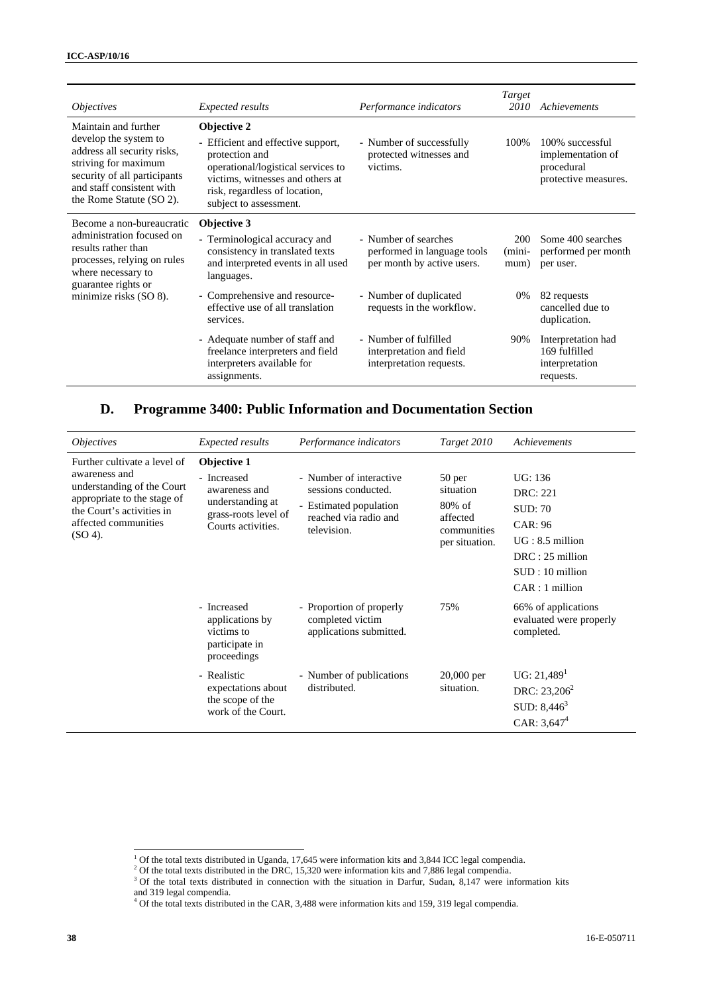| <i>Objectives</i>                                                                                                                                                                             | <b>Expected results</b>                                                                                                                                                                                  | Performance indicators                                                            | <b>Target</b><br>2010   | Achievements                                                               |
|-----------------------------------------------------------------------------------------------------------------------------------------------------------------------------------------------|----------------------------------------------------------------------------------------------------------------------------------------------------------------------------------------------------------|-----------------------------------------------------------------------------------|-------------------------|----------------------------------------------------------------------------|
| Maintain and further<br>develop the system to<br>address all security risks,<br>striving for maximum<br>security of all participants<br>and staff consistent with<br>the Rome Statute (SO 2). | Objective 2<br>- Efficient and effective support,<br>protection and<br>operational/logistical services to<br>victims, witnesses and others at<br>risk, regardless of location,<br>subject to assessment. | - Number of successfully<br>protected witnesses and<br>victims.                   | 100%                    | 100% successful<br>implementation of<br>procedural<br>protective measures. |
| Become a non-bureaucratic<br>administration focused on<br>results rather than<br>processes, relying on rules<br>where necessary to<br>guarantee rights or<br>minimize risks (SO 8).           | Objective 3<br>- Terminological accuracy and<br>consistency in translated texts<br>and interpreted events in all used<br>languages.                                                                      | - Number of searches<br>performed in language tools<br>per month by active users. | 200<br>$(mini-$<br>mum) | Some 400 searches<br>performed per month<br>per user.                      |
|                                                                                                                                                                                               | - Comprehensive and resource-<br>effective use of all translation<br>services.                                                                                                                           | - Number of duplicated<br>requests in the workflow.                               | 0%                      | 82 requests<br>cancelled due to<br>duplication.                            |
|                                                                                                                                                                                               | - Adequate number of staff and<br>freelance interpreters and field<br>interpreters available for<br>assignments.                                                                                         | - Number of fulfilled<br>interpretation and field<br>interpretation requests.     | 90%                     | Interpretation had<br>169 fulfilled<br>interpretation<br>requests.         |

### **D. Programme 3400: Public Information and Documentation Section**

| <i><b>Objectives</b></i>                                                                                                                                                      | <i>Expected results</i>                                                                                       | Performance indicators                                                                                           | Target 2010                                                                   | Achievements                                                                                                                                      |
|-------------------------------------------------------------------------------------------------------------------------------------------------------------------------------|---------------------------------------------------------------------------------------------------------------|------------------------------------------------------------------------------------------------------------------|-------------------------------------------------------------------------------|---------------------------------------------------------------------------------------------------------------------------------------------------|
| Further cultivate a level of<br>awareness and<br>understanding of the Court<br>appropriate to the stage of<br>the Court's activities in<br>affected communities<br>$(SO 4)$ . | Objective 1<br>- Increased<br>awareness and<br>understanding at<br>grass-roots level of<br>Courts activities. | - Number of interactive<br>sessions conducted.<br>- Estimated population<br>reached via radio and<br>television. | 50 per<br>situation<br>$80\%$ of<br>affected<br>communities<br>per situation. | UG: 136<br><b>DRC</b> : 221<br><b>SUD: 70</b><br><b>CAR: 96</b><br>$UG: 8.5$ million<br>$DRC: 25$ million<br>$SUB:10$ million<br>$CAR: 1$ million |
|                                                                                                                                                                               | - Increased<br>applications by<br>victims to<br>participate in<br>proceedings                                 | - Proportion of properly<br>completed victim<br>applications submitted.                                          | 75%                                                                           | 66% of applications<br>evaluated were properly<br>completed.                                                                                      |
|                                                                                                                                                                               | - Realistic<br>expectations about<br>the scope of the<br>work of the Court.                                   | - Number of publications<br>distributed.                                                                         | $20,000$ per<br>situation.                                                    | UG: 21,489 <sup>1</sup><br>DRC: $23,206^2$<br>SUD: $8,446^3$<br>CAR: $3,647^4$                                                                    |

<sup>&</sup>lt;sup>1</sup> Of the total texts distributed in Uganda, 17,645 were information kits and 3,844 ICC legal compendia.

<sup>&</sup>lt;sup>2</sup> Of the total texts distributed in the DRC, 15,320 were information kits and 7,886 legal compendia. <sup>3</sup> Of the total texts distributed in connection with the situation in Derfur, Sudan, 8,147 were in

<sup>&</sup>lt;sup>3</sup> Of the total texts distributed in connection with the situation in Darfur, Sudan, 8,147 were information kits

and 319 legal compendia. 4 Of the total texts distributed in the CAR, 3,488 were information kits and 159, 319 legal compendia.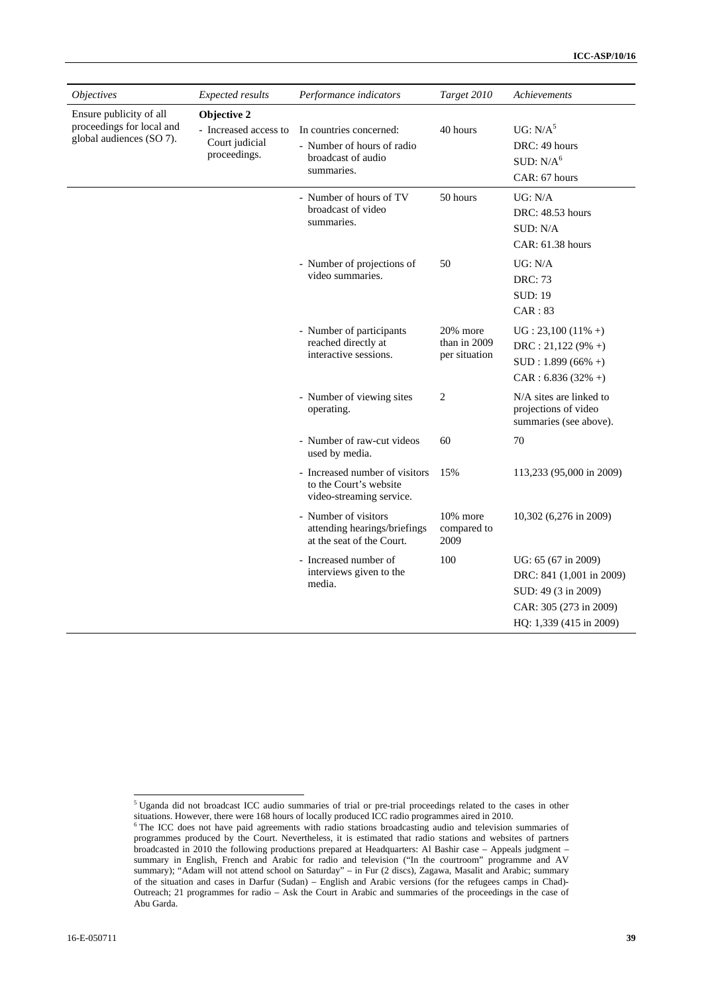| <i><b>Objectives</b></i>                                                         | Expected results                                                       | Performance indicators                                                                    | Target 2010                               | Achievements                                                                                                                |
|----------------------------------------------------------------------------------|------------------------------------------------------------------------|-------------------------------------------------------------------------------------------|-------------------------------------------|-----------------------------------------------------------------------------------------------------------------------------|
| Ensure publicity of all<br>proceedings for local and<br>global audiences (SO 7). | Objective 2<br>- Increased access to<br>Court judicial<br>proceedings. | In countries concerned:<br>- Number of hours of radio<br>broadcast of audio<br>summaries. | 40 hours                                  | UG: N/A <sup>5</sup><br>DRC: 49 hours<br>SUB: N/A <sup>6</sup><br>CAR: 67 hours                                             |
|                                                                                  |                                                                        | - Number of hours of TV<br>broadcast of video<br>summaries.                               | 50 hours                                  | UG: N/A<br>DRC: 48.53 hours<br>SUB: N/A<br>CAR: 61.38 hours                                                                 |
|                                                                                  |                                                                        | - Number of projections of<br>video summaries.                                            | 50                                        | UG: N/A<br><b>DRC: 73</b><br><b>SUD: 19</b><br>CAR: 83                                                                      |
|                                                                                  |                                                                        | - Number of participants<br>reached directly at<br>interactive sessions.                  | 20% more<br>than in 2009<br>per situation | $UG: 23,100 (11\% +)$<br>$DRC: 21,122 (9\% +)$<br>$SUD: 1.899(66\% +)$<br>$CAR: 6.836 (32% +)$                              |
|                                                                                  |                                                                        | - Number of viewing sites<br>operating.                                                   | $\overline{c}$                            | N/A sites are linked to<br>projections of video<br>summaries (see above).                                                   |
|                                                                                  |                                                                        | - Number of raw-cut videos<br>used by media.                                              | 60                                        | 70                                                                                                                          |
|                                                                                  |                                                                        | - Increased number of visitors<br>to the Court's website<br>video-streaming service.      | 15%                                       | 113,233 (95,000 in 2009)                                                                                                    |
|                                                                                  |                                                                        | - Number of visitors<br>attending hearings/briefings<br>at the seat of the Court.         | 10% more<br>compared to<br>2009           | 10,302 (6,276 in 2009)                                                                                                      |
|                                                                                  |                                                                        | - Increased number of<br>interviews given to the<br>media.                                | 100                                       | UG: 65 (67 in 2009)<br>DRC: 841 (1,001 in 2009)<br>SUD: 49 (3 in 2009)<br>CAR: 305 (273 in 2009)<br>HQ: 1,339 (415 in 2009) |

 5 Uganda did not broadcast ICC audio summaries of trial or pre-trial proceedings related to the cases in other

situations. However, there were 168 hours of locally produced ICC radio programmes aired in 2010.<br><sup>6</sup> The ICC does not have paid agreements with radio stations broadcasting audio and television summaries of programmes produced by the Court. Nevertheless, it is estimated that radio stations and websites of partners broadcasted in 2010 the following productions prepared at Headquarters: Al Bashir case – Appeals judgment – summary in English, French and Arabic for radio and television ("In the courtroom" programme and AV summary); "Adam will not attend school on Saturday" – in Fur (2 discs), Zagawa, Masalit and Arabic; summary of the situation and cases in Darfur (Sudan) – English and Arabic versions (for the refugees camps in Chad)- Outreach; 21 programmes for radio – Ask the Court in Arabic and summaries of the proceedings in the case of Abu Garda.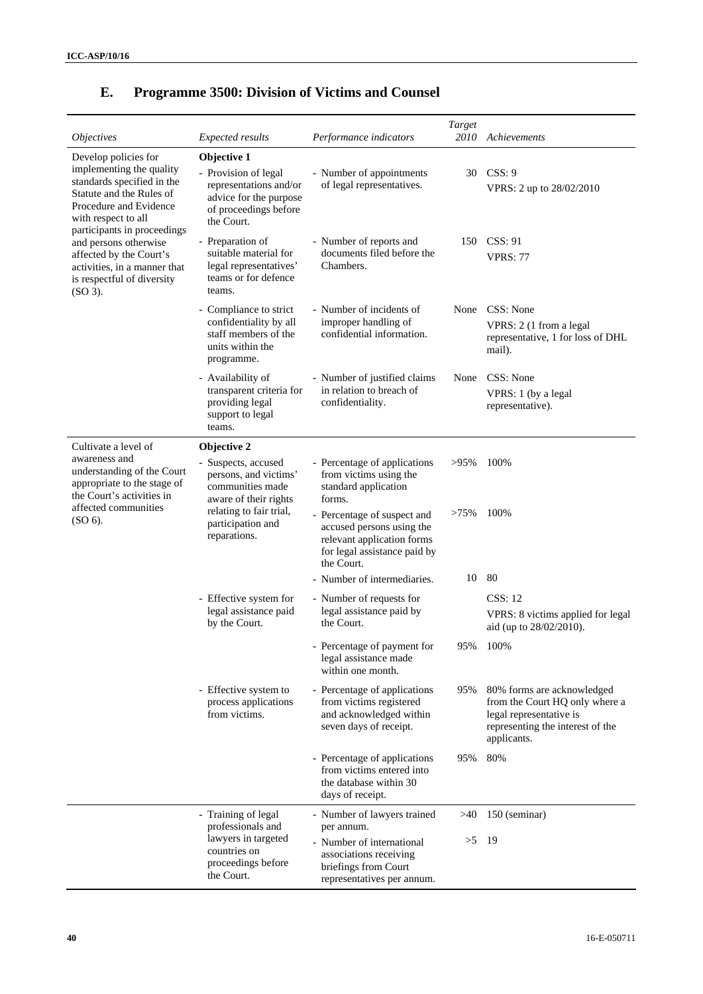| <i>Objectives</i>                                                                                                                                                                                                                                                                                                         | <b>Expected results</b>                                                                                                        | Performance indicators                                                                                                               | Target<br>2010 | Achievements                                                                                                                               |
|---------------------------------------------------------------------------------------------------------------------------------------------------------------------------------------------------------------------------------------------------------------------------------------------------------------------------|--------------------------------------------------------------------------------------------------------------------------------|--------------------------------------------------------------------------------------------------------------------------------------|----------------|--------------------------------------------------------------------------------------------------------------------------------------------|
| Develop policies for<br>implementing the quality<br>standards specified in the<br>Statute and the Rules of<br>Procedure and Evidence<br>with respect to all<br>participants in proceedings<br>and persons otherwise<br>affected by the Court's<br>activities, in a manner that<br>is respectful of diversity<br>$(SO3)$ . | Objective 1<br>- Provision of legal<br>representations and/or<br>advice for the purpose<br>of proceedings before<br>the Court. | - Number of appointments<br>of legal representatives.                                                                                | 30             | CSS: 9<br>VPRS: 2 up to 28/02/2010                                                                                                         |
|                                                                                                                                                                                                                                                                                                                           | Preparation of<br>suitable material for<br>legal representatives'<br>teams or for defence<br>teams.                            | - Number of reports and<br>documents filed before the<br>Chambers.                                                                   | 150            | CSS: 91<br><b>VPRS: 77</b>                                                                                                                 |
|                                                                                                                                                                                                                                                                                                                           | - Compliance to strict<br>confidentiality by all<br>staff members of the<br>units within the<br>programme.                     | - Number of incidents of<br>improper handling of<br>confidential information.                                                        | None           | CSS: None<br>VPRS: 2 (1 from a legal<br>representative, 1 for loss of DHL<br>mail).                                                        |
|                                                                                                                                                                                                                                                                                                                           | - Availability of<br>transparent criteria for<br>providing legal<br>support to legal<br>teams.                                 | - Number of justified claims<br>in relation to breach of<br>confidentiality.                                                         | None           | CSS: None<br>VPRS: 1 (by a legal<br>representative).                                                                                       |
| Cultivate a level of                                                                                                                                                                                                                                                                                                      | Objective 2                                                                                                                    |                                                                                                                                      |                |                                                                                                                                            |
| awareness and<br>understanding of the Court<br>appropriate to the stage of<br>the Court's activities in<br>affected communities<br>$(SO 6)$ .                                                                                                                                                                             | Suspects, accused<br>persons, and victims'<br>communities made<br>aware of their rights                                        | - Percentage of applications<br>from victims using the<br>standard application<br>forms.                                             | $>95\%$        | 100%                                                                                                                                       |
|                                                                                                                                                                                                                                                                                                                           | relating to fair trial,<br>participation and<br>reparations.                                                                   | - Percentage of suspect and<br>accused persons using the<br>relevant application forms<br>for legal assistance paid by<br>the Court. | $>75\%$        | 100%                                                                                                                                       |
|                                                                                                                                                                                                                                                                                                                           |                                                                                                                                | - Number of intermediaries.                                                                                                          | 10             | 80                                                                                                                                         |
|                                                                                                                                                                                                                                                                                                                           | - Effective system for                                                                                                         | - Number of requests for                                                                                                             |                | <b>CSS: 12</b>                                                                                                                             |
|                                                                                                                                                                                                                                                                                                                           | legal assistance paid<br>by the Court.                                                                                         | legal assistance paid by<br>the Court.                                                                                               |                | VPRS: 8 victims applied for legal<br>aid (up to 28/02/2010).                                                                               |
|                                                                                                                                                                                                                                                                                                                           |                                                                                                                                | - Percentage of payment for<br>legal assistance made<br>within one month.                                                            | 95%            | 100%                                                                                                                                       |
|                                                                                                                                                                                                                                                                                                                           | - Effective system to<br>process applications<br>from victims.                                                                 | - Percentage of applications<br>from victims registered<br>and acknowledged within<br>seven days of receipt.                         | 95%            | 80% forms are acknowledged<br>from the Court HQ only where a<br>legal representative is<br>representing the interest of the<br>applicants. |
|                                                                                                                                                                                                                                                                                                                           |                                                                                                                                | - Percentage of applications<br>from victims entered into<br>the database within 30<br>days of receipt.                              | 95%            | 80%                                                                                                                                        |
|                                                                                                                                                                                                                                                                                                                           | - Training of legal<br>professionals and                                                                                       | - Number of lawyers trained<br>per annum.                                                                                            | >40            | 150 (seminar)                                                                                                                              |
|                                                                                                                                                                                                                                                                                                                           | lawyers in targeted<br>countries on<br>proceedings before<br>the Court.                                                        | - Number of international<br>associations receiving<br>briefings from Court<br>representatives per annum.                            | >5             | -19                                                                                                                                        |

# **E. Programme 3500: Division of Victims and Counsel**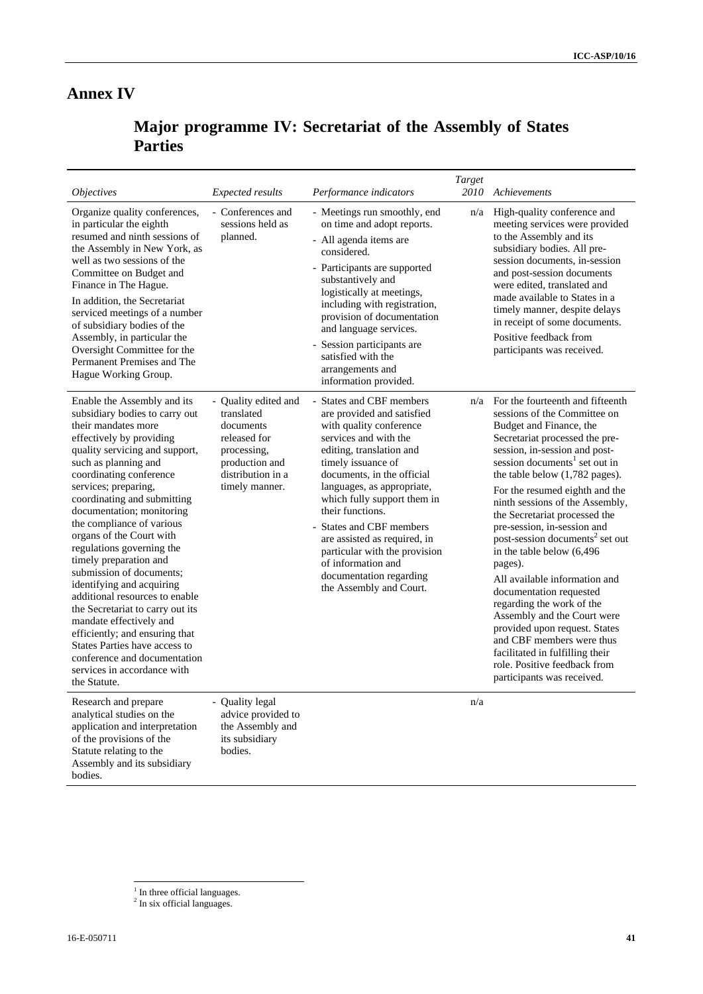## **Annex IV**

# **Major programme IV: Secretariat of the Assembly of States Parties**

|                                                                                                                                                                                                                                                                                                                                                                                                                                                                                                                                                                                                                                                                                                                       |                                                                                                                                         |                                                                                                                                                                                                                                                                                                                                                                                                                                                    | Target      |                                                                                                                                                                                                                                                                                                                                                                                                                                                                                                                                                                                                                                                                                                                                                                  |
|-----------------------------------------------------------------------------------------------------------------------------------------------------------------------------------------------------------------------------------------------------------------------------------------------------------------------------------------------------------------------------------------------------------------------------------------------------------------------------------------------------------------------------------------------------------------------------------------------------------------------------------------------------------------------------------------------------------------------|-----------------------------------------------------------------------------------------------------------------------------------------|----------------------------------------------------------------------------------------------------------------------------------------------------------------------------------------------------------------------------------------------------------------------------------------------------------------------------------------------------------------------------------------------------------------------------------------------------|-------------|------------------------------------------------------------------------------------------------------------------------------------------------------------------------------------------------------------------------------------------------------------------------------------------------------------------------------------------------------------------------------------------------------------------------------------------------------------------------------------------------------------------------------------------------------------------------------------------------------------------------------------------------------------------------------------------------------------------------------------------------------------------|
| <i>Objectives</i><br>Organize quality conferences,<br>in particular the eighth<br>resumed and ninth sessions of<br>the Assembly in New York, as<br>well as two sessions of the<br>Committee on Budget and<br>Finance in The Hague.<br>In addition, the Secretariat<br>serviced meetings of a number<br>of subsidiary bodies of the<br>Assembly, in particular the<br>Oversight Committee for the<br>Permanent Premises and The<br>Hague Working Group.                                                                                                                                                                                                                                                                | <b>Expected results</b><br>- Conferences and<br>sessions held as<br>planned.                                                            | Performance indicators<br>- Meetings run smoothly, end<br>on time and adopt reports.<br>- All agenda items are<br>considered.<br>- Participants are supported<br>substantively and<br>logistically at meetings,<br>including with registration,<br>provision of documentation<br>and language services.<br>- Session participants are<br>satisfied with the<br>arrangements and<br>information provided.                                           | 2010<br>n/a | Achievements<br>High-quality conference and<br>meeting services were provided<br>to the Assembly and its<br>subsidiary bodies. All pre-<br>session documents, in-session<br>and post-session documents<br>were edited, translated and<br>made available to States in a<br>timely manner, despite delays<br>in receipt of some documents.<br>Positive feedback from<br>participants was received.                                                                                                                                                                                                                                                                                                                                                                 |
| Enable the Assembly and its<br>subsidiary bodies to carry out<br>their mandates more<br>effectively by providing<br>quality servicing and support,<br>such as planning and<br>coordinating conference<br>services; preparing,<br>coordinating and submitting<br>documentation; monitoring<br>the compliance of various<br>organs of the Court with<br>regulations governing the<br>timely preparation and<br>submission of documents;<br>identifying and acquiring<br>additional resources to enable<br>the Secretariat to carry out its<br>mandate effectively and<br>efficiently; and ensuring that<br>States Parties have access to<br>conference and documentation<br>services in accordance with<br>the Statute. | - Quality edited and<br>translated<br>documents<br>released for<br>processing,<br>production and<br>distribution in a<br>timely manner. | - States and CBF members<br>are provided and satisfied<br>with quality conference<br>services and with the<br>editing, translation and<br>timely issuance of<br>documents, in the official<br>languages, as appropriate,<br>which fully support them in<br>their functions.<br>States and CBF members<br>are assisted as required, in<br>particular with the provision<br>of information and<br>documentation regarding<br>the Assembly and Court. | n/a         | For the fourteenth and fifteenth<br>sessions of the Committee on<br>Budget and Finance, the<br>Secretariat processed the pre-<br>session, in-session and post-<br>session documents <sup>1</sup> set out in<br>the table below (1,782 pages).<br>For the resumed eighth and the<br>ninth sessions of the Assembly,<br>the Secretariat processed the<br>pre-session, in-session and<br>post-session documents <sup>2</sup> set out<br>in the table below (6,496<br>pages).<br>All available information and<br>documentation requested<br>regarding the work of the<br>Assembly and the Court were<br>provided upon request. States<br>and CBF members were thus<br>facilitated in fulfilling their<br>role. Positive feedback from<br>participants was received. |
| Research and prepare<br>analytical studies on the<br>application and interpretation<br>of the provisions of the<br>Statute relating to the<br>Assembly and its subsidiary<br>bodies.                                                                                                                                                                                                                                                                                                                                                                                                                                                                                                                                  | - Quality legal<br>advice provided to<br>the Assembly and<br>its subsidiary<br>bodies.                                                  |                                                                                                                                                                                                                                                                                                                                                                                                                                                    | n/a         |                                                                                                                                                                                                                                                                                                                                                                                                                                                                                                                                                                                                                                                                                                                                                                  |

<sup>&</sup>lt;sup>1</sup> In three official languages.<br><sup>2</sup> In six official languages.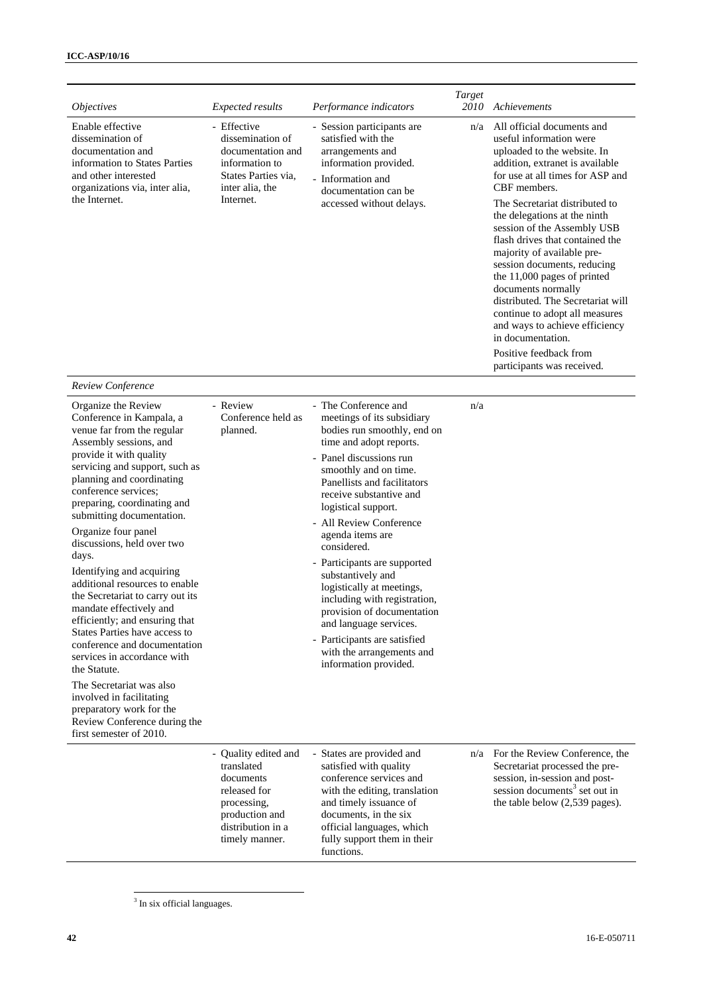| <i>Objectives</i>                                                                                                                                                                                                                                                                                                                                                                                                                                                                                                                                                                                                                                                                                                                                                                  | <b>Expected results</b>                                                                                                                 | Performance indicators                                                                                                                                                                                                                                                                                                                                                                                                                                                                                                                                                          | Target<br>2010 | Achievements                                                                                                                                                                                                                                                                                                                                                                                                                                                                                                                                                                              |
|------------------------------------------------------------------------------------------------------------------------------------------------------------------------------------------------------------------------------------------------------------------------------------------------------------------------------------------------------------------------------------------------------------------------------------------------------------------------------------------------------------------------------------------------------------------------------------------------------------------------------------------------------------------------------------------------------------------------------------------------------------------------------------|-----------------------------------------------------------------------------------------------------------------------------------------|---------------------------------------------------------------------------------------------------------------------------------------------------------------------------------------------------------------------------------------------------------------------------------------------------------------------------------------------------------------------------------------------------------------------------------------------------------------------------------------------------------------------------------------------------------------------------------|----------------|-------------------------------------------------------------------------------------------------------------------------------------------------------------------------------------------------------------------------------------------------------------------------------------------------------------------------------------------------------------------------------------------------------------------------------------------------------------------------------------------------------------------------------------------------------------------------------------------|
| Enable effective<br>dissemination of<br>documentation and<br>information to States Parties<br>and other interested<br>organizations via, inter alia,<br>the Internet.                                                                                                                                                                                                                                                                                                                                                                                                                                                                                                                                                                                                              | - Effective<br>dissemination of<br>documentation and<br>information to<br>States Parties via,<br>inter alia, the<br>Internet.           | - Session participants are<br>satisfied with the<br>arrangements and<br>information provided.<br>- Information and<br>documentation can be<br>accessed without delays.                                                                                                                                                                                                                                                                                                                                                                                                          | n/a            | All official documents and<br>useful information were<br>uploaded to the website. In<br>addition, extranet is available<br>for use at all times for ASP and<br>CBF members.<br>The Secretariat distributed to<br>the delegations at the ninth<br>session of the Assembly USB<br>flash drives that contained the<br>majority of available pre-<br>session documents, reducing<br>the 11,000 pages of printed<br>documents normally<br>distributed. The Secretariat will<br>continue to adopt all measures<br>and ways to achieve efficiency<br>in documentation.<br>Positive feedback from |
|                                                                                                                                                                                                                                                                                                                                                                                                                                                                                                                                                                                                                                                                                                                                                                                    |                                                                                                                                         |                                                                                                                                                                                                                                                                                                                                                                                                                                                                                                                                                                                 |                | participants was received.                                                                                                                                                                                                                                                                                                                                                                                                                                                                                                                                                                |
| Review Conference                                                                                                                                                                                                                                                                                                                                                                                                                                                                                                                                                                                                                                                                                                                                                                  |                                                                                                                                         |                                                                                                                                                                                                                                                                                                                                                                                                                                                                                                                                                                                 |                |                                                                                                                                                                                                                                                                                                                                                                                                                                                                                                                                                                                           |
| Organize the Review<br>Conference in Kampala, a<br>venue far from the regular<br>Assembly sessions, and<br>provide it with quality<br>servicing and support, such as<br>planning and coordinating<br>conference services;<br>preparing, coordinating and<br>submitting documentation.<br>Organize four panel<br>discussions, held over two<br>days.<br>Identifying and acquiring<br>additional resources to enable<br>the Secretariat to carry out its<br>mandate effectively and<br>efficiently; and ensuring that<br>States Parties have access to<br>conference and documentation<br>services in accordance with<br>the Statute.<br>The Secretariat was also<br>involved in facilitating<br>preparatory work for the<br>Review Conference during the<br>first semester of 2010. | - Review<br>Conference held as<br>planned.                                                                                              | - The Conference and<br>meetings of its subsidiary<br>bodies run smoothly, end on<br>time and adopt reports.<br>- Panel discussions run<br>smoothly and on time.<br>Panellists and facilitators<br>receive substantive and<br>logistical support.<br>- All Review Conference<br>agenda items are<br>considered.<br>- Participants are supported<br>substantively and<br>logistically at meetings,<br>including with registration,<br>provision of documentation<br>and language services.<br>- Participants are satisfied<br>with the arrangements and<br>information provided. | n/a            |                                                                                                                                                                                                                                                                                                                                                                                                                                                                                                                                                                                           |
|                                                                                                                                                                                                                                                                                                                                                                                                                                                                                                                                                                                                                                                                                                                                                                                    | - Quality edited and<br>translated<br>documents<br>released for<br>processing,<br>production and<br>distribution in a<br>timely manner. | - States are provided and<br>satisfied with quality<br>conference services and<br>with the editing, translation<br>and timely issuance of<br>documents, in the six<br>official languages, which<br>fully support them in their                                                                                                                                                                                                                                                                                                                                                  |                | n/a For the Review Conference, the<br>Secretariat processed the pre-<br>session, in-session and post-<br>session documents <sup>3</sup> set out in<br>the table below (2,539 pages).                                                                                                                                                                                                                                                                                                                                                                                                      |

functions.

<sup>&</sup>lt;sup>3</sup> In six official languages.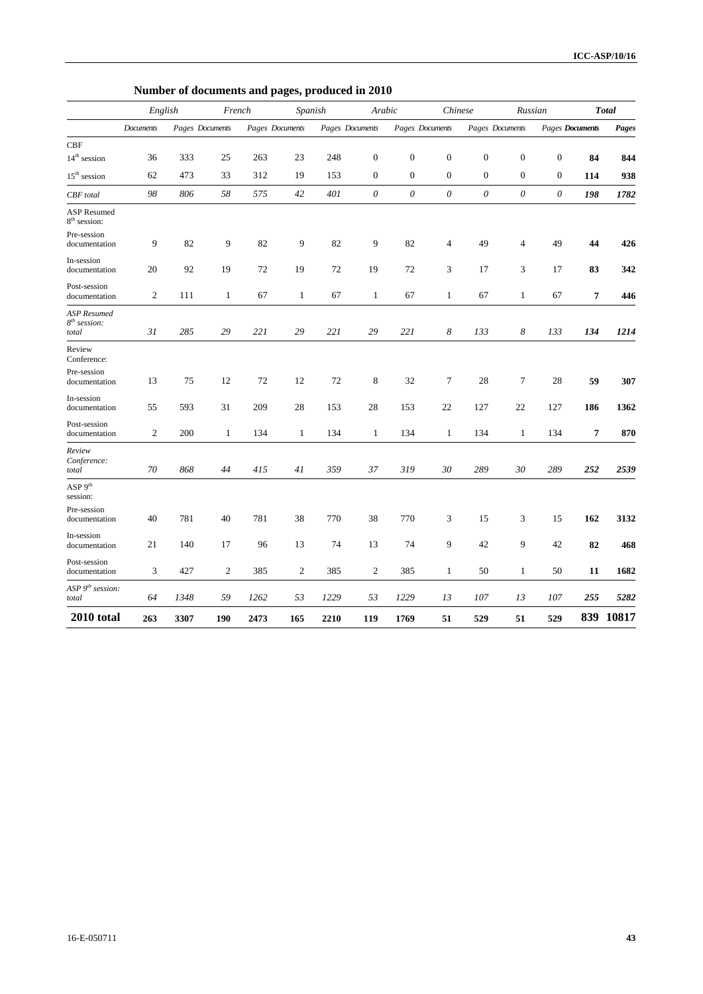|                                                       | Number of documents and pages, produced in 2010 |                 |                |                 |                |                   |                           |                  |                           |                  |                  |                        |                |              |
|-------------------------------------------------------|-------------------------------------------------|-----------------|----------------|-----------------|----------------|-------------------|---------------------------|------------------|---------------------------|------------------|------------------|------------------------|----------------|--------------|
|                                                       |                                                 | English         | French         |                 |                | Arabic<br>Spanish |                           | Chinese          |                           |                  | Russian          |                        |                | <b>Total</b> |
|                                                       | Documents                                       | Pages Documents |                | Pages Documents |                | Pages Documents   |                           | Pages Documents  |                           | Pages Documents  |                  | <b>Pages Documents</b> |                | Pages        |
| CBF<br>$14^{\rm th}$ session                          | 36                                              | 333             | 25             | 263             | 23             | 248               | $\boldsymbol{0}$          | $\boldsymbol{0}$ | $\boldsymbol{0}$          | $\boldsymbol{0}$ | $\boldsymbol{0}$ | $\boldsymbol{0}$       | 84             | 844          |
| $15^{\rm th}$ session                                 | 62                                              | 473             | 33             | 312             | 19             | 153               | $\mathbf{0}$              | $\boldsymbol{0}$ | $\boldsymbol{0}$          | $\mathbf{0}$     | $\boldsymbol{0}$ | $\boldsymbol{0}$       | 114            | 938          |
| CBF total                                             | 98                                              | 806             | 58             | 575             | 42             | 401               | $\boldsymbol{\mathit{0}}$ | 0                | $\boldsymbol{\mathit{0}}$ | $\theta$         | $\theta$         | $\theta$               | 198            | 1782         |
| <b>ASP</b> Resumed<br>8 <sup>th</sup> session:        |                                                 |                 |                |                 |                |                   |                           |                  |                           |                  |                  |                        |                |              |
| Pre-session<br>documentation                          | 9                                               | 82              | 9              | 82              | 9              | 82                | 9                         | 82               | $\overline{4}$            | 49               | 4                | 49                     | 44             | 426          |
| In-session<br>documentation                           | 20                                              | 92              | 19             | 72              | 19             | 72                | 19                        | 72               | 3                         | 17               | 3                | 17                     | 83             | 342          |
| Post-session<br>documentation                         | $\mathfrak{2}$                                  | 111             | $\mathbf{1}$   | 67              | $\mathbf{1}$   | 67                | $\mathbf{1}$              | 67               | $\mathbf{1}$              | 67               | $\mathbf{1}$     | 67                     | $\overline{7}$ | 446          |
| ASP Resumed<br>$8th$ session:<br>total                | 31                                              | 285             | 29             | 221             | 29             | 221               | 29                        | 221              | 8                         | 133              | 8                | 133                    | 134            | 1214         |
| Review<br>Conference:<br>Pre-session<br>documentation | 13                                              | 75              | 12             | 72              | 12             | 72                | 8                         | 32               | 7                         | 28               | 7                | 28                     | 59             | 307          |
| In-session<br>documentation                           | 55                                              | 593             | 31             | 209             | 28             | 153               | 28                        | 153              | 22                        | 127              | 22               | 127                    | 186            | 1362         |
| Post-session<br>documentation                         | $\mathfrak{2}$                                  | 200             | $\mathbf{1}$   | 134             | $\mathbf{1}$   | 134               | $\mathbf{1}$              | 134              | $\mathbf{1}$              | 134              | $\mathbf{1}$     | 134                    | $\overline{7}$ | 870          |
| Review<br>Conference:<br>total                        | 70                                              | 868             | 44             | 415             | 41             | 359               | 37                        | 319              | 30                        | 289              | 30               | 289                    | 252            | 2539         |
| ASP 9 <sup>th</sup><br>session:                       |                                                 |                 |                |                 |                |                   |                           |                  |                           |                  |                  |                        |                |              |
| Pre-session<br>documentation                          | 40                                              | 781             | 40             | 781             | 38             | 770               | 38                        | 770              | 3                         | 15               | 3                | 15                     | 162            | 3132         |
| In-session<br>documentation                           | 21                                              | 140             | 17             | 96              | 13             | 74                | 13                        | 74               | 9                         | 42               | 9                | 42                     | 82             | 468          |
| Post-session<br>documentation                         | 3                                               | 427             | $\mathfrak{2}$ | 385             | $\overline{c}$ | 385               | $\overline{2}$            | 385              | $\mathbf{1}$              | 50               | $\mathbf{1}$     | 50                     | 11             | 1682         |
| ASP $9th$ session:<br>total                           | 64                                              | 1348            | 59             | 1262            | 53             | 1229              | 53                        | 1229             | 13                        | 107              | 13               | 107                    | 255            | 5282         |
| 2010 total                                            | 263                                             | 3307            | 190            | 2473            | 165            | 2210              | 119                       | 1769             | 51                        | 529              | 51               | 529                    | 839            | 10817        |

**Number of documents and pages, produced in 2010**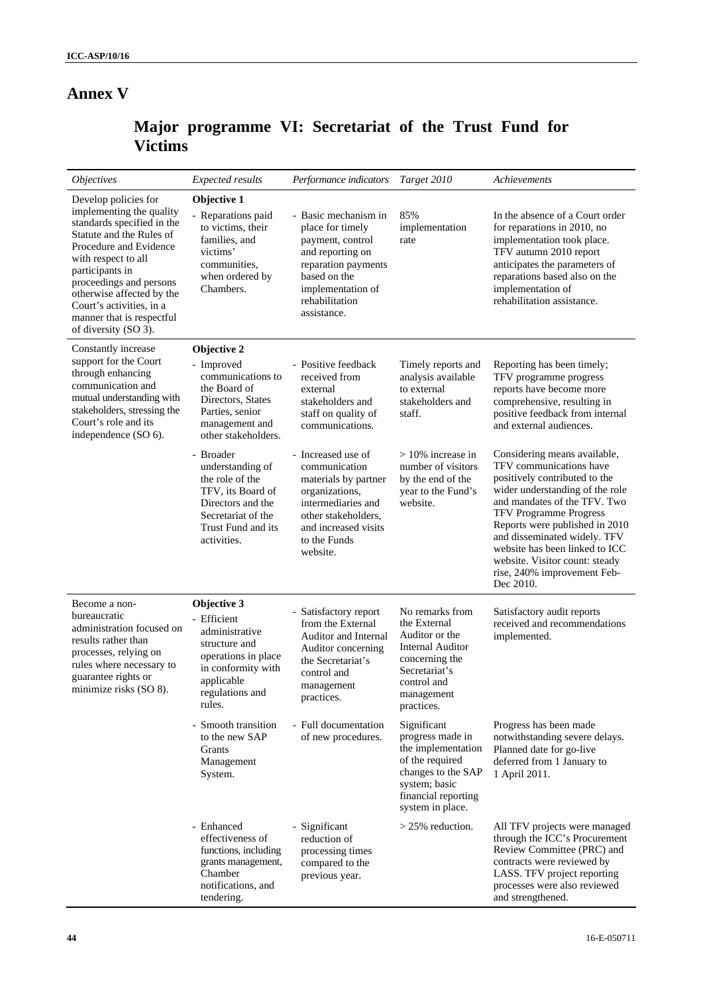## **Annex V**

# **Major programme VI: Secretariat of the Trust Fund for Victims**

| <i><b>Objectives</b></i>                                                                                                                                                                                                                                                                                                | <b>Expected results</b>                                                                                                                               | Performance indicators                                                                                                                                                         | Target 2010                                                                                                                                                | Achievements                                                                                                                                                                                                                                                                                                                                                                   |  |
|-------------------------------------------------------------------------------------------------------------------------------------------------------------------------------------------------------------------------------------------------------------------------------------------------------------------------|-------------------------------------------------------------------------------------------------------------------------------------------------------|--------------------------------------------------------------------------------------------------------------------------------------------------------------------------------|------------------------------------------------------------------------------------------------------------------------------------------------------------|--------------------------------------------------------------------------------------------------------------------------------------------------------------------------------------------------------------------------------------------------------------------------------------------------------------------------------------------------------------------------------|--|
| Develop policies for<br>implementing the quality<br>standards specified in the<br>Statute and the Rules of<br>Procedure and Evidence<br>with respect to all<br>participants in<br>proceedings and persons<br>otherwise affected by the<br>Court's activities, in a<br>manner that is respectful<br>of diversity (SO 3). | Objective 1<br>- Reparations paid<br>to victims, their<br>families, and<br>victims'<br>communities.<br>when ordered by<br>Chambers.                   | - Basic mechanism in<br>place for timely<br>payment, control<br>and reporting on<br>reparation payments<br>based on the<br>implementation of<br>rehabilitation<br>assistance.  | 85%<br>implementation<br>rate                                                                                                                              | In the absence of a Court order<br>for reparations in 2010, no<br>implementation took place.<br>TFV autumn 2010 report<br>anticipates the parameters of<br>reparations based also on the<br>implementation of<br>rehabilitation assistance.                                                                                                                                    |  |
| Constantly increase<br>support for the Court<br>through enhancing<br>communication and<br>mutual understanding with<br>stakeholders, stressing the<br>Court's role and its<br>independence (SO 6).                                                                                                                      | Objective 2<br>- Improved<br>communications to<br>the Board of<br>Directors, States<br>Parties, senior<br>management and<br>other stakeholders.       | - Positive feedback<br>received from<br>external<br>stakeholders and<br>staff on quality of<br>communications.                                                                 | Timely reports and<br>analysis available<br>to external<br>stakeholders and<br>staff.                                                                      | Reporting has been timely;<br>TFV programme progress<br>reports have become more<br>comprehensive, resulting in<br>positive feedback from internal<br>and external audiences.                                                                                                                                                                                                  |  |
|                                                                                                                                                                                                                                                                                                                         | - Broader<br>understanding of<br>the role of the<br>TFV, its Board of<br>Directors and the<br>Secretariat of the<br>Trust Fund and its<br>activities. | - Increased use of<br>communication<br>materials by partner<br>organizations,<br>intermediaries and<br>other stakeholders,<br>and increased visits<br>to the Funds<br>website. | $>10\%$ increase in<br>number of visitors<br>by the end of the<br>year to the Fund's<br>website.                                                           | Considering means available,<br>TFV communications have<br>positively contributed to the<br>wider understanding of the role<br>and mandates of the TFV. Two<br><b>TFV Programme Progress</b><br>Reports were published in 2010<br>and disseminated widely. TFV<br>website has been linked to ICC<br>website. Visitor count: steady<br>rise, 240% improvement Feb-<br>Dec 2010. |  |
| Become a non-<br>bureaucratic<br>administration focused on<br>results rather than<br>processes, relying on<br>rules where necessary to<br>guarantee rights or<br>minimize risks (SO 8).                                                                                                                                 | Objective 3<br>- Efficient<br>administrative<br>structure and<br>operations in place<br>in conformity with<br>applicable<br>regulations and<br>rules. | - Satisfactory report<br>from the External<br>Auditor and Internal<br>Auditor concerning<br>the Secretariat's<br>control and<br>management<br>practices.                       | No remarks from<br>the External<br>Auditor or the<br><b>Internal Auditor</b><br>concerning the<br>Secretariat's<br>control and<br>management<br>practices. | Satisfactory audit reports<br>received and recommendations<br>implemented.                                                                                                                                                                                                                                                                                                     |  |
|                                                                                                                                                                                                                                                                                                                         | - Smooth transition<br>to the new SAP<br>Grants<br>Management<br>System.                                                                              | - Full documentation<br>of new procedures.                                                                                                                                     | Significant<br>progress made in<br>the implementation<br>of the required<br>changes to the SAP<br>system; basic<br>financial reporting<br>system in place. | Progress has been made<br>notwithstanding severe delays.<br>Planned date for go-live<br>deferred from 1 January to<br>1 April 2011.                                                                                                                                                                                                                                            |  |
|                                                                                                                                                                                                                                                                                                                         | - Enhanced<br>effectiveness of<br>functions, including<br>grants management,<br>Chamber<br>notifications, and<br>tendering.                           | - Significant<br>reduction of<br>processing times<br>compared to the<br>previous year.                                                                                         | $>$ 25% reduction.                                                                                                                                         | All TFV projects were managed<br>through the ICC's Procurement<br>Review Committee (PRC) and<br>contracts were reviewed by<br>LASS. TFV project reporting<br>processes were also reviewed<br>and strengthened.                                                                                                                                                                 |  |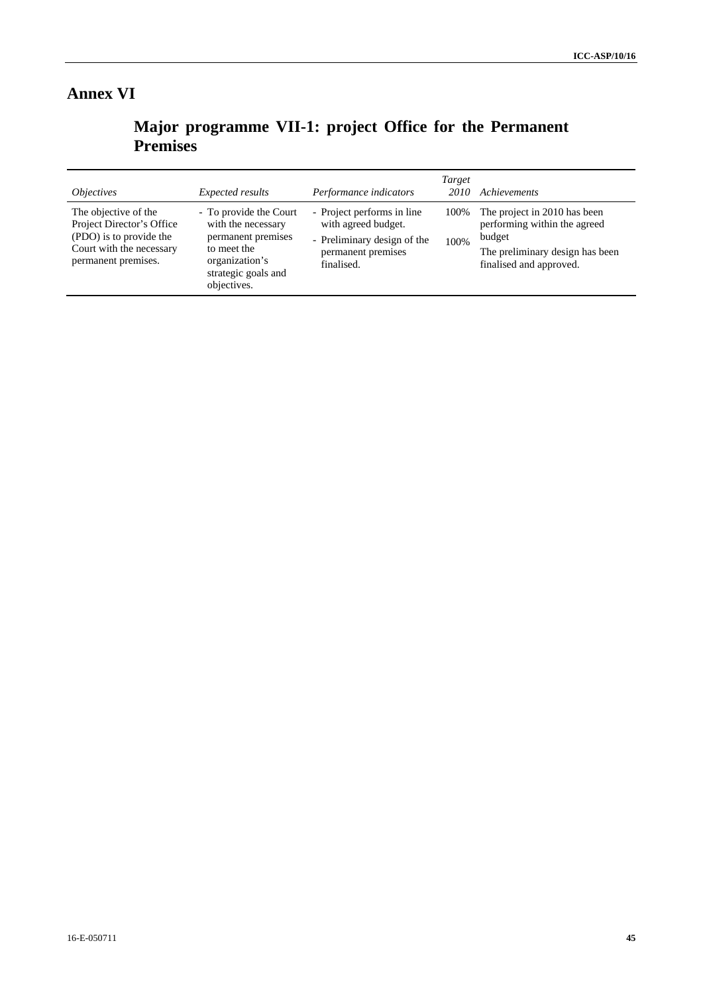# **Annex VI**

**Major programme VII-1: project Office for the Permanent Premises** 

| <i><b>Objectives</b></i>                                                                                                        | Expected results                                                                                                                          | Performance indicators                                                                                               | Target<br>2010 | Achievements                                                                                                                         |
|---------------------------------------------------------------------------------------------------------------------------------|-------------------------------------------------------------------------------------------------------------------------------------------|----------------------------------------------------------------------------------------------------------------------|----------------|--------------------------------------------------------------------------------------------------------------------------------------|
| The objective of the<br>Project Director's Office<br>(PDO) is to provide the<br>Court with the necessary<br>permanent premises. | - To provide the Court<br>with the necessary<br>permanent premises<br>to meet the<br>organization's<br>strategic goals and<br>objectives. | - Project performs in line<br>with agreed budget.<br>- Preliminary design of the<br>permanent premises<br>finalised. | 100%<br>100%   | The project in 2010 has been<br>performing within the agreed<br>budget<br>The preliminary design has been<br>finalised and approved. |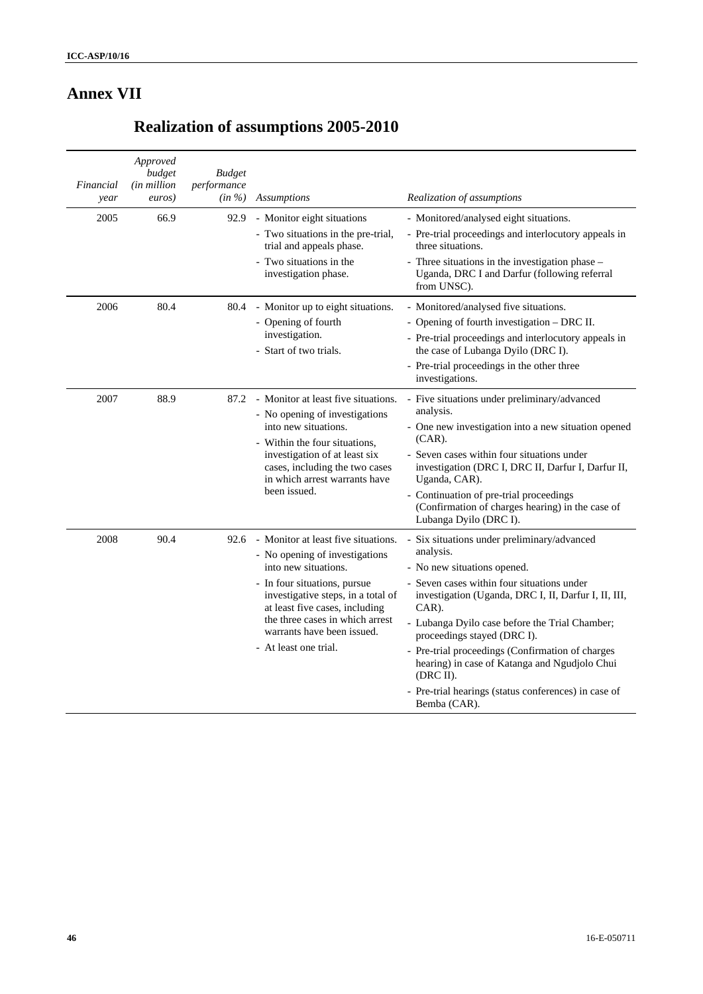# **Annex VII**

# **Realization of assumptions 2005-2010**

| Financial<br>year | Approved<br>budget<br>(in million<br>euros) | <b>Budget</b><br>performance<br>$(in \%)$ | <b>Assumptions</b>                                                                                                                                                                                                                                                                              | Realization of assumptions                                                                                                                                                                                                                                                                                                                                                                                                                                                      |
|-------------------|---------------------------------------------|-------------------------------------------|-------------------------------------------------------------------------------------------------------------------------------------------------------------------------------------------------------------------------------------------------------------------------------------------------|---------------------------------------------------------------------------------------------------------------------------------------------------------------------------------------------------------------------------------------------------------------------------------------------------------------------------------------------------------------------------------------------------------------------------------------------------------------------------------|
| 2005              | 66.9                                        | 92.9                                      | - Monitor eight situations<br>- Two situations in the pre-trial,<br>trial and appeals phase.<br>- Two situations in the<br>investigation phase.                                                                                                                                                 | - Monitored/analysed eight situations.<br>- Pre-trial proceedings and interlocutory appeals in<br>three situations.<br>- Three situations in the investigation phase -<br>Uganda, DRC I and Darfur (following referral<br>from UNSC).                                                                                                                                                                                                                                           |
| 2006              | 80.4                                        | 80.4                                      | - Monitor up to eight situations.<br>- Opening of fourth<br>investigation.<br>- Start of two trials.                                                                                                                                                                                            | - Monitored/analysed five situations.<br>- Opening of fourth investigation - DRC II.<br>- Pre-trial proceedings and interlocutory appeals in<br>the case of Lubanga Dyilo (DRC I).<br>- Pre-trial proceedings in the other three<br>investigations.                                                                                                                                                                                                                             |
| 2007              | 88.9                                        | 87.2                                      | - Monitor at least five situations.<br>- No opening of investigations<br>into new situations.<br>- Within the four situations,<br>investigation of at least six<br>cases, including the two cases<br>in which arrest warrants have<br>been issued.                                              | - Five situations under preliminary/advanced<br>analysis.<br>- One new investigation into a new situation opened<br>$(CAR)$ .<br>- Seven cases within four situations under<br>investigation (DRC I, DRC II, Darfur I, Darfur II,<br>Uganda, CAR).<br>- Continuation of pre-trial proceedings<br>(Confirmation of charges hearing) in the case of<br>Lubanga Dyilo (DRC I).                                                                                                     |
| 2008              | 90.4                                        | 92.6                                      | - Monitor at least five situations.<br>- No opening of investigations<br>into new situations.<br>- In four situations, pursue<br>investigative steps, in a total of<br>at least five cases, including<br>the three cases in which arrest<br>warrants have been issued.<br>- At least one trial. | Six situations under preliminary/advanced<br>analysis.<br>- No new situations opened.<br>- Seven cases within four situations under<br>investigation (Uganda, DRC I, II, Darfur I, II, III,<br>CAR).<br>- Lubanga Dyilo case before the Trial Chamber;<br>proceedings stayed (DRC I).<br>- Pre-trial proceedings (Confirmation of charges<br>hearing) in case of Katanga and Ngudjolo Chui<br>(DRC II).<br>- Pre-trial hearings (status conferences) in case of<br>Bemba (CAR). |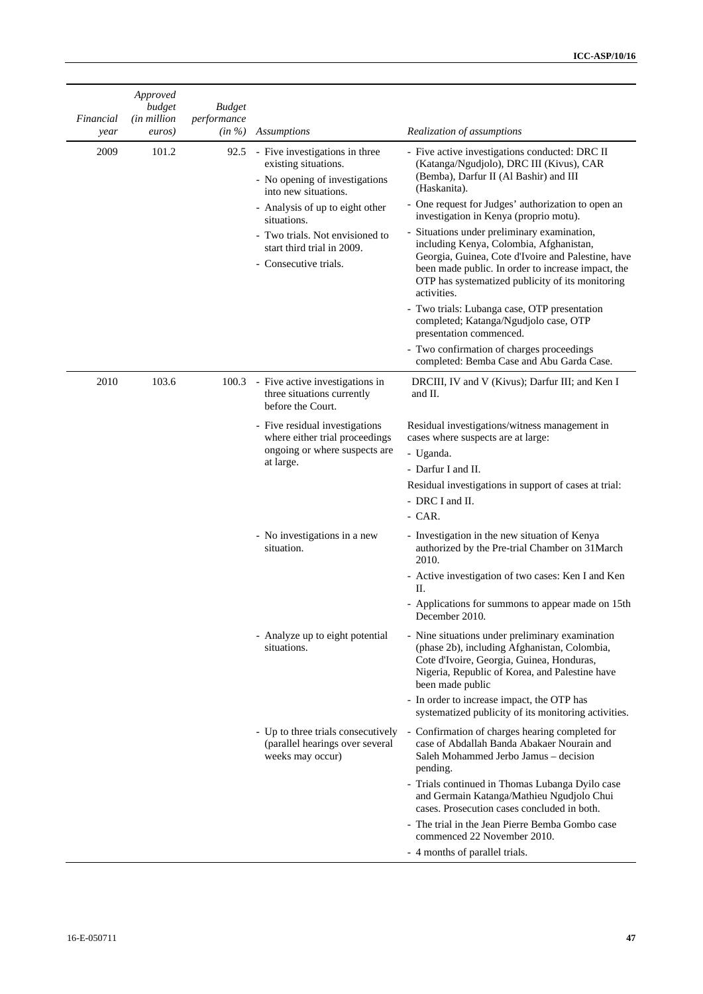| Financial<br>year | Approved<br>budget<br>(in million<br>euros) | <b>Budget</b><br>performance<br>$(in \%)$ | <b>Assumptions</b>                                                                                                                                  | Realization of assumptions                                                                                                                                                                                                                                            |
|-------------------|---------------------------------------------|-------------------------------------------|-----------------------------------------------------------------------------------------------------------------------------------------------------|-----------------------------------------------------------------------------------------------------------------------------------------------------------------------------------------------------------------------------------------------------------------------|
| 2009              | 101.2                                       | 92.5                                      | - Five investigations in three<br>existing situations.<br>- No opening of investigations<br>into new situations.<br>- Analysis of up to eight other | - Five active investigations conducted: DRC II<br>(Katanga/Ngudjolo), DRC III (Kivus), CAR<br>(Bemba), Darfur II (Al Bashir) and III<br>(Haskanita).<br>- One request for Judges' authorization to open an<br>investigation in Kenya (proprio motu).                  |
|                   |                                             |                                           | situations.<br>- Two trials. Not envisioned to<br>start third trial in 2009.<br>- Consecutive trials.                                               | - Situations under preliminary examination,<br>including Kenya, Colombia, Afghanistan,<br>Georgia, Guinea, Cote d'Ivoire and Palestine, have<br>been made public. In order to increase impact, the<br>OTP has systematized publicity of its monitoring<br>activities. |
|                   |                                             |                                           |                                                                                                                                                     | - Two trials: Lubanga case, OTP presentation<br>completed; Katanga/Ngudjolo case, OTP<br>presentation commenced.<br>- Two confirmation of charges proceedings                                                                                                         |
|                   |                                             |                                           |                                                                                                                                                     | completed: Bemba Case and Abu Garda Case.                                                                                                                                                                                                                             |
| 2010              | 103.6                                       | 100.3                                     | - Five active investigations in<br>three situations currently<br>before the Court.                                                                  | DRCIII, IV and V (Kivus); Darfur III; and Ken I<br>and II.                                                                                                                                                                                                            |
|                   |                                             |                                           | - Five residual investigations<br>where either trial proceedings                                                                                    | Residual investigations/witness management in<br>cases where suspects are at large:                                                                                                                                                                                   |
|                   |                                             |                                           | ongoing or where suspects are<br>at large.                                                                                                          | - Uganda.                                                                                                                                                                                                                                                             |
|                   |                                             |                                           |                                                                                                                                                     | - Darfur I and II.                                                                                                                                                                                                                                                    |
|                   |                                             |                                           |                                                                                                                                                     | Residual investigations in support of cases at trial:                                                                                                                                                                                                                 |
|                   |                                             |                                           |                                                                                                                                                     | - DRC I and II.<br>- CAR.                                                                                                                                                                                                                                             |
|                   |                                             |                                           |                                                                                                                                                     |                                                                                                                                                                                                                                                                       |
|                   |                                             |                                           | - No investigations in a new<br>situation.                                                                                                          | - Investigation in the new situation of Kenya<br>authorized by the Pre-trial Chamber on 31March<br>2010.                                                                                                                                                              |
|                   |                                             |                                           |                                                                                                                                                     | - Active investigation of two cases: Ken I and Ken<br>П.                                                                                                                                                                                                              |
|                   |                                             |                                           |                                                                                                                                                     | - Applications for summons to appear made on 15th<br>December 2010.                                                                                                                                                                                                   |
|                   |                                             |                                           | - Analyze up to eight potential<br>situations.                                                                                                      | - Nine situations under preliminary examination<br>(phase 2b), including Afghanistan, Colombia,<br>Cote d'Ivoire, Georgia, Guinea, Honduras,<br>Nigeria, Republic of Korea, and Palestine have<br>been made public                                                    |
|                   |                                             |                                           |                                                                                                                                                     | - In order to increase impact, the OTP has<br>systematized publicity of its monitoring activities.                                                                                                                                                                    |
|                   |                                             |                                           | (parallel hearings over several<br>weeks may occur)                                                                                                 | - Up to three trials consecutively - Confirmation of charges hearing completed for<br>case of Abdallah Banda Abakaer Nourain and<br>Saleh Mohammed Jerbo Jamus - decision<br>pending.                                                                                 |
|                   |                                             |                                           |                                                                                                                                                     | - Trials continued in Thomas Lubanga Dyilo case<br>and Germain Katanga/Mathieu Ngudjolo Chui<br>cases. Prosecution cases concluded in both.                                                                                                                           |
|                   |                                             |                                           |                                                                                                                                                     | - The trial in the Jean Pierre Bemba Gombo case<br>commenced 22 November 2010.                                                                                                                                                                                        |
|                   |                                             |                                           |                                                                                                                                                     | - 4 months of parallel trials.                                                                                                                                                                                                                                        |